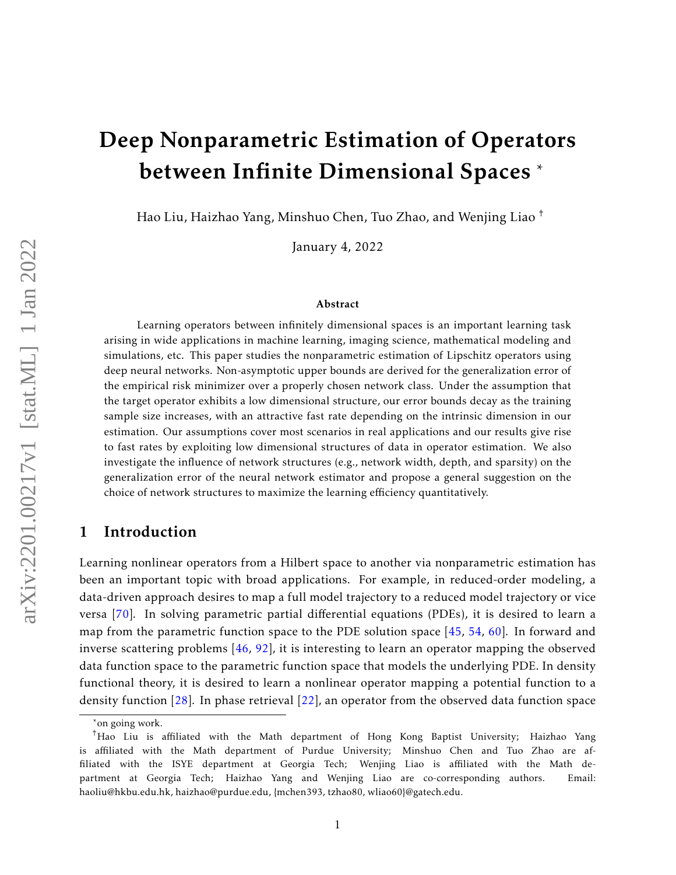# Deep Nonparametric Estimation of Operators between Infinite Dimensional Spaces \*

Hao Liu, Haizhao Yang, Minshuo Chen, Tuo Zhao, and Wenjing Liao †

January 4, 2022

#### Abstract

Learning operators between infinitely dimensional spaces is an important learning task arising in wide applications in machine learning, imaging science, mathematical modeling and simulations, etc. This paper studies the nonparametric estimation of Lipschitz operators using deep neural networks. Non-asymptotic upper bounds are derived for the generalization error of the empirical risk minimizer over a properly chosen network class. Under the assumption that the target operator exhibits a low dimensional structure, our error bounds decay as the training sample size increases, with an attractive fast rate depending on the intrinsic dimension in our estimation. Our assumptions cover most scenarios in real applications and our results give rise to fast rates by exploiting low dimensional structures of data in operator estimation. We also investigate the influence of network structures (e.g., network width, depth, and sparsity) on the generalization error of the neural network estimator and propose a general suggestion on the choice of network structures to maximize the learning efficiency quantitatively.

### 1 Introduction

Learning nonlinear operators from a Hilbert space to another via nonparametric estimation has been an important topic with broad applications. For example, in reduced-order modeling, a data-driven approach desires to map a full model trajectory to a reduced model trajectory or vice versa [\[70\]](#page-41-0). In solving parametric partial differential equations (PDEs), it is desired to learn a map from the parametric function space to the PDE solution space [\[45,](#page-39-0) [54,](#page-40-0) [60\]](#page-40-1). In forward and inverse scattering problems [\[46,](#page-39-1) [92\]](#page-42-0), it is interesting to learn an operator mapping the observed data function space to the parametric function space that models the underlying PDE. In density functional theory, it is desired to learn a nonlinear operator mapping a potential function to a density function [\[28\]](#page-38-0). In phase retrieval [\[22\]](#page-38-1), an operator from the observed data function space

<sup>\*</sup>on going work.

<sup>†</sup>Hao Liu is affiliated with the Math department of Hong Kong Baptist University; Haizhao Yang is affiliated with the Math department of Purdue University; Minshuo Chen and Tuo Zhao are affiliated with the ISYE department at Georgia Tech; Wenjing Liao is affiliated with the Math department at Georgia Tech; Haizhao Yang and Wenjing Liao are co-corresponding authors. Email: haoliu@hkbu.edu.hk, haizhao@purdue.edu, {mchen393, tzhao80, wliao60}@gatech.edu.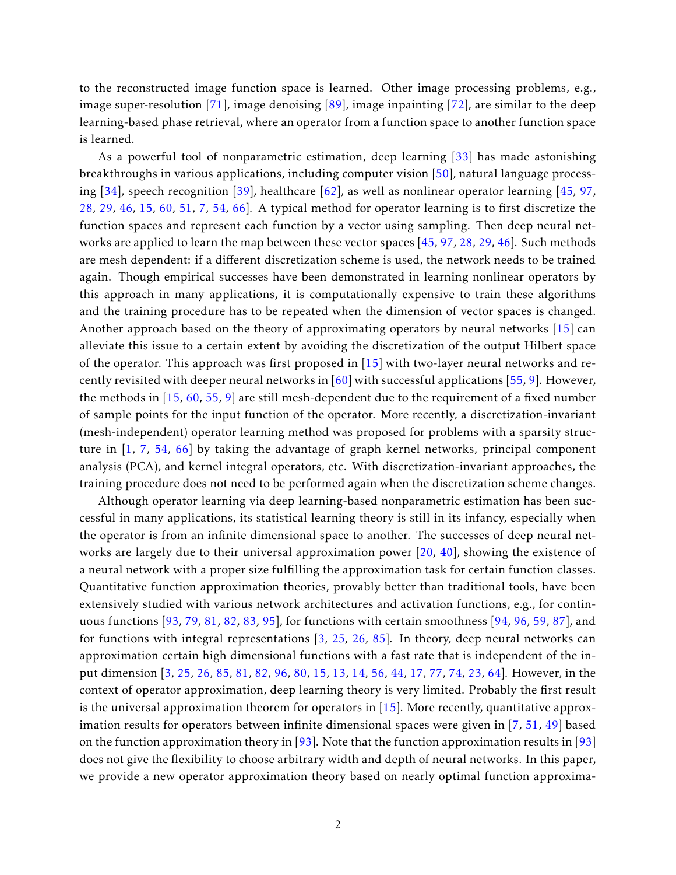to the reconstructed image function space is learned. Other image processing problems, e.g., image super-resolution [\[71\]](#page-41-1), image denoising [\[89\]](#page-42-1), image inpainting [\[72\]](#page-41-2), are similar to the deep learning-based phase retrieval, where an operator from a function space to another function space is learned.

As a powerful tool of nonparametric estimation, deep learning [\[33\]](#page-38-2) has made astonishing breakthroughs in various applications, including computer vision [\[50\]](#page-39-2), natural language processing  $[34]$ , speech recognition  $[39]$ , healthcare  $[62]$ , as well as nonlinear operator learning  $[45, 97, 97]$  $[45, 97, 97]$  $[45, 97, 97]$  $[45, 97, 97]$ [28,](#page-38-0) [29,](#page-38-4) [46,](#page-39-1) [15,](#page-37-0) [60,](#page-40-1) [51,](#page-39-4) [7,](#page-37-1) [54,](#page-40-0) [66\]](#page-41-3). A typical method for operator learning is to first discretize the function spaces and represent each function by a vector using sampling. Then deep neural networks are applied to learn the map between these vector spaces [\[45,](#page-39-0) [97,](#page-43-0) [28,](#page-38-0) [29,](#page-38-4) [46\]](#page-39-1). Such methods are mesh dependent: if a different discretization scheme is used, the network needs to be trained again. Though empirical successes have been demonstrated in learning nonlinear operators by this approach in many applications, it is computationally expensive to train these algorithms and the training procedure has to be repeated when the dimension of vector spaces is changed. Another approach based on the theory of approximating operators by neural networks [\[15\]](#page-37-0) can alleviate this issue to a certain extent by avoiding the discretization of the output Hilbert space of the operator. This approach was first proposed in  $[15]$  with two-layer neural networks and recently revisited with deeper neural networks in  $[60]$  with successful applications  $[55, 9]$  $[55, 9]$  $[55, 9]$ . However, the methods in [\[15,](#page-37-0) [60,](#page-40-1) [55,](#page-40-3) [9\]](#page-37-2) are still mesh-dependent due to the requirement of a fixed number of sample points for the input function of the operator. More recently, a discretization-invariant (mesh-independent) operator learning method was proposed for problems with a sparsity structure in [\[1,](#page-36-0) [7,](#page-37-1) [54,](#page-40-0) [66\]](#page-41-3) by taking the advantage of graph kernel networks, principal component analysis (PCA), and kernel integral operators, etc. With discretization-invariant approaches, the training procedure does not need to be performed again when the discretization scheme changes.

Although operator learning via deep learning-based nonparametric estimation has been successful in many applications, its statistical learning theory is still in its infancy, especially when the operator is from an infinite dimensional space to another. The successes of deep neural networks are largely due to their universal approximation power [\[20,](#page-38-5) [40\]](#page-39-5), showing the existence of a neural network with a proper size fulfilling the approximation task for certain function classes. Quantitative function approximation theories, provably better than traditional tools, have been extensively studied with various network architectures and activation functions, e.g., for continuous functions [\[93,](#page-42-2) [79,](#page-41-4) [81,](#page-42-3) [82,](#page-42-4) [83,](#page-42-5) [95\]](#page-42-6), for functions with certain smoothness [\[94,](#page-42-7) [96,](#page-43-1) [59,](#page-40-4) [87\]](#page-42-8), and for functions with integral representations [\[3,](#page-36-1) [25,](#page-38-6) [26,](#page-38-7) [85\]](#page-42-9). In theory, deep neural networks can approximation certain high dimensional functions with a fast rate that is independent of the input dimension [\[3,](#page-36-1) [25,](#page-38-6) [26,](#page-38-7) [85,](#page-42-9) [81,](#page-42-3) [82,](#page-42-4) [96,](#page-43-1) [80,](#page-41-5) [15,](#page-37-0) [13,](#page-37-3) [14,](#page-37-4) [56,](#page-40-5) [44,](#page-39-6) [17,](#page-37-5) [77,](#page-41-6) [74,](#page-41-7) [23,](#page-38-8) [64\]](#page-40-6). However, in the context of operator approximation, deep learning theory is very limited. Probably the first result is the universal approximation theorem for operators in  $[15]$ . More recently, quantitative approximation results for operators between infinite dimensional spaces were given in [\[7,](#page-37-1) [51,](#page-39-4) [49\]](#page-39-7) based on the function approximation theory in [\[93\]](#page-42-2). Note that the function approximation results in [\[93\]](#page-42-2) does not give the flexibility to choose arbitrary width and depth of neural networks. In this paper, we provide a new operator approximation theory based on nearly optimal function approxima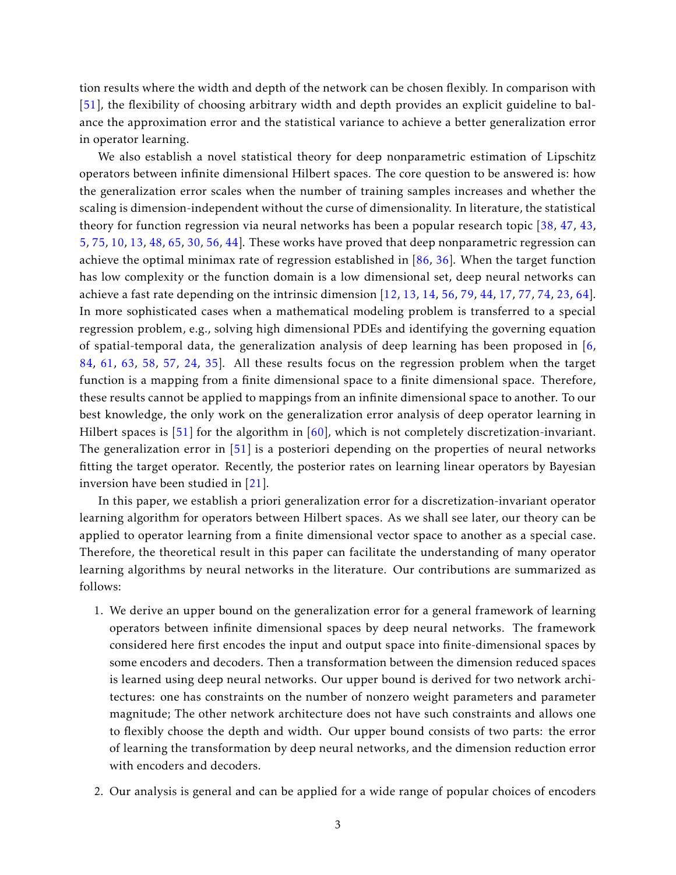tion results where the width and depth of the network can be chosen flexibly. In comparison with [\[51\]](#page-39-4), the flexibility of choosing arbitrary width and depth provides an explicit guideline to balance the approximation error and the statistical variance to achieve a better generalization error in operator learning.

We also establish a novel statistical theory for deep nonparametric estimation of Lipschitz operators between infinite dimensional Hilbert spaces. The core question to be answered is: how the generalization error scales when the number of training samples increases and whether the scaling is dimension-independent without the curse of dimensionality. In literature, the statistical theory for function regression via neural networks has been a popular research topic [\[38,](#page-39-8) [47,](#page-39-9) [43,](#page-39-10) [5,](#page-36-2) [75,](#page-41-8) [10,](#page-37-6) [13,](#page-37-3) [48,](#page-39-11) [65,](#page-40-7) [30,](#page-38-9) [56,](#page-40-5) [44\]](#page-39-6). These works have proved that deep nonparametric regression can achieve the optimal minimax rate of regression established in [\[86,](#page-42-10) [36\]](#page-38-10). When the target function has low complexity or the function domain is a low dimensional set, deep neural networks can achieve a fast rate depending on the intrinsic dimension [\[12,](#page-37-7) [13,](#page-37-3) [14,](#page-37-4) [56,](#page-40-5) [79,](#page-41-4) [44,](#page-39-6) [17,](#page-37-5) [77,](#page-41-6) [74,](#page-41-7) [23,](#page-38-8) [64\]](#page-40-6). In more sophisticated cases when a mathematical modeling problem is transferred to a special regression problem, e.g., solving high dimensional PDEs and identifying the governing equation of spatial-temporal data, the generalization analysis of deep learning has been proposed in [\[6,](#page-37-8) [84,](#page-42-11) [61,](#page-40-8) [63,](#page-40-9) [58,](#page-40-10) [57,](#page-40-11) [24,](#page-38-11) [35\]](#page-38-12). All these results focus on the regression problem when the target function is a mapping from a finite dimensional space to a finite dimensional space. Therefore, these results cannot be applied to mappings from an infinite dimensional space to another. To our best knowledge, the only work on the generalization error analysis of deep operator learning in Hilbert spaces is [\[51\]](#page-39-4) for the algorithm in [\[60\]](#page-40-1), which is not completely discretization-invariant. The generalization error in [\[51\]](#page-39-4) is a posteriori depending on the properties of neural networks fitting the target operator. Recently, the posterior rates on learning linear operators by Bayesian inversion have been studied in [\[21\]](#page-38-13).

In this paper, we establish a priori generalization error for a discretization-invariant operator learning algorithm for operators between Hilbert spaces. As we shall see later, our theory can be applied to operator learning from a finite dimensional vector space to another as a special case. Therefore, the theoretical result in this paper can facilitate the understanding of many operator learning algorithms by neural networks in the literature. Our contributions are summarized as follows:

- 1. We derive an upper bound on the generalization error for a general framework of learning operators between infinite dimensional spaces by deep neural networks. The framework considered here first encodes the input and output space into finite-dimensional spaces by some encoders and decoders. Then a transformation between the dimension reduced spaces is learned using deep neural networks. Our upper bound is derived for two network architectures: one has constraints on the number of nonzero weight parameters and parameter magnitude; The other network architecture does not have such constraints and allows one to flexibly choose the depth and width. Our upper bound consists of two parts: the error of learning the transformation by deep neural networks, and the dimension reduction error with encoders and decoders.
- 2. Our analysis is general and can be applied for a wide range of popular choices of encoders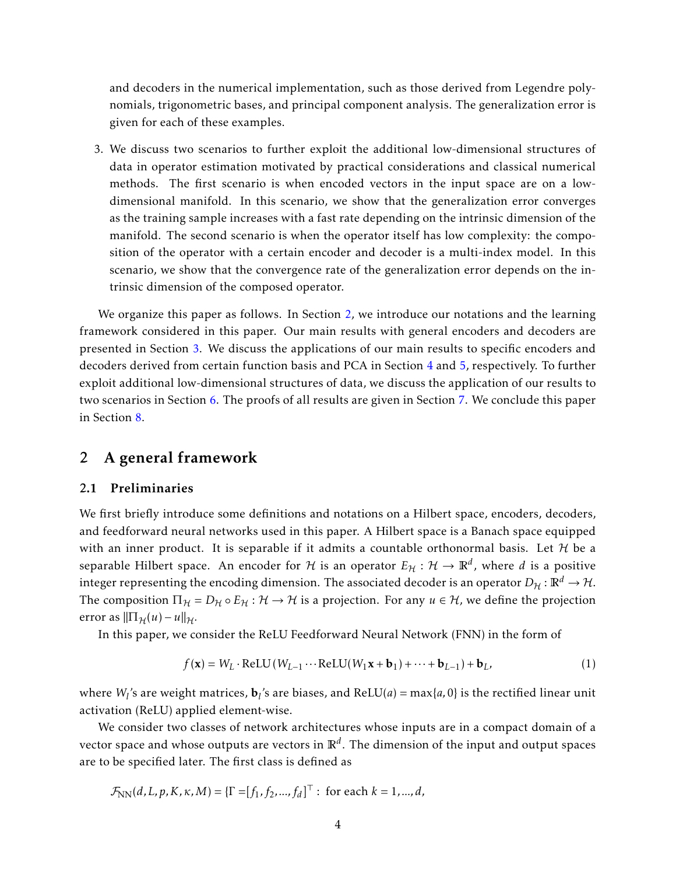and decoders in the numerical implementation, such as those derived from Legendre polynomials, trigonometric bases, and principal component analysis. The generalization error is given for each of these examples.

3. We discuss two scenarios to further exploit the additional low-dimensional structures of data in operator estimation motivated by practical considerations and classical numerical methods. The first scenario is when encoded vectors in the input space are on a lowdimensional manifold. In this scenario, we show that the generalization error converges as the training sample increases with a fast rate depending on the intrinsic dimension of the manifold. The second scenario is when the operator itself has low complexity: the composition of the operator with a certain encoder and decoder is a multi-index model. In this scenario, we show that the convergence rate of the generalization error depends on the intrinsic dimension of the composed operator.

We organize this paper as follows. In Section [2,](#page-3-0) we introduce our notations and the learning framework considered in this paper. Our main results with general encoders and decoders are presented in Section [3.](#page-6-0) We discuss the applications of our main results to specific encoders and decoders derived from certain function basis and PCA in Section [4](#page-10-0) and [5,](#page-15-0) respectively. To further exploit additional low-dimensional structures of data, we discuss the application of our results to two scenarios in Section [6.](#page-18-0) The proofs of all results are given in Section [7.](#page-22-0) We conclude this paper in Section [8.](#page-36-3)

# <span id="page-3-0"></span>2 A general framework

#### 2.1 Preliminaries

We first briefly introduce some definitions and notations on a Hilbert space, encoders, decoders, and feedforward neural networks used in this paper. A Hilbert space is a Banach space equipped with an inner product. It is separable if it admits a countable orthonormal basis. Let  $H$  be a separable Hilbert space. An encoder for  $\mathcal H$  is an operator  $E_{\mathcal H}:\mathcal H\to\mathbb R^d$ , where  $d$  is a positive integer representing the encoding dimension. The associated decoder is an operator  $D_H : \mathbb{R}^d \to \mathcal{H}$ . The composition  $\Pi_{\mathcal{H}} = D_{\mathcal{H}} \circ E_{\mathcal{H}} : \mathcal{H} \to \mathcal{H}$  is a projection. For any  $u \in \mathcal{H}$ , we define the projection error as  $\|\Pi_{\mathcal{H}}(u) - u\|_{\mathcal{H}}$ .

In this paper, we consider the ReLU Feedforward Neural Network (FNN) in the form of

<span id="page-3-1"></span>
$$
f(\mathbf{x}) = W_L \cdot \text{ReLU}(W_{L-1} \cdots \text{ReLU}(W_1 \mathbf{x} + \mathbf{b}_1) + \cdots + \mathbf{b}_{L-1}) + \mathbf{b}_L, \tag{1}
$$

where  $W_l$ 's are weight matrices,  $\mathbf{b}_l$ 's are biases, and ReLU(*a*) = max{*a*,0} is the rectified linear unit activation (ReLU) applied element-wise.

We consider two classes of network architectures whose inputs are in a compact domain of a vector space and whose outputs are vectors in R*<sup>d</sup>* . The dimension of the input and output spaces are to be specified later. The first class is defined as

$$
\mathcal{F}_{NN}(d, L, p, K, \kappa, M) = \{\Gamma = [f_1, f_2, ..., f_d]^{\top} : \text{ for each } k = 1, ..., d,
$$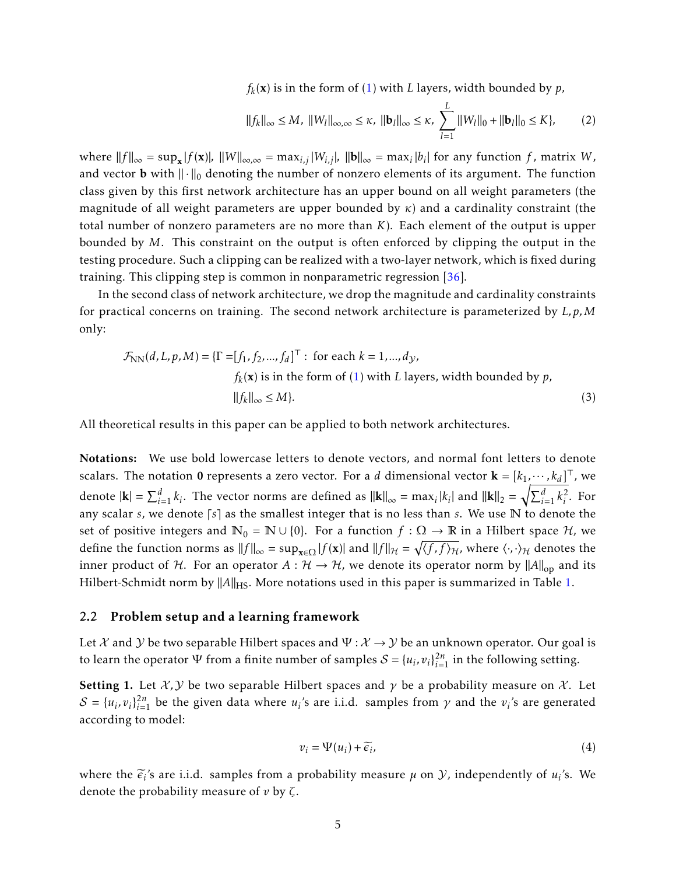$f_k(\mathbf{x})$  is in the form of  $(1)$  with *L* layers, width bounded by  $p$ ,

<span id="page-4-1"></span><span id="page-4-0"></span>
$$
||f_k||_{\infty} \le M, \ ||W_l||_{\infty,\infty} \le \kappa, \ ||\mathbf{b}_l||_{\infty} \le \kappa, \ \sum_{l=1}^L ||W_l||_0 + ||\mathbf{b}_l||_0 \le K \}, \tag{2}
$$

 $\|f\|_{\infty} = \sup_{\mathbf{x}} |f(\mathbf{x})|$ ,  $\|W\|_{\infty,\infty} = \max_{i,j} |W_{i,j}|$ ,  $\|b\|_{\infty} = \max_{i} |b_i|$  for any function *f*, matrix *W*, and vector **b** with  $\|\cdot\|_0$  denoting the number of nonzero elements of its argument. The function class given by this first network architecture has an upper bound on all weight parameters (the magnitude of all weight parameters are upper bounded by *κ*) and a cardinality constraint (the total number of nonzero parameters are no more than *K*). Each element of the output is upper bounded by *M*. This constraint on the output is often enforced by clipping the output in the testing procedure. Such a clipping can be realized with a two-layer network, which is fixed during training. This clipping step is common in nonparametric regression [\[36\]](#page-38-10).

In the second class of network architecture, we drop the magnitude and cardinality constraints for practical concerns on training. The second network architecture is parameterized by *L, p,M* only:

$$
\mathcal{F}_{NN}(d, L, p, M) = \{ \Gamma = [f_1, f_2, ..., f_d]^{\top} : \text{ for each } k = 1, ..., d_{\mathcal{Y}},
$$
  

$$
f_k(\mathbf{x}) \text{ is in the form of (1) with } L \text{ layers, width bounded by } p,
$$
  

$$
||f_k||_{\infty} \le M \}.
$$
 (3)

All theoretical results in this paper can be applied to both network architectures.

Notations: We use bold lowercase letters to denote vectors, and normal font letters to denote scalars. The notation 0 represents a zero vector. For a *d* dimensional vector  $\mathbf{k} = [k_1, \cdots, k_d]^\top$ , we denote  $|\mathbf{k}| = \sum_{i=1}^d k_i$ . The vector norms are defined as  $||\mathbf{k}||_{\infty} = \max_i |k_i|$  and  $||\mathbf{k}||_2 = \sqrt{\sum_{i=1}^d k_i^2}$  $\frac{2}{i}$ . For any scalar  $s$ , we denote  $\lceil s \rceil$  as the smallest integer that is no less than  $s$ . We use  $\mathbb N$  to denote the set of positive integers and  $\mathbb{N}_0 = \mathbb{N} \cup \{0\}$ . For a function  $f : \Omega \to \mathbb{R}$  in a Hilbert space  $\mathcal{H}$ , we define the function norms as  $||f||_{\infty} = \sup_{\mathbf{x} \in \Omega} |f(\mathbf{x})|$  and  $||f||_{\mathcal{H}} = \sqrt{\langle f, f \rangle_{\mathcal{H}}}$ , where  $\langle \cdot, \cdot \rangle_{\mathcal{H}}$  denotes the inner product of H. For an operator  $A : H \to H$ , we denote its operator norm by  $||A||_{op}$  and its Hilbert-Schmidt norm by  $||A||_{HS}$ . More notations used in this paper is summarized in Table [1.](#page-7-0)

#### 2.2 Problem setup and a learning framework

Let X and Y be two separable Hilbert spaces and  $\Psi : \mathcal{X} \to \mathcal{Y}$  be an unknown operator. Our goal is to learn the operator  $\Psi$  from a finite number of samples  $S = \{u_i, v_i\}_{i=1}^{2n}$  in the following setting.

<span id="page-4-2"></span>**Setting 1.** Let  $\mathcal{X}, \mathcal{Y}$  be two separable Hilbert spaces and  $\gamma$  be a probability measure on  $\mathcal{X}$ . Let  $S = \{u_i, v_i\}_{i=1}^{2n}$  be the given data where  $u_i$ 's are i.i.d. samples from  $\gamma$  and the  $v_i$ 's are generated according to model:

$$
v_i = \Psi(u_i) + \widetilde{\epsilon_i},\tag{4}
$$

where the  $\tilde{\epsilon}_i$ 's are i.i.d. samples from a probability measure  $\mu$  on  $\mathcal{Y}$ , independently of  $u_i$ 's. We denote the probability measure of *v* by *ζ*.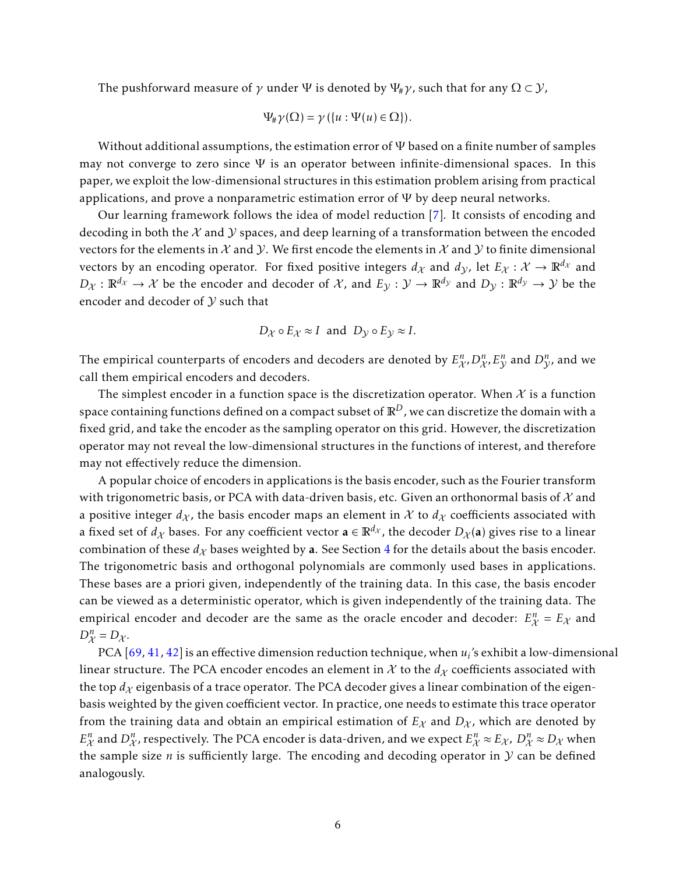The pushforward measure of  $\gamma$  under  $\Psi$  is denoted by  $\Psi_{\#}\gamma$ , such that for any  $\Omega \subset \mathcal{Y}$ ,

$$
\Psi_{\#}\gamma(\Omega)=\gamma(\{u:\Psi(u)\in\Omega\}).
$$

Without additional assumptions, the estimation error of  $\Psi$  based on a finite number of samples may not converge to zero since  $\Psi$  is an operator between infinite-dimensional spaces. In this paper, we exploit the low-dimensional structures in this estimation problem arising from practical applications, and prove a nonparametric estimation error of  $\Psi$  by deep neural networks.

Our learning framework follows the idea of model reduction [\[7\]](#page-37-1). It consists of encoding and decoding in both the  $\mathcal X$  and  $\mathcal Y$  spaces, and deep learning of a transformation between the encoded vectors for the elements in  $X$  and  $Y$ . We first encode the elements in  $X$  and  $Y$  to finite dimensional vectors by an encoding operator. For fixed positive integers  $d_X$  and  $d_Y$ , let  $E_X : \mathcal{X} \to \mathbb{R}^{d_X}$  and  $D_{\mathcal{X}} : \mathbb{R}^{d_{\mathcal{X}}} \to \mathcal{X}$  be the encoder and decoder of  $\mathcal{X}$ , and  $E_{\mathcal{Y}} : \mathcal{Y} \to \mathbb{R}^{d_{\mathcal{Y}}}$  and  $D_{\mathcal{Y}} : \mathbb{R}^{d_{\mathcal{Y}}} \to \mathcal{Y}$  be the encoder and decoder of  $Y$  such that

$$
D_{\mathcal{X}} \circ E_{\mathcal{X}} \approx I
$$
 and  $D_{\mathcal{Y}} \circ E_{\mathcal{Y}} \approx I$ .

The empirical counterparts of encoders and decoders are denoted by  $E^n_{\mathcal{X}}$ ,  $D^n_{\mathcal{X}}$ ,  $E^n_{\mathcal{Y}}$  and  $D^n_{\mathcal{Y}}$ , and we call them empirical encoders and decoders.

The simplest encoder in a function space is the discretization operator. When  $\mathcal X$  is a function space containing functions defined on a compact subset of  $\mathbb{R}^D$ , we can discretize the domain with a fixed grid, and take the encoder as the sampling operator on this grid. However, the discretization operator may not reveal the low-dimensional structures in the functions of interest, and therefore may not effectively reduce the dimension.

A popular choice of encoders in applications is the basis encoder, such as the Fourier transform with trigonometric basis, or PCA with data-driven basis, etc. Given an orthonormal basis of  $\mathcal X$  and a positive integer  $d_X$ , the basis encoder maps an element in X to  $d_X$  coefficients associated with a fixed set of  $d_\chi$  bases. For any coefficient vector  $\mathbf{a} \in \mathbb{R}^{d_\chi}$ , the decoder  $D_\chi(\mathbf{a})$  gives rise to a linear combination of these  $d_X$  bases weighted by a. See Section [4](#page-10-0) for the details about the basis encoder. The trigonometric basis and orthogonal polynomials are commonly used bases in applications. These bases are a priori given, independently of the training data. In this case, the basis encoder can be viewed as a deterministic operator, which is given independently of the training data. The empirical encoder and decoder are the same as the oracle encoder and decoder:  $E_{\chi}^{n} = E_{\chi}$  and  $D_{\mathcal{X}}^n = D_{\mathcal{X}}$ .

PCA [\[69,](#page-41-9) [41,](#page-39-12) [42\]](#page-39-13) is an effective dimension reduction technique, when *u<sup>i</sup>* 's exhibit a low-dimensional linear structure. The PCA encoder encodes an element in  $\mathcal X$  to the  $d_{\mathcal X}$  coefficients associated with the top  $d<sub>X</sub>$  eigenbasis of a trace operator. The PCA decoder gives a linear combination of the eigenbasis weighted by the given coefficient vector. In practice, one needs to estimate this trace operator from the training data and obtain an empirical estimation of  $E_X$  and  $D_X$ , which are denoted by  $E^n_\chi$  and  $D^n_\chi$ , respectively. The PCA encoder is data-driven, and we expect  $E^n_\chi \approx E_\chi$ ,  $D^n_\chi \approx D_\chi$  when the sample size  $n$  is sufficiently large. The encoding and decoding operator in  $Y$  can be defined analogously.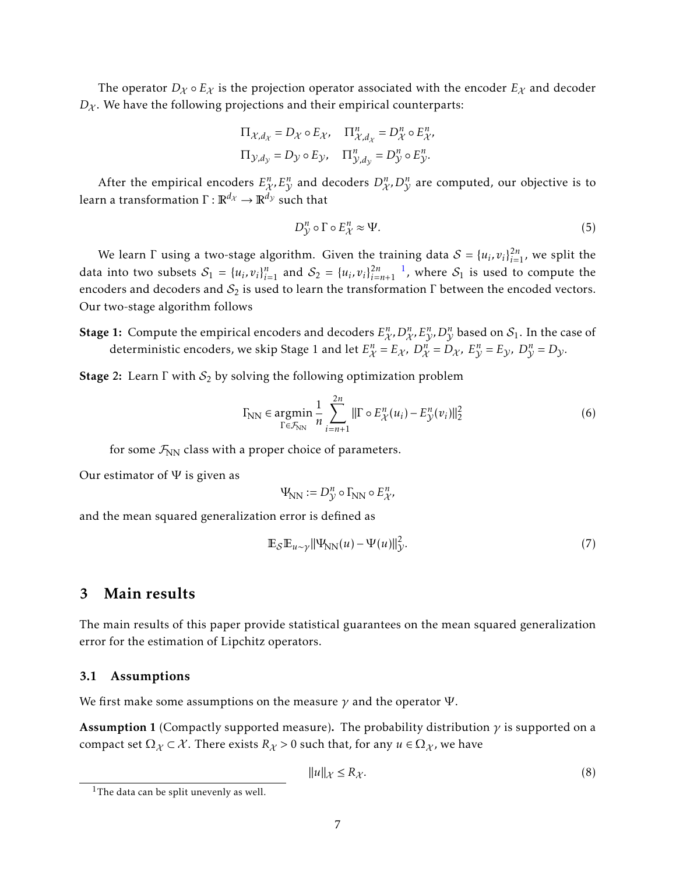The operator  $D_{\chi} \circ E_{\chi}$  is the projection operator associated with the encoder  $E_{\chi}$  and decoder  $D_X$ . We have the following projections and their empirical counterparts:

$$
\begin{aligned} \Pi_{\mathcal{X},d_{\mathcal{X}}} &= D_{\mathcal{X}} \circ E_{\mathcal{X}}, \quad \Pi_{\mathcal{X},d_{\mathcal{X}}}^n = D_{\mathcal{X}}^n \circ E_{\mathcal{X}}^n, \\ \Pi_{\mathcal{Y},d_{\mathcal{Y}}} &= D_{\mathcal{Y}} \circ E_{\mathcal{Y}}, \quad \Pi_{\mathcal{Y},d_{\mathcal{Y}}}^n = D_{\mathcal{Y}}^n \circ E_{\mathcal{Y}}^n. \end{aligned}
$$

After the empirical encoders  $E_{\mathcal{X}}^n$ ,  $E_{\mathcal{Y}}^n$  and decoders  $D_{\mathcal{X}}^n$ ,  $D_{\mathcal{Y}}^n$  are computed, our objective is to learn a transformation  $\Gamma : \mathbb{R}^{d_{\mathcal{X}}} \to \mathbb{R}^{d_{\mathcal{Y}}}$  such that

<span id="page-6-5"></span>
$$
D_{\mathcal{V}}^n \circ \Gamma \circ E_{\mathcal{X}}^n \approx \Psi. \tag{5}
$$

We learn  $\Gamma$  using a two-stage algorithm. Given the training data  $\mathcal{S} = \{u_i, v_i\}_{i=1}^{2n}$ , we split the data into two subsets  $S_1 = \{u_i, v_i\}_{i=1}^n$  $S_1 = \{u_i, v_i\}_{i=1}^n$  $S_1 = \{u_i, v_i\}_{i=1}^n$  and  $S_2 = \{u_i, v_i\}_{i=n+1}^{2n}$ , where  $S_1$  is used to compute the encoders and decoders and  $S_2$  is used to learn the transformation  $\Gamma$  between the encoded vectors. Our two-stage algorithm follows

Stage 1: Compute the empirical encoders and decoders  $E^n_{\mathcal{X}}, D^n_{\mathcal{X}}, E^n_{\mathcal{Y}}, D^n_{\mathcal{Y}}$  based on  $\mathcal{S}_1$ . In the case of deterministic encoders, we skip Stage 1 and let  $E_{\mathcal{X}}^n = E_{\mathcal{X}}$ ,  $D_{\mathcal{X}}^n = D_{\mathcal{X}}$ ,  $E_{\mathcal{Y}}^n = E_{\mathcal{Y}}$ ,  $D_{\mathcal{Y}}^n = D_{\mathcal{Y}}$ .

**Stage 2:** Learn  $\Gamma$  with  $S_2$  by solving the following optimization problem

$$
\Gamma_{\rm NN} \in \underset{\Gamma \in \mathcal{F}_{\rm NN}}{\text{argmin}} \frac{1}{n} \sum_{i=n+1}^{2n} ||\Gamma \circ E_{\mathcal{X}}^n(u_i) - E_{\mathcal{Y}}^n(v_i)||_2^2
$$
 (6)

for some  $\mathcal{F}_{NN}$  class with a proper choice of parameters.

Our estimator of  $\Psi$  is given as

<span id="page-6-4"></span><span id="page-6-2"></span>
$$
\Psi_{\!N\!N} := D_{\mathcal{Y}}^n \circ \Gamma_{\!N\!N} \circ E_{\mathcal{X}}^n,
$$

and the mean squared generalization error is defined as

$$
\mathbb{E}_{\mathcal{S}}\mathbb{E}_{u \sim \gamma} \|\Psi_{\text{NN}}(u) - \Psi(u)\|_{\mathcal{Y}}^2. \tag{7}
$$

### <span id="page-6-0"></span>3 Main results

The main results of this paper provide statistical guarantees on the mean squared generalization error for the estimation of Lipchitz operators.

#### 3.1 Assumptions

We first make some assumptions on the measure  $\gamma$  and the operator  $\Psi$ .

<span id="page-6-3"></span>Assumption 1 (Compactly supported measure). The probability distribution *γ* is supported on a compact set  $\Omega_{\chi} \subset \mathcal{X}$ . There exists  $R_{\chi} > 0$  such that, for any  $u \in \Omega_{\chi}$ , we have

$$
||u||_{\mathcal{X}} \le R_{\mathcal{X}}.\tag{8}
$$

<span id="page-6-1"></span><sup>&</sup>lt;sup>1</sup>The data can be split unevenly as well.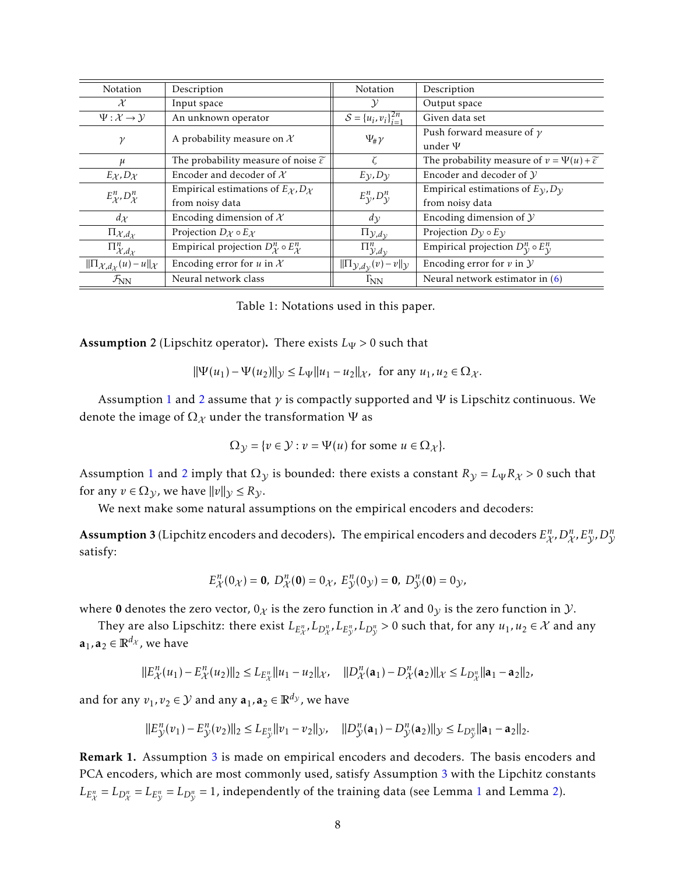| Notation                                                   | Description                                                      | Notation                                                   | Description                                                        |  |
|------------------------------------------------------------|------------------------------------------------------------------|------------------------------------------------------------|--------------------------------------------------------------------|--|
| $\mathcal{X}$                                              | Input space                                                      | $\mathcal{Y}$                                              | Output space                                                       |  |
| $\Psi: \mathcal{X} \rightarrow \mathcal{Y}$                | An unknown operator                                              | $S = {u_i, v_i}_{i=1}^{2n}$                                | Given data set                                                     |  |
| $\gamma$                                                   | A probability measure on $\mathcal X$                            | $\Psi_{\#}\gamma$                                          | Push forward measure of $\gamma$                                   |  |
|                                                            |                                                                  |                                                            | under $\Psi$                                                       |  |
| μ                                                          | The probability measure of noise $\widetilde{\varepsilon}$       |                                                            | The probability measure of $v = \Psi(u) + \widetilde{\varepsilon}$ |  |
| $E_{\mathcal{X}}$ , $D_{\mathcal{X}}$                      | Encoder and decoder of $X$                                       | $E_{\mathcal{V}}$ , $D_{\mathcal{V}}$                      | Encoder and decoder of $\mathcal Y$                                |  |
| $E_{\mathcal{X}}^n, D_{\mathcal{X}}^n$                     | Empirical estimations of $E_{\mathcal{X}}$ , $D_{\mathcal{X}}$   |                                                            | Empirical estimations of $E_y$ , $D_y$                             |  |
|                                                            | from noisy data                                                  | $E_{\mathcal{V}}^n, D_{\mathcal{V}}^n$                     | from noisy data                                                    |  |
| $d_{\mathcal{X}}$                                          | Encoding dimension of $X$                                        | $d_{\mathcal{V}}$                                          | Encoding dimension of $\mathcal Y$                                 |  |
| $\Pi_{\mathcal{X},d_{\mathcal{X}}}$                        | Projection $D_{\mathcal{X}} \circ E_{\mathcal{X}}$               | $\Pi_{\mathcal{Y},d_{\mathcal{Y}}}$                        | Projection $D_{\mathcal{V}} \circ E_{\mathcal{V}}$                 |  |
| $\overline{\Pi}^n_{\mathcal{X},d_{\mathcal{X}}}$           | Empirical projection $D_{\mathcal{X}}^n \circ E_{\mathcal{X}}^n$ | $\bar{\Pi}_{\mathcal{Y},\mathcal{dy}}^{n}$                 | Empirical projection $D_{\mathcal{V}}^n \circ E_{\mathcal{V}}^n$   |  |
| $\ \Pi_{\mathcal{X},d_{\mathcal{X}}}(u)-u\ _{\mathcal{X}}$ | Encoding error for $u$ in $\mathcal X$                           | $\ \Pi_{\mathcal{Y},d_{\mathcal{V}}}(v)-v\ _{\mathcal{Y}}$ | Encoding error for $v$ in $Y$                                      |  |
| $\mathcal{F}_{NN}$                                         | Neural network class                                             | $\Gamma_{NN}$                                              | Neural network estimator in $(6)$                                  |  |

<span id="page-7-0"></span>

| Table 1: Notations used in this paper. |  |  |  |  |  |
|----------------------------------------|--|--|--|--|--|
|----------------------------------------|--|--|--|--|--|

<span id="page-7-1"></span>**Assumption** 2 (Lipschitz operator). There exists  $L_{\Psi} > 0$  such that

$$
\|\Psi(u_1) - \Psi(u_2)\|_{\mathcal{Y}} \le L_{\Psi} \|u_1 - u_2\|_{\mathcal{X}}, \text{ for any } u_1, u_2 \in \Omega_{\mathcal{X}}.
$$

Assumption [1](#page-6-3) and [2](#page-7-1) assume that *γ* is compactly supported and Ψ is Lipschitz continuous. We denote the image of  $\Omega_{\mathcal{X}}$  under the transformation  $\Psi$  as

$$
\Omega_{\mathcal{Y}} = \{ v \in \mathcal{Y} : v = \Psi(u) \text{ for some } u \in \Omega_{\mathcal{X}} \}.
$$

Assumption [1](#page-6-3) and [2](#page-7-1) imply that  $\Omega$ <sub>*y*</sub> is bounded: there exists a constant  $R_y = L_\Psi R_x > 0$  such that for any  $v \in \Omega_{\mathcal{Y}}$ , we have  $||v||_{\mathcal{Y}} \le R_{\mathcal{Y}}$ .

We next make some natural assumptions on the empirical encoders and decoders:

<span id="page-7-2"></span>Assumption 3 (Lipchitz encoders and decoders). The empirical encoders and decoders  $E^n_{\cal X}$ ,  $D^n_{\cal X}$ ,  $E^n_{\cal Y}$ ,  $D^n_{\cal Y}$ satisfy:

$$
E_{\mathcal{X}}^{n}(0_{\mathcal{X}}) = \mathbf{0}, \ D_{\mathcal{X}}^{n}(0) = 0_{\mathcal{X}}, \ E_{\mathcal{Y}}^{n}(0_{\mathcal{Y}}) = \mathbf{0}, \ D_{\mathcal{Y}}^{n}(\mathbf{0}) = 0_{\mathcal{Y}},
$$

where 0 denotes the zero vector,  $0_{\chi}$  is the zero function in  $\chi$  and  $0_{\chi}$  is the zero function in  $\chi$ .

They are also Lipschitz: there exist  $L_{E_{\mathcal{X}}^n},L_{D_{\mathcal{X}}^n},L_{E_{\mathcal{Y}}^n},L_{D_{\mathcal{X}}^n}>0$  such that, for any  $u_1,u_2\in\mathcal{X}$  and any  $\mathbf{a}_1, \mathbf{a}_2 \in \mathbb{R}^{d_{\mathcal{X}}}$ , we have

$$
||E_{\mathcal{X}}^{n}(u_{1})-E_{\mathcal{X}}^{n}(u_{2})||_{2} \leq L_{E_{\mathcal{X}}^{n}}||u_{1}-u_{2}||_{\mathcal{X}}, \quad ||D_{\mathcal{X}}^{n}(\mathbf{a}_{1})-D_{\mathcal{X}}^{n}(\mathbf{a}_{2})||_{\mathcal{X}} \leq L_{D_{\mathcal{X}}^{n}}||\mathbf{a}_{1}-\mathbf{a}_{2}||_{2},
$$

and for any  $v_1, v_2 \in \mathcal{Y}$  and any  $\mathbf{a}_1, \mathbf{a}_2 \in \mathbb{R}^{d_y}$ , we have

$$
||E_{\mathcal{Y}}^{n}(v_{1}) - E_{\mathcal{Y}}^{n}(v_{2})||_{2} \leq L_{E_{\mathcal{Y}}^{n}}||v_{1} - v_{2}||_{\mathcal{Y}}, \quad ||D_{\mathcal{Y}}^{n}(\mathbf{a}_{1}) - D_{\mathcal{Y}}^{n}(\mathbf{a}_{2})||_{\mathcal{Y}} \leq L_{D_{\mathcal{Y}}^{n}}||\mathbf{a}_{1} - \mathbf{a}_{2}||_{2}.
$$

Remark 1. Assumption [3](#page-7-2) is made on empirical encoders and decoders. The basis encoders and PCA encoders, which are most commonly used, satisfy Assumption [3](#page-7-2) with the Lipchitz constants  $L_{E_{\mathcal{X}}^n} = L_{D_{\mathcal{X}}^n} = L_{E_{\mathcal{Y}}^n} = L_{D_{\mathcal{Y}}^n} = 1$  $L_{E_{\mathcal{X}}^n} = L_{D_{\mathcal{X}}^n} = L_{E_{\mathcal{Y}}^n} = L_{D_{\mathcal{Y}}^n} = 1$ , independently of the training data (see Lemma 1 and Lemma [2\)](#page-16-0).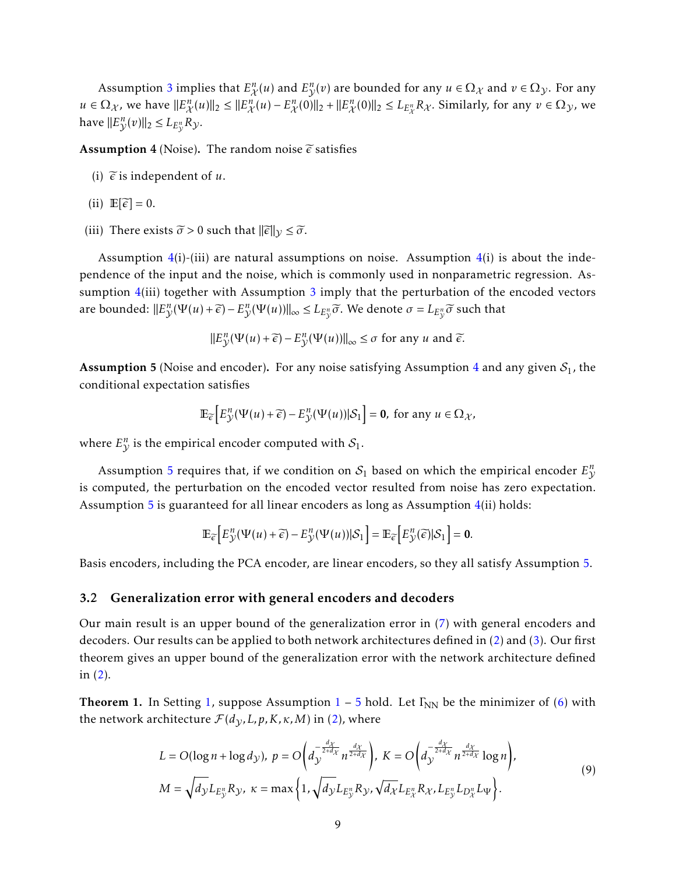Assumption [3](#page-7-2) implies that  $E_{\chi}^n(u)$  and  $E_{\gamma}^n(v)$  are bounded for any  $u \in \Omega_{\chi}$  and  $v \in \Omega_{\chi}$ . For any  $u \in \Omega_{\mathcal{X}}$ , we have  $||E_{\mathcal{X}}^n(u)||_2 \le ||E_{\mathcal{X}}^n(u) - E_{\mathcal{X}}^n(0)||_2 + ||E_{\mathcal{X}}^n(0)||_2 \le L_{E_{\mathcal{X}}^n} R_{\mathcal{X}}$ . Similarly, for any  $v \in \Omega_{\mathcal{Y}}$ , we have  $||E_{\mathcal{Y}}^n(v)||_2 \leq L_{E_{\mathcal{Y}}^n}R_{\mathcal{Y}}$ *.* 

<span id="page-8-0"></span>**Assumption 4** (Noise). The random noise  $\tilde{\epsilon}$  satisfies

- (i)  $\widetilde{\epsilon}$  is independent of *u*.
- (ii)  $\mathbb{E}[\widetilde{\epsilon}] = 0$ .
- (iii) There exists  $\tilde{\sigma} > 0$  such that  $\|\tilde{\epsilon}\|_{\mathcal{V}} \leq \tilde{\sigma}$ .

Assumption  $4(i)$  $4(i)$ -(iii) are natural assumptions on noise. Assumption  $4(i)$  is about the independence of the input and the noise, which is commonly used in nonparametric regression. Assumption  $4(iii)$  $4(iii)$  together with Assumption [3](#page-7-2) imply that the perturbation of the encoded vectors are bounded:  $||E_{\mathcal{Y}}^n(\Psi(u)+\widetilde{\epsilon})-E_{\mathcal{Y}}^n(\Psi(u))||_{\infty}\leq L_{E_{\mathcal{Y}}^n}\widetilde{\sigma}.$  We denote  $\sigma=L_{E_{\mathcal{Y}}^n}\widetilde{\sigma}$  such that

$$
||E_{\mathcal{Y}}^n(\Psi(u)+\widetilde{\epsilon})-E_{\mathcal{Y}}^n(\Psi(u))||_{\infty} \leq \sigma \text{ for any } u \text{ and } \widetilde{\epsilon}.
$$

<span id="page-8-1"></span>**Assumption 5** (Noise and encoder). For any noise satisfying Assumption [4](#page-8-0) and any given  $S_1$ , the conditional expectation satisfies

$$
\mathbb{E}_{\widetilde{\epsilon}}\Big[E_{\mathcal{Y}}^n(\Psi(u)+\widetilde{\epsilon})-E_{\mathcal{Y}}^n(\Psi(u))|S_1\Big]=\mathbf{0},\text{ for any }u\in\Omega_{\mathcal{X}},
$$

where  $E_{\mathcal{Y}}^n$  is the empirical encoder computed with  $\mathcal{S}_1$ .

Assumption [5](#page-8-1) requires that, if we condition on  $\mathcal{S}_1$  based on which the empirical encoder  $E_{\mathcal{Y}}^n$ is computed, the perturbation on the encoded vector resulted from noise has zero expectation. Assumption [5](#page-8-1) is guaranteed for all linear encoders as long as Assumption  $4(ii)$  $4(ii)$  holds:

$$
\mathbb{E}_{\widetilde{\epsilon}}\Big[E_{\mathcal{Y}}^n(\Psi(u)+\widetilde{\epsilon})-E_{\mathcal{Y}}^n(\Psi(u))|S_1\Big]=\mathbb{E}_{\widetilde{\epsilon}}\Big[E_{\mathcal{Y}}^n(\widetilde{\epsilon})|S_1\Big]=\mathbf{0}.
$$

Basis encoders, including the PCA encoder, are linear encoders, so they all satisfy Assumption [5.](#page-8-1)

#### <span id="page-8-3"></span>3.2 Generalization error with general encoders and decoders

Our main result is an upper bound of the generalization error in [\(7\)](#page-6-4) with general encoders and decoders. Our results can be applied to both network architectures defined in [\(2\)](#page-4-0) and [\(3\)](#page-4-1). Our first theorem gives an upper bound of the generalization error with the network architecture defined in [\(2\)](#page-4-0).

<span id="page-8-2"></span>**Theorem [1](#page-6-3).** In Setting [1,](#page-4-2) suppose Assumption  $1 - 5$  $1 - 5$  hold. Let  $\Gamma_{NN}$  be the minimizer of [\(6\)](#page-6-2) with the network architecture  $\mathcal{F}(d_{\mathcal{V}}, L, p, K, \kappa, M)$  in [\(2\)](#page-4-0), where

$$
L = O(\log n + \log d_{\mathcal{Y}}), \ p = O\left(d_{\mathcal{Y}}^{-\frac{d_{\mathcal{X}}}{2+d_{\mathcal{X}}}} n^{\frac{d_{\mathcal{X}}}{2+d_{\mathcal{X}}}}\right), \ K = O\left(d_{\mathcal{Y}}^{-\frac{d_{\mathcal{X}}}{2+d_{\mathcal{X}}}} n^{\frac{d_{\mathcal{X}}}{2+d_{\mathcal{X}}}} \log n\right),
$$
  

$$
M = \sqrt{d_{\mathcal{Y}} L_{E_{\mathcal{Y}}^n} R_{\mathcal{Y}}, \ \kappa = \max\left\{1, \sqrt{d_{\mathcal{Y}} L_{E_{\mathcal{Y}}^n} R_{\mathcal{Y}}, \sqrt{d_{\mathcal{X}} L_{E_{\mathcal{X}}^n} R_{\mathcal{X}}, L_{E_{\mathcal{Y}}^n} L_{\mathcal{Y}} L_{\mathcal{Y}}}\right\}.
$$

$$
(9)
$$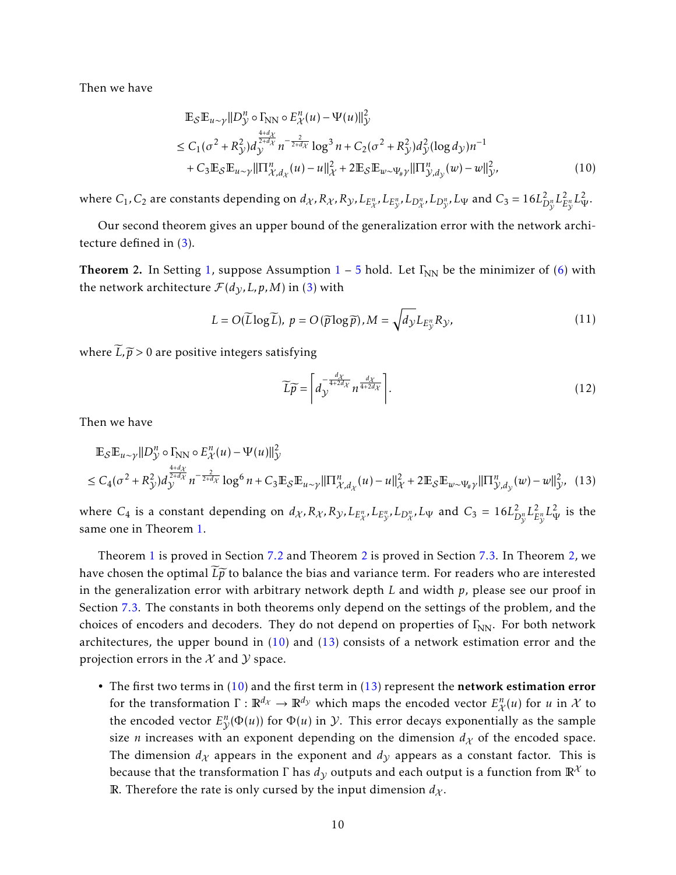Then we have

$$
\mathbb{E}_{\mathcal{S}}\mathbb{E}_{u \sim \gamma}||D_{\mathcal{Y}}^{n} \circ \Gamma_{\text{NN}} \circ E_{\mathcal{X}}^{n}(u) - \Psi(u)||_{\mathcal{Y}}^{2}
$$
\n
$$
\leq C_{1}(\sigma^{2} + R_{\mathcal{Y}}^{2})d_{\mathcal{Y}}^{\frac{4+d_{\chi}}{2+d_{\chi}}}n^{-\frac{2}{2+d_{\chi}}} \log^{3} n + C_{2}(\sigma^{2} + R_{\mathcal{Y}}^{2})d_{\mathcal{Y}}^{2}(\log d_{\mathcal{Y}})n^{-1}
$$
\n
$$
+ C_{3}\mathbb{E}_{\mathcal{S}}\mathbb{E}_{u \sim \gamma}||\Pi_{\mathcal{X},d_{\chi}}^{n}(u) - u||_{\mathcal{X}}^{2} + 2\mathbb{E}_{\mathcal{S}}\mathbb{E}_{w \sim \Psi_{\#} \gamma}||\Pi_{\mathcal{Y},d_{\mathcal{Y}}}^{n}(w) - w||_{\mathcal{Y}}^{2}, \tag{10}
$$

where  $C_1$ ,  $C_2$  are constants depending on  $d_\chi$ ,  $R_\chi$ ,  $R_\chi$ ,  $L_{E_\chi^n}$ ,  $L_{E_\chi^n}$ ,  $L_{D_\chi^n}$ ,  $L_{D_\chi^n}$ ,  $L_\Psi$  and  $C_3=16L_L^2$  $D_{\mathcal{V}}^n L_E^2$  $\frac{2}{E_{\mathcal{V}}^n} L_{\Psi}^2.$ 

Our second theorem gives an upper bound of the generalization error with the network architecture defined in [\(3\)](#page-4-1).

<span id="page-9-0"></span>**Theorem 2.** In Setting [1,](#page-4-2) suppose Assumption  $1 - 5$  $1 - 5$  $1 - 5$  hold. Let  $\Gamma_{NN}$  be the minimizer of [\(6\)](#page-6-2) with the network architecture  $\mathcal{F}(d_{\mathcal{Y}}, L, p, M)$  in [\(3\)](#page-4-1) with

$$
L = O(\widetilde{L}\log\widetilde{L}), \ p = O(\widetilde{p}\log\widetilde{p}), M = \sqrt{d_{\mathcal{Y}}}L_{E_{\mathcal{Y}}^n}R_{\mathcal{Y}},
$$
\n(11)

where  $\widetilde{L}, \widetilde{p} > 0$  are positive integers satisfying

<span id="page-9-3"></span><span id="page-9-2"></span><span id="page-9-1"></span>
$$
\widetilde{L}\widetilde{p} = \left[d_{\mathcal{Y}}^{\frac{d\chi}{4+2d\chi}}n^{\frac{d\chi}{4+2d\chi}}\right].\tag{12}
$$

Then we have

$$
\mathbb{E}_{\mathcal{S}}\mathbb{E}_{u \sim \gamma}||D_{\mathcal{Y}}^{n} \circ \Gamma_{\text{NN}} \circ E_{\mathcal{X}}^{n}(u) - \Psi(u)||_{\mathcal{Y}}^{2}
$$
\n
$$
\leq C_{4}(\sigma^{2} + R_{\mathcal{Y}}^{2})d_{\mathcal{Y}}^{\frac{4+d_{\mathcal{X}}}{2+d_{\mathcal{X}}}} n^{-\frac{2}{2+d_{\mathcal{X}}}} \log^{6} n + C_{3} \mathbb{E}_{\mathcal{S}}\mathbb{E}_{u \sim \gamma}||\Pi_{\mathcal{X},d_{\mathcal{X}}}^{n}(u) - u||_{\mathcal{X}}^{2} + 2 \mathbb{E}_{\mathcal{S}}\mathbb{E}_{w \sim \Psi_{\#} \gamma}||\Pi_{\mathcal{Y},d_{\mathcal{Y}}}^{n}(w) - w||_{\mathcal{Y}}^{2}, (13)
$$

where  $C_4$  is a constant depending on  $d_{\mathcal{X}}, R_{\mathcal{X}}, R_{\mathcal{Y}}, L_{E_{\mathcal{X}}^n}, L_{E_{\mathcal{Y}}^n}, L_{\mathcal{Y}}$  and  $C_3 = 16L_L^2$  $D_{\nu}^n L_E^2$  $\frac{2}{E^n_{\mathcal{V}}} L^2_{\mathcal{V}}$  is the same one in Theorem [1.](#page-8-2)

Theorem [1](#page-8-2) is proved in Section [7.2](#page-23-0) and Theorem [2](#page-9-0) is proved in Section [7.3.](#page-29-0) In Theorem [2,](#page-9-0) we have chosen the optimal  $\tilde{L}\tilde{p}$  to balance the bias and variance term. For readers who are interested in the generalization error with arbitrary network depth *L* and width *p*, please see our proof in Section [7.3.](#page-29-0) The constants in both theorems only depend on the settings of the problem, and the choices of encoders and decoders. They do not depend on properties of  $\Gamma_{NN}$ . For both network architectures, the upper bound in  $(10)$  and  $(13)$  consists of a network estimation error and the projection errors in the  $\mathcal X$  and  $\mathcal Y$  space.

• The first two terms in  $(10)$  and the first term in  $(13)$  represent the network estimation error for the transformation  $\Gamma: \mathbb{R}^{d_\chi} \to \mathbb{R}^{d_\chi}$  which maps the encoded vector  $E_\mathcal{X}^n(u)$  for  $u$  in  $\mathcal X$  to the encoded vector  $E_{\mathcal{V}}^n(\Phi(u))$  for  $\Phi(u)$  in  $\mathcal{Y}$ . This error decays exponentially as the sample size *n* increases with an exponent depending on the dimension  $d<sub>X</sub>$  of the encoded space. The dimension  $d_X$  appears in the exponent and  $d_Y$  appears as a constant factor. This is because that the transformation  $\Gamma$  has  $d<sub>V</sub>$  outputs and each output is a function from  $\mathbb{R}^{\mathcal{X}}$  to R. Therefore the rate is only cursed by the input dimension  $d_{\chi}$ .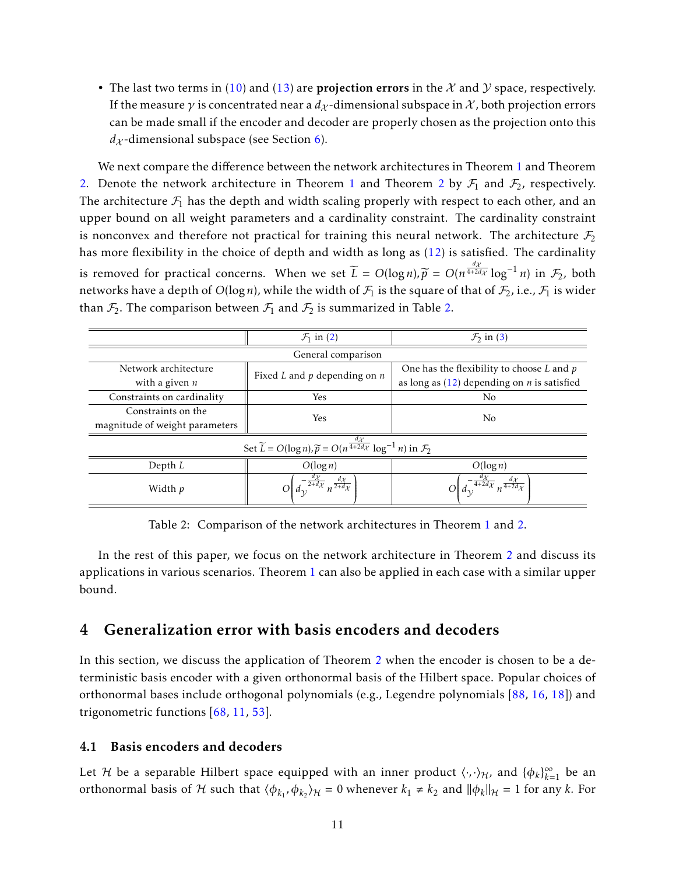• The last two terms in [\(10\)](#page-9-1) and [\(13\)](#page-9-2) are **projection errors** in the  $\mathcal{X}$  and  $\mathcal{Y}$  space, respectively. If the measure  $\gamma$  is concentrated near a  $d_{\chi}$ -dimensional subspace in  $\chi$ , both projection errors can be made small if the encoder and decoder are properly chosen as the projection onto this  $d_{\mathcal{X}}$ -dimensional subspace (see Section [6\)](#page-18-0).

We next compare the difference between the network architectures in Theorem [1](#page-8-2) and Theorem [2.](#page-9-0) Denote the network architecture in Theorem [1](#page-8-2) and Theorem [2](#page-9-0) by  $\mathcal{F}_1$  and  $\mathcal{F}_2$ , respectively. The architecture  $\mathcal{F}_1$  has the depth and width scaling properly with respect to each other, and an upper bound on all weight parameters and a cardinality constraint. The cardinality constraint is nonconvex and therefore not practical for training this neural network. The architecture  $\mathcal{F}_2$ has more flexibility in the choice of depth and width as long as [\(12\)](#page-9-3) is satisfied. The cardinality is removed for practical concerns. When we set  $\widetilde{L} = O(\log n), \widetilde{p} = O(n^{\frac{d\chi}{4+2d\chi}} \log^{-1} n)$  in  $\mathcal{F}_2$ , both networks have a depth of  $O(\log n)$ , while the width of  $\mathcal{F}_1$  is the square of that of  $\mathcal{F}_2$ , i.e.,  $\mathcal{F}_1$  is wider than  $\mathcal{F}_2$ . The comparison between  $\mathcal{F}_1$  and  $\mathcal{F}_2$  is summarized in Table [2.](#page-10-1)

|                                                                                                               | $\mathcal{F}_1$ in (2)                                      | $\mathcal{F}_2$ in (3)                               |  |  |  |  |  |
|---------------------------------------------------------------------------------------------------------------|-------------------------------------------------------------|------------------------------------------------------|--|--|--|--|--|
| General comparison                                                                                            |                                                             |                                                      |  |  |  |  |  |
| Network architecture                                                                                          | Fixed $L$ and $p$ depending on $n$                          | One has the flexibility to choose $L$ and $p$        |  |  |  |  |  |
| with a given $n$                                                                                              |                                                             | as long as $(12)$ depending on <i>n</i> is satisfied |  |  |  |  |  |
| Constraints on cardinality                                                                                    | Yes                                                         | No                                                   |  |  |  |  |  |
| Constraints on the                                                                                            | Yes                                                         | No                                                   |  |  |  |  |  |
| magnitude of weight parameters                                                                                |                                                             |                                                      |  |  |  |  |  |
| Set $\widetilde{L} = O(\log n), \widetilde{p} = O(n^{\frac{d\chi}{4+2d\chi}} \log^{-1} n)$ in $\mathcal{F}_2$ |                                                             |                                                      |  |  |  |  |  |
| Depth $L$                                                                                                     | $O(\log n)$                                                 | $O(\log n)$                                          |  |  |  |  |  |
| Width p                                                                                                       | $-\frac{u\chi}{2+d\chi}\frac{d\chi}{n^{\frac{1}{2+d\chi}}}$ | $\overline{4+2d\chi}$                                |  |  |  |  |  |

<span id="page-10-1"></span>Table 2: Comparison of the network architectures in Theorem [1](#page-8-2) and [2.](#page-9-0)

In the rest of this paper, we focus on the network architecture in Theorem [2](#page-9-0) and discuss its applications in various scenarios. Theorem [1](#page-8-2) can also be applied in each case with a similar upper bound.

### <span id="page-10-0"></span>4 Generalization error with basis encoders and decoders

In this section, we discuss the application of Theorem [2](#page-9-0) when the encoder is chosen to be a deterministic basis encoder with a given orthonormal basis of the Hilbert space. Popular choices of orthonormal bases include orthogonal polynomials (e.g., Legendre polynomials [\[88,](#page-42-12) [16,](#page-37-9) [18\]](#page-37-10)) and trigonometric functions [\[68,](#page-41-10) [11,](#page-37-11) [53\]](#page-40-12).

#### 4.1 Basis encoders and decoders

Let  $\mathcal H$  be a separable Hilbert space equipped with an inner product  $\langle\cdot,\cdot\rangle_{\mathcal H}$ , and  $\{\phi_k\}_{k=1}^\infty$  be an orthonormal basis of H such that  $\langle \phi_{k_1}, \phi_{k_2} \rangle_H = 0$  whenever  $k_1 \neq k_2$  and  $\|\phi_k\|_H = 1$  for any *k*. For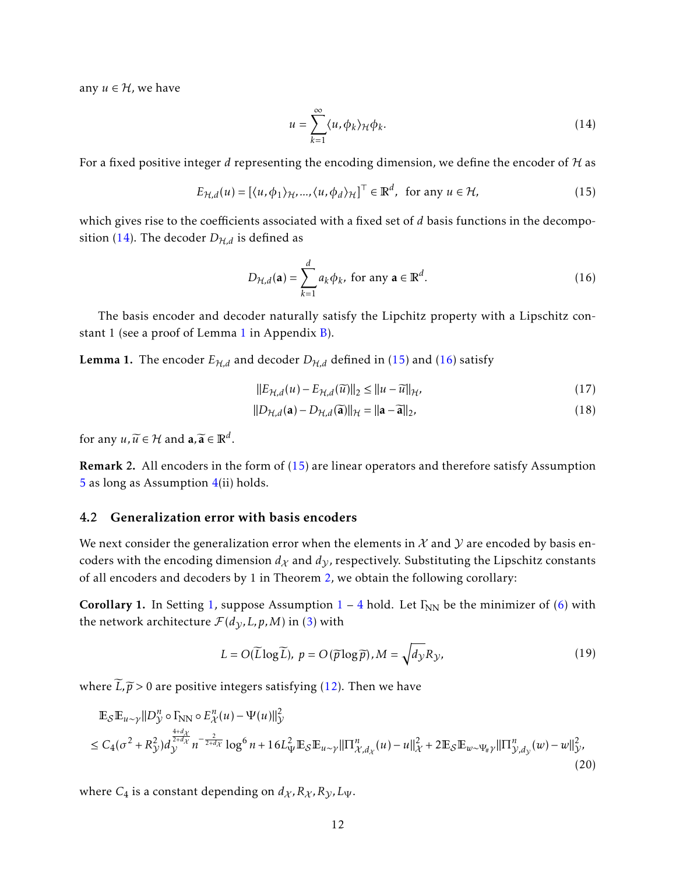any  $u \in H$ , we have

<span id="page-11-3"></span><span id="page-11-2"></span><span id="page-11-1"></span>
$$
u = \sum_{k=1}^{\infty} \langle u, \phi_k \rangle_{\mathcal{H}} \phi_k.
$$
 (14)

For a fixed positive integer *d* representing the encoding dimension, we define the encoder of H as

$$
E_{\mathcal{H},d}(u) = [\langle u, \phi_1 \rangle_{\mathcal{H}}, ..., \langle u, \phi_d \rangle_{\mathcal{H}}]^\top \in \mathbb{R}^d, \text{ for any } u \in \mathcal{H}, \tag{15}
$$

which gives rise to the coefficients associated with a fixed set of *d* basis functions in the decompo-sition [\(14\)](#page-11-1). The decoder  $D_{H,d}$  is defined as

$$
D_{\mathcal{H},d}(\mathbf{a}) = \sum_{k=1}^{d} a_k \phi_k, \text{ for any } \mathbf{a} \in \mathbb{R}^d.
$$
 (16)

The basis encoder and decoder naturally satisfy the Lipchitz property with a Lipschitz constant 1 (see a proof of Lemma [1](#page-11-0) in Appendix [B\)](#page-44-0).

<span id="page-11-0"></span>**Lemma 1.** The encoder  $E_{H,d}$  and decoder  $D_{H,d}$  defined in [\(15\)](#page-11-2) and [\(16\)](#page-11-3) satisfy

<span id="page-11-8"></span><span id="page-11-7"></span>
$$
||E_{\mathcal{H},d}(u) - E_{\mathcal{H},d}(\widetilde{u})||_2 \le ||u - \widetilde{u}||_{\mathcal{H}},
$$
\n(17)

$$
||D_{\mathcal{H},d}(\mathbf{a}) - D_{\mathcal{H},d}(\widetilde{\mathbf{a}})||_{\mathcal{H}} = ||\mathbf{a} - \widetilde{\mathbf{a}}||_{2},
$$
\n(18)

for any  $u, \widetilde{u} \in \mathcal{H}$  and  $\mathbf{a}, \widetilde{\mathbf{a}} \in \mathbb{R}^d$ .

Remark 2. All encoders in the form of [\(15\)](#page-11-2) are linear operators and therefore satisfy Assumption [5](#page-8-1) as long as Assumption  $4(ii)$  $4(ii)$  holds.

#### 4.2 Generalization error with basis encoders

We next consider the generalization error when the elements in  $\mathcal X$  and  $\mathcal Y$  are encoded by basis encoders with the encoding dimension  $d_X$  and  $d_Y$ , respectively. Substituting the Lipschitz constants of all encoders and decoders by 1 in Theorem [2,](#page-9-0) we obtain the following corollary:

<span id="page-11-5"></span>Corollary 1. In Setting [1,](#page-4-2) suppose Assumption  $1 - 4$  $1 - 4$  $1 - 4$  hold. Let  $\Gamma_{NN}$  be the minimizer of [\(6\)](#page-6-2) with the network architecture  $\mathcal{F}(d_{\gamma}, L, p, M)$  in [\(3\)](#page-4-1) with

<span id="page-11-6"></span><span id="page-11-4"></span>
$$
L = O(\widetilde{L}\log\widetilde{L}), \ p = O(\widetilde{p}\log\widetilde{p}), M = \sqrt{d_{\mathcal{Y}}}R_{\mathcal{Y}},
$$
\n(19)

where  $\widetilde{L}, \widetilde{p} > 0$  are positive integers satisfying [\(12\)](#page-9-3). Then we have

$$
\mathbb{E}_{\mathcal{S}}\mathbb{E}_{u \sim \gamma}||D_{\mathcal{Y}}^{n} \circ \Gamma_{NN} \circ E_{\mathcal{X}}^{n}(u) - \Psi(u)||_{\mathcal{Y}}^{2}
$$
\n
$$
\leq C_{4}(\sigma^{2} + R_{\mathcal{Y}}^{2})d_{\mathcal{Y}}^{\frac{4+d_{\mathcal{X}}}{2+d_{\mathcal{X}}}} n^{-\frac{2}{2+d_{\mathcal{X}}}} \log^{6} n + 16L_{\Psi}^{2}\mathbb{E}_{\mathcal{S}}\mathbb{E}_{u \sim \gamma}||\Pi_{\mathcal{X},d_{\mathcal{X}}}^{n}(u) - u||_{\mathcal{X}}^{2} + 2\mathbb{E}_{\mathcal{S}}\mathbb{E}_{w \sim \Psi_{\#} \gamma}||\Pi_{\mathcal{Y},d_{\mathcal{Y}}}^{n}(w) - w||_{\mathcal{Y}}^{2}, \tag{20}
$$

where  $C_4$  is a constant depending on  $d_{\mathcal{X}}$ ,  $R_{\mathcal{X}}$ ,  $R_{\mathcal{Y}}$ ,  $L_{\Psi}$ .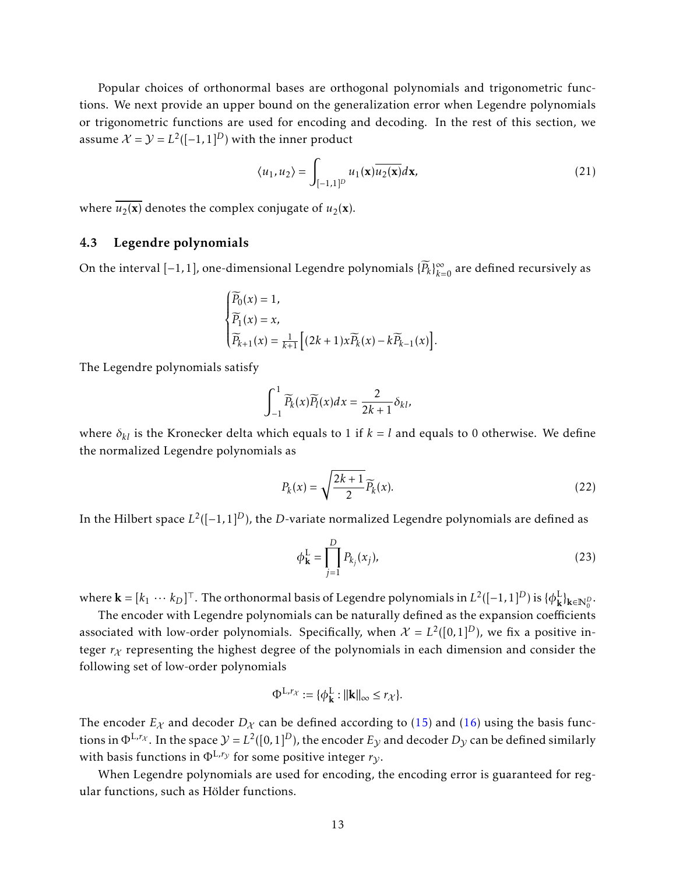Popular choices of orthonormal bases are orthogonal polynomials and trigonometric functions. We next provide an upper bound on the generalization error when Legendre polynomials or trigonometric functions are used for encoding and decoding. In the rest of this section, we assume  $\mathcal{X} = \mathcal{Y} = L^2([-1,1]^D)$  with the inner product

<span id="page-12-0"></span>
$$
\langle u_1, u_2 \rangle = \int_{[-1,1]^D} u_1(\mathbf{x}) \overline{u_2(\mathbf{x})} d\mathbf{x},\tag{21}
$$

where  $\overline{u_2(\mathbf{x})}$  denotes the complex conjugate of  $u_2(\mathbf{x})$ .

### 4.3 Legendre polynomials

On the interval  $[-1,1]$ , one-dimensional Legendre polynomials  $\{\widetilde{P}_k\}_{k=0}^\infty$  are defined recursively as

$$
\begin{cases} \widetilde{P_0}(x) = 1, \\ \widetilde{P_1}(x) = x, \\ \widetilde{P_{k+1}}(x) = \frac{1}{k+1} \left[ (2k+1)x \widetilde{P_k}(x) - k \widetilde{P_{k-1}}(x) \right]. \end{cases}
$$

The Legendre polynomials satisfy

$$
\int_{-1}^{1} \widetilde{P}_k(x) \widetilde{P}_l(x) dx = \frac{2}{2k+1} \delta_{kl},
$$

where  $\delta_{kl}$  is the Kronecker delta which equals to 1 if  $k = l$  and equals to 0 otherwise. We define the normalized Legendre polynomials as

$$
P_k(x) = \sqrt{\frac{2k+1}{2}} \widetilde{P}_k(x). \tag{22}
$$

In the Hilbert space *L* 2 ([−1*,*1]*D*), the *D*-variate normalized Legendre polynomials are defined as

$$
\phi_{\mathbf{k}}^{\mathbf{L}} = \prod_{j=1}^{D} P_{k_j}(x_j),
$$
\n(23)

where  $\mathbf{k}=[k_1\ \cdots\ k_D]^\top.$  The orthonormal basis of Legendre polynomials in  $L^2([-1,1]^D)$  is  $\{\phi_\mathbf{k}^\text{L}$ <sup>L</sup>}<sub>k∈N</sub><sup>D</sup>.

The encoder with Legendre polynomials can be naturally defined as the expansion coefficients associated with low-order polynomials. Specifically, when  $\mathcal{X} = L^2([0,1]^D)$ , we fix a positive integer  $r<sub>X</sub>$  representing the highest degree of the polynomials in each dimension and consider the following set of low-order polynomials

$$
\Phi^{\mathcal{L},r_{\mathcal{X}}} := \{ \phi^{\mathcal{L}}_{\mathbf{k}} : ||\mathbf{k}||_{\infty} \leq r_{\mathcal{X}} \}.
$$

The encoder  $E_\chi$  and decoder  $D_\chi$  can be defined according to [\(15\)](#page-11-2) and [\(16\)](#page-11-3) using the basis functions in  $\Phi^{L,r_X}.$  In the space  $\mathcal{Y}=L^2([0,1]^D)$ , the encoder  $E_\mathcal{Y}$  and decoder  $D_\mathcal{Y}$  can be defined similarly with basis functions in  $\Phi^{L,r_y}$  for some positive integer  $r_y$ .

When Legendre polynomials are used for encoding, the encoding error is guaranteed for regular functions, such as Hölder functions.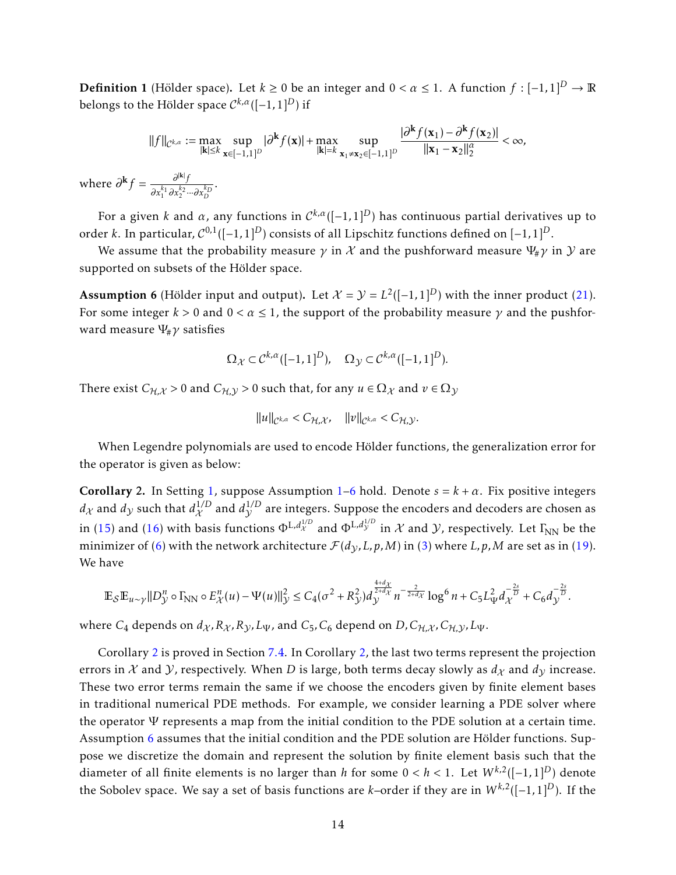**Definition 1** (Hölder space). Let  $k \ge 0$  be an integer and  $0 < \alpha \le 1$ . A function  $f : [-1,1]^D \to \mathbb{R}$ belongs to the Hölder space  $\mathcal{C}^{k, \alpha}([-1, 1]^D)$  if

$$
||f||_{\mathcal{C}^{k,\alpha}} := \max_{|\mathbf{k}| \leq k} \sup_{\mathbf{x} \in [-1,1]^D} |\partial^{\mathbf{k}} f(\mathbf{x})| + \max_{|\mathbf{k}| = k} \sup_{\mathbf{x}_1 \neq \mathbf{x}_2 \in [-1,1]^D} \frac{|\partial^{\mathbf{k}} f(\mathbf{x}_1) - \partial^{\mathbf{k}} f(\mathbf{x}_2)|}{||\mathbf{x}_1 - \mathbf{x}_2||_2^{\alpha}} < \infty,
$$

where  $\partial^{\bf k} f = \frac{\partial^{|{\bf k}|} f}{\partial |{\bf k}| \partial {\bf k}^2}$  $\partial x_1^{k_1} \partial x_2^{k_2} \cdots \partial x_D^{k_D}$ 

For a given *k* and  $\alpha$ , any functions in  $\mathcal{C}^{k,\alpha}([-1,1]^D)$  has continuous partial derivatives up to order *k*. In particular, C 0*,*1 ([−1*,*1]*D*) consists of all Lipschitz functions defined on [−1*,*1]*D*.

We assume that the probability measure  $\gamma$  in X and the pushforward measure  $\Psi_{\mu}\gamma$  in Y are supported on subsets of the Hölder space.

<span id="page-13-0"></span>**Assumption 6** (Hölder input and output). Let  $\mathcal{X} = \mathcal{Y} = L^2([-1,1]^D)$  with the inner product [\(21\)](#page-12-0). For some integer  $k > 0$  and  $0 < \alpha \leq 1$ , the support of the probability measure  $\gamma$  and the pushforward measure Ψ#*γ* satisfies

$$
\Omega_{\mathcal{X}} \subset \mathcal{C}^{k,\alpha}([-1,1]^D), \quad \Omega_{\mathcal{Y}} \subset \mathcal{C}^{k,\alpha}([-1,1]^D).
$$

There exist  $C_{H,X} > 0$  and  $C_{H,Y} > 0$  such that, for any  $u \in \Omega_X$  and  $v \in \Omega_Y$ 

$$
\|u\|_{\mathcal{C}^{k,\alpha}} < C_{\mathcal{H},\mathcal{X}}, \quad \|v\|_{\mathcal{C}^{k,\alpha}} < C_{\mathcal{H},\mathcal{Y}}.
$$

When Legendre polynomials are used to encode Hölder functions, the generalization error for the operator is given as below:

<span id="page-13-1"></span>Corollary 2. In Setting [1,](#page-4-2) suppose Assumption  $1-6$  $1-6$  hold. Denote  $s = k + \alpha$ . Fix positive integers  $d_\mathcal{X}$  and  $d_\mathcal{Y}$  such that  $d_\mathcal{X}^{1/D}$  and  $d_\mathcal{Y}^{1/D}$  are integers. Suppose the encoders and decoders are chosen as in [\(15\)](#page-11-2) and [\(16\)](#page-11-3) with basis functions  $\Phi^{L,d^{1/D}}_x$  and  $\Phi^{L,d^{1/D}_y}$  in  $\mathcal X$  and  $\mathcal Y$ , respectively. Let  $\Gamma_{\rm NN}$  be the minimizer of [\(6\)](#page-6-2) with the network architecture  $\mathcal{F}(d_V, L, p, M)$  in [\(3\)](#page-4-1) where *L*, *p*, *M* are set as in [\(19\)](#page-11-4). We have

$$
\mathbb{E}_{\mathcal{S}}\mathbb{E}_{u\sim \gamma}||D_{\mathcal{Y}}^{n}\circ \Gamma_{\rm NN}\circ E_{\mathcal{X}}^{n}(u)-\Psi(u)||_{\mathcal{Y}}^{2} \leq C_{4}(\sigma^{2}+R_{\mathcal{Y}}^{2})d_{\mathcal{Y}}^{\frac{4+d_{\mathcal{X}}}{2+d_{\mathcal{X}}}}n^{-\frac{2}{2+d_{\mathcal{X}}}}\log^{6}n+C_{5}L_{\Psi}^{2}d_{\mathcal{X}}^{-\frac{2s}{D}}+C_{6}d_{\mathcal{Y}}^{-\frac{2s}{D}}.
$$

where  $C_4$  depends on  $d_\chi$ ,  $R_\chi$ ,  $R_\gamma$ ,  $L_\Psi$ , and  $C_5$ ,  $C_6$  depend on  $D$ ,  $C_{\mathcal{H},\chi}$ ,  $C_{\mathcal{H},\chi}$ ,  $L_\Psi$ .

Corollary [2](#page-13-1) is proved in Section [7.4.](#page-32-0) In Corollary [2,](#page-13-1) the last two terms represent the projection errors in X and *Y*, respectively. When *D* is large, both terms decay slowly as  $d<sub>X</sub>$  and  $d<sub>Y</sub>$  increase. These two error terms remain the same if we choose the encoders given by finite element bases in traditional numerical PDE methods. For example, we consider learning a PDE solver where the operator  $\Psi$  represents a map from the initial condition to the PDE solution at a certain time. Assumption [6](#page-13-0) assumes that the initial condition and the PDE solution are Hölder functions. Suppose we discretize the domain and represent the solution by finite element basis such that the diameter of all finite elements is no larger than *h* for some  $0 < h < 1$ . Let  $W^{k,2}([-1,1]^D)$  denote the Sobolev space. We say a set of basis functions are *k*–order if they are in *W k,*<sup>2</sup> ([−1*,*1]*D*). If the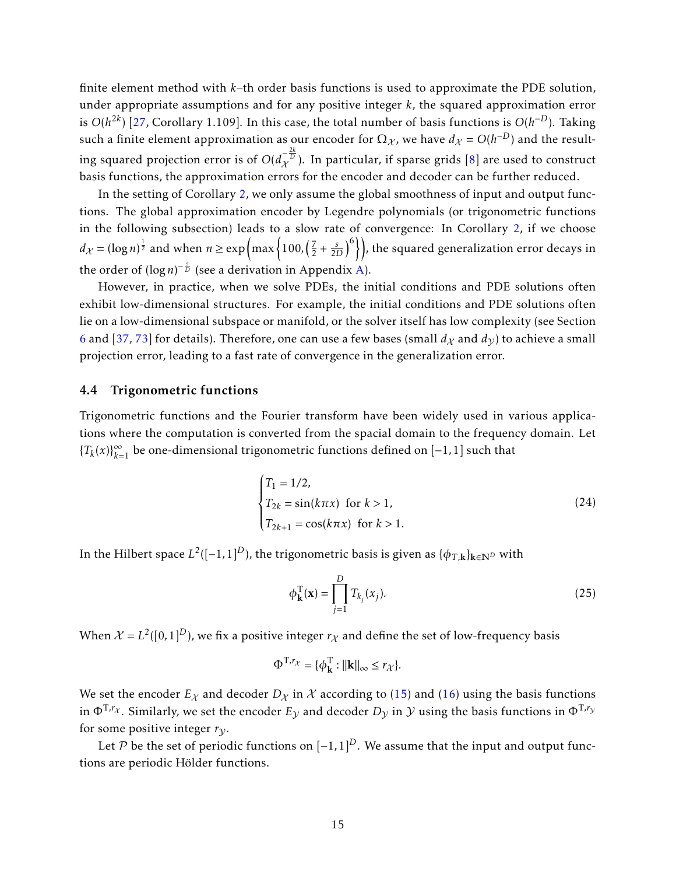finite element method with *k*–th order basis functions is used to approximate the PDE solution, under appropriate assumptions and for any positive integer *k*, the squared approximation error is  $O(h^{2k})$  [\[27,](#page-38-14) Corollary 1.109]. In this case, the total number of basis functions is  $O(h^{-D})$ . Taking such a finite element approximation as our encoder for  $\Omega_\mathcal{X}$ , we have  $d_\mathcal{X} = O(h^{-D})$  and the resulting squared projection error is of  $O(d_{\mathcal{X}}^{-\frac{2k}{D}}).$  In particular, if sparse grids [\[8\]](#page-37-12) are used to construct basis functions, the approximation errors for the encoder and decoder can be further reduced.

In the setting of Corollary [2,](#page-13-1) we only assume the global smoothness of input and output functions. The global approximation encoder by Legendre polynomials (or trigonometric functions in the following subsection) leads to a slow rate of convergence: In Corollary [2,](#page-13-1) if we choose  $d_{\mathcal{X}} = (\log n)^{\frac{1}{2}}$  and when  $n \geq \exp\left(\max\left\{100,\left(\frac{7}{2}\right)\right\}\right)$  $\left( \frac{7}{2} + \frac{s}{2D} \right)^6$ ), the squared generalization error decays in the order of  $(\log n)^{-\frac{s}{D}}$  (see a derivation in Appendix [A\)](#page-43-2).

However, in practice, when we solve PDEs, the initial conditions and PDE solutions often exhibit low-dimensional structures. For example, the initial conditions and PDE solutions often lie on a low-dimensional subspace or manifold, or the solver itself has low complexity (see Section [6](#page-18-0) and [\[37,](#page-39-14) [73\]](#page-41-11) for details). Therefore, one can use a few bases (small  $d<sub>X</sub>$  and  $d<sub>V</sub>$ ) to achieve a small projection error, leading to a fast rate of convergence in the generalization error.

#### 4.4 Trigonometric functions

Trigonometric functions and the Fourier transform have been widely used in various applications where the computation is converted from the spacial domain to the frequency domain. Let  ${T<sub>k</sub>(x)}<sub>k=1</sub><sup>∞</sup>$  be one-dimensional trigonometric functions defined on [−1,1] such that

$$
\begin{cases}\nT_1 = 1/2, \\
T_{2k} = \sin(k\pi x) \text{ for } k > 1, \\
T_{2k+1} = \cos(k\pi x) \text{ for } k > 1.\n\end{cases}
$$
\n(24)

In the Hilbert space  $L^2([-1,1]^D)$ , the trigonometric basis is given as  $\{\phi_{T, \mathbf{k}}\}_{\mathbf{k} \in \mathbb{N}^D}$  with

<span id="page-14-0"></span>
$$
\phi_{\mathbf{k}}^{\mathrm{T}}(\mathbf{x}) = \prod_{j=1}^{D} T_{k_j}(x_j). \tag{25}
$$

When  $\mathcal{X} = L^2([0,1]^D)$ , we fix a positive integer  $r_{\mathcal{X}}$  and define the set of low-frequency basis

$$
\Phi^{\mathrm{T},r_{\chi}} = \{ \phi^{\mathrm{T}}_{\mathbf{k}} : ||\mathbf{k}||_{\infty} \leq r_{\chi} \}.
$$

We set the encoder  $E_X$  and decoder  $D_X$  in X according to [\(15\)](#page-11-2) and [\(16\)](#page-11-3) using the basis functions in  $\Phi^{\rm T,r_X}.$  Similarly, we set the encoder  $E_\mathcal{Y}$  and decoder  $D_\mathcal{Y}$  in  $\mathcal{Y}$  using the basis functions in  $\Phi^{\rm T,r_Y}$ for some positive integer  $r_{\gamma}$ .

Let P be the set of periodic functions on  $[-1,1]^D$ . We assume that the input and output functions are periodic Hölder functions.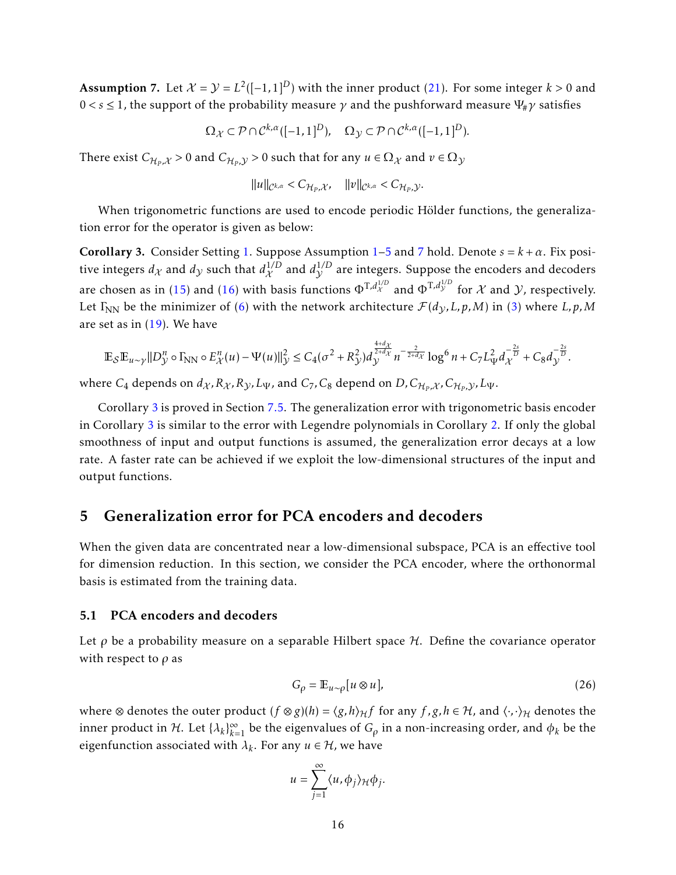<span id="page-15-1"></span>**Assumption 7.** Let  $\mathcal{X} = \mathcal{Y} = L^2([-1,1]^D)$  with the inner product [\(21\)](#page-12-0). For some integer  $k > 0$  and  $0 < s \leq 1$ , the support of the probability measure  $\gamma$  and the pushforward measure  $\Psi_{\mu} \gamma$  satisfies

$$
\Omega_{\mathcal{X}} \subset \mathcal{P} \cap \mathcal{C}^{k,\alpha}([-1,1]^D), \quad \Omega_{\mathcal{Y}} \subset \mathcal{P} \cap \mathcal{C}^{k,\alpha}([-1,1]^D).
$$

There exist  $C_{\mathcal{H}_P,\mathcal{X}} > 0$  and  $C_{\mathcal{H}_P,\mathcal{Y}} > 0$  such that for any  $u \in \Omega_\mathcal{X}$  and  $v \in \Omega_\mathcal{Y}$ 

$$
\|u\|_{\mathcal{C}^{k,\alpha}}
$$

When trigonometric functions are used to encode periodic Hölder functions, the generalization error for the operator is given as below:

<span id="page-15-2"></span>Corollary 3. Consider Setting [1.](#page-4-2) Suppose Assumption  $1-5$  $1-5$  and [7](#page-15-1) hold. Denote  $s = k + \alpha$ . Fix positive integers  $d_\mathcal{X}$  and  $d_\mathcal{Y}$  such that  $d_\mathcal{X}^{1/D}$  and  $d_\mathcal{Y}^{1/D}$  are integers. Suppose the encoders and decoders are chosen as in [\(15\)](#page-11-2) and [\(16\)](#page-11-3) with basis functions  $\Phi^{T,d^{1/D}}_x$  and  $\Phi^{T,d^{1/D}}_y$  for  $\mathcal X$  and  $\mathcal Y$ , respectively. Let  $\Gamma_{NN}$  be the minimizer of [\(6\)](#page-6-2) with the network architecture  $\mathcal{F}(d_V, L, p, M)$  in [\(3\)](#page-4-1) where *L*, *p*, *M* are set as in  $(19)$ . We have

$$
\mathbb{E}_{\mathcal{S}}\mathbb{E}_{u \sim \gamma}||D_{\mathcal{Y}}^{n} \circ \Gamma_{\rm NN} \circ E_{\mathcal{X}}^{n}(u) - \Psi(u)||_{\mathcal{Y}}^{2} \leq C_{4}(\sigma^{2} + R_{\mathcal{Y}}^{2})d_{\mathcal{Y}}^{\frac{4+d_{\mathcal{X}}}{2+d_{\mathcal{X}}}} n^{-\frac{2}{2+d_{\mathcal{X}}}} \log^{6} n + C_{7}L_{\Psi}^{2} d_{\mathcal{X}}^{-\frac{2s}{D}} + C_{8}d_{\mathcal{Y}}^{-\frac{2s}{D}}.
$$

where  $C_4$  depends on  $d_\chi$  ,  $R_\chi$  ,  $R_\chi$  ,  $L_\Psi$  , and  $C_7$  ,  $C_8$  depend on  $D$  ,  $C_{\mathcal{H}_P,\chi}$  ,  $C_{\mathcal{H}_P,\mathcal{Y}}$  ,  $L_\Psi$  .

Corollary [3](#page-15-2) is proved in Section [7.5.](#page-33-0) The generalization error with trigonometric basis encoder in Corollary [3](#page-15-2) is similar to the error with Legendre polynomials in Corollary [2.](#page-13-1) If only the global smoothness of input and output functions is assumed, the generalization error decays at a low rate. A faster rate can be achieved if we exploit the low-dimensional structures of the input and output functions.

### <span id="page-15-0"></span>5 Generalization error for PCA encoders and decoders

When the given data are concentrated near a low-dimensional subspace, PCA is an effective tool for dimension reduction. In this section, we consider the PCA encoder, where the orthonormal basis is estimated from the training data.

#### 5.1 PCA encoders and decoders

Let  $\rho$  be a probability measure on a separable Hilbert space  $H$ . Define the covariance operator with respect to *ρ* as

$$
G_{\rho} = \mathbb{E}_{u \sim \rho}[u \otimes u],\tag{26}
$$

where ⊗ denotes the outer product  $(f \otimes g)(h) = \langle g, h \rangle_H f$  for any  $f, g, h \in H$ , and  $\langle \cdot, \cdot \rangle_H$  denotes the inner product in  $H$ . Let  $\{\lambda_k\}_{k=1}^{\infty}$  be the eigenvalues of  $G_\rho$  in a non-increasing order, and  $\phi_k$  be the eigenfunction associated with  $\lambda_k$ . For any  $u \in H$ , we have

$$
u = \sum_{j=1}^{\infty} \langle u, \phi_j \rangle_{\mathcal{H}} \phi_j.
$$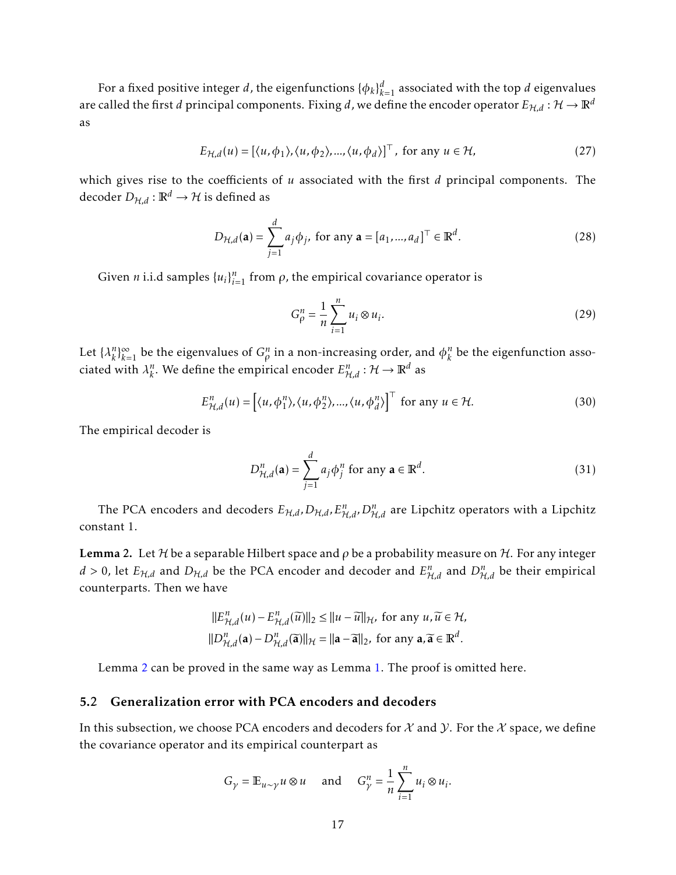For a fixed positive integer *d*, the eigenfunctions  $\{\phi_k\}_{k=1}^d$  associated with the top *d* eigenvalues are called the first *d* principal components. Fixing *d*, we define the encoder operator  $E_{H,d}$  :  $H \to \mathbb{R}^d$ as

$$
E_{\mathcal{H},d}(u) = \left[ \langle u, \phi_1 \rangle, \langle u, \phi_2 \rangle, \dots, \langle u, \phi_d \rangle \right]^\top, \text{ for any } u \in \mathcal{H}, \tag{27}
$$

which gives rise to the coefficients of *u* associated with the first *d* principal components. The decoder  $D_{H,d} : \mathbb{R}^d \to \mathcal{H}$  is defined as

$$
D_{\mathcal{H},d}(\mathbf{a}) = \sum_{j=1}^{d} a_j \phi_j, \text{ for any } \mathbf{a} = [a_1, ..., a_d]^\top \in \mathbb{R}^d.
$$
 (28)

Given *n* i.i.d samples  $\{u_i\}_{i=1}^n$  from  $\rho$ , the empirical covariance operator is

$$
G_{\rho}^{n} = \frac{1}{n} \sum_{i=1}^{n} u_i \otimes u_i.
$$
 (29)

Let  $\{\lambda_k^n\}$  ${}_{k}^{n}\}_{k=1}^{\infty}$  be the eigenvalues of  $G_{\rho}^{n}$  in a non-increasing order, and  $\phi_{k}^{n}$  $\binom{n}{k}$  be the eigenfunction associated with  $\lambda_k^n$  $k$ . We define the empirical encoder  $E_{\mathcal{H},d}^n : \mathcal{H} \to \mathbb{R}^d$  as

$$
E_{\mathcal{H},d}^{n}(u) = \left[ \langle u, \phi_{1}^{n} \rangle, \langle u, \phi_{2}^{n} \rangle, ..., \langle u, \phi_{d}^{n} \rangle \right]^{\top} \text{ for any } u \in \mathcal{H}.
$$
 (30)

The empirical decoder is

$$
D_{\mathcal{H},d}^{n}(\mathbf{a}) = \sum_{j=1}^{d} a_j \phi_j^{n} \text{ for any } \mathbf{a} \in \mathbb{R}^d.
$$
 (31)

The PCA encoders and decoders  $E_{\mathcal{H},d}$ *,*  $D_{\mathcal{H},d}$ *,*  $E_{\mathcal{H},d}^n$ *,*  $D_{\mathcal{H},d}^n$  are Lipchitz operators with a Lipchitz constant 1.

<span id="page-16-0"></span>**Lemma 2.** Let H be a separable Hilbert space and  $\rho$  be a probability measure on H. For any integer  $d > 0$ , let  $E_{H,d}$  and  $D_{H,d}$  be the PCA encoder and decoder and  $E_{H,d}^n$  and  $D_{H,d}^n$  be their empirical counterparts. Then we have

$$
\begin{aligned} ||E_{\mathcal{H},d}^n(u) - E_{\mathcal{H},d}^n(\widetilde{u})||_2 &\le ||u - \widetilde{u}||_{\mathcal{H}}, \text{ for any } u, \widetilde{u} \in \mathcal{H}, \\ ||D_{\mathcal{H},d}^n(\mathbf{a}) - D_{\mathcal{H},d}^n(\widetilde{\mathbf{a}})||_{\mathcal{H}} &= ||\mathbf{a} - \widetilde{\mathbf{a}}||_2, \text{ for any } \mathbf{a}, \widetilde{\mathbf{a}} \in \mathbb{R}^d. \end{aligned}
$$

Lemma [2](#page-16-0) can be proved in the same way as Lemma [1.](#page-11-0) The proof is omitted here.

#### 5.2 Generalization error with PCA encoders and decoders

In this subsection, we choose PCA encoders and decoders for  $\mathcal X$  and  $\mathcal Y$ . For the  $\mathcal X$  space, we define the covariance operator and its empirical counterpart as

$$
G_{\gamma} = \mathbb{E}_{u \sim \gamma} u \otimes u \quad \text{and} \quad G_{\gamma}^{n} = \frac{1}{n} \sum_{i=1}^{n} u_{i} \otimes u_{i}.
$$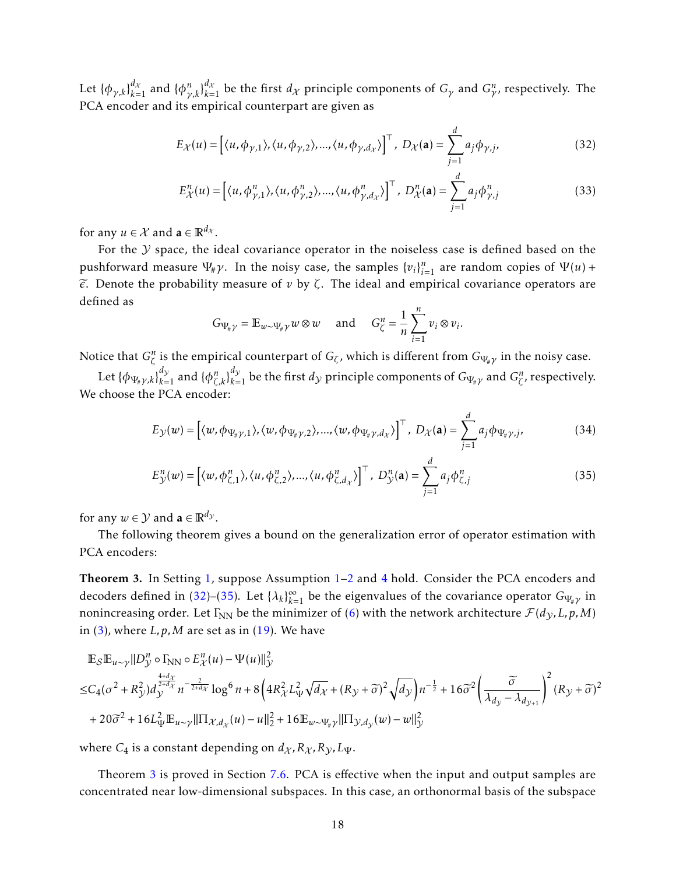Let  $\{\phi_{\gamma,k}\}_{k=1}^{d_X}$  and  $\{\phi_{\gamma,k}^n\}_{k=1}^{d_X}$  be the first  $d_X$  principle components of  $G_\gamma$  and  $G_\gamma^n$ , respectively. The PCA encoder and its empirical counterpart are given as

$$
E_{\mathcal{X}}(u) = \left[ \langle u, \phi_{\gamma,1} \rangle, \langle u, \phi_{\gamma,2} \rangle, \dots, \langle u, \phi_{\gamma,d_{\mathcal{X}}} \rangle \right]^{\top}, \ D_{\mathcal{X}}(\mathbf{a}) = \sum_{j=1}^{d} a_j \phi_{\gamma,j}, \tag{32}
$$

<span id="page-17-0"></span>
$$
E_{\mathcal{X}}^n(u) = \left[ \langle u, \phi_{\gamma,1}^n \rangle, \langle u, \phi_{\gamma,2}^n \rangle, \dots, \langle u, \phi_{\gamma,d_{\mathcal{X}}}^n \rangle \right]^\top, \ D_{\mathcal{X}}^n(\mathbf{a}) = \sum_{j=1}^d a_j \phi_{\gamma,j}^n \tag{33}
$$

for any  $u \in \mathcal{X}$  and  $\mathbf{a} \in \mathbb{R}^{d_{\mathcal{X}}}$ .

For the  $Y$  space, the ideal covariance operator in the noiseless case is defined based on the pushforward measure  $\Psi_{\#}\gamma$ . In the noisy case, the samples  $\{v_i\}_{i=1}^n$  are random copies of  $\Psi(u)$  +  $\widetilde{\epsilon}$ . Denote the probability measure of  $v$  by  $\zeta$ . The ideal and empirical covariance operators are defined as

<span id="page-17-1"></span>
$$
G_{\Psi_{\sharp}\gamma} = \mathbb{E}_{w \sim \Psi_{\sharp}\gamma} w \otimes w \quad \text{and} \quad G_{\zeta}^{n} = \frac{1}{n} \sum_{i=1}^{n} v_{i} \otimes v_{i}.
$$

Notice that  $G^n_\zeta$  is the empirical counterpart of  $G_\zeta$ , which is different from  $G_{\Psi_\# \gamma}$  in the noisy case.

Let  $\{\phi_{\Psi_\# \gamma, k}\}_{k=1}^{d_\mathcal{Y}}$  and  $\{\phi_{\zeta, k}^n\}_{k=1}^{d_\mathcal{Y}}$  be the first  $d_\mathcal{Y}$  principle components of  $G_{\Psi_\# \gamma}$  and  $G_\zeta^n$ , respectively. We choose the PCA encoder:

$$
E_{\mathcal{Y}}(w) = \left[ \langle w, \phi_{\Psi_{\#} \gamma, 1} \rangle, \langle w, \phi_{\Psi_{\#} \gamma, 2} \rangle, ..., \langle w, \phi_{\Psi_{\#} \gamma, d_{\mathcal{X}}} \rangle \right]^\top, \ D_{\mathcal{X}}(\mathbf{a}) = \sum_{j=1}^d a_j \phi_{\Psi_{\#} \gamma, j}, \tag{34}
$$

$$
E_{\mathcal{Y}}^{n}(w) = \left[ \langle w, \phi_{\zeta,1}^{n} \rangle, \langle u, \phi_{\zeta,2}^{n} \rangle, ..., \langle u, \phi_{\zeta,d_{\chi}}^{n} \rangle \right]^{T}, \ D_{\mathcal{Y}}^{n}(\mathbf{a}) = \sum_{j=1}^{d} a_{j} \phi_{\zeta,j}^{n}
$$
(35)

for any  $w \in \mathcal{Y}$  and  $\mathbf{a} \in \mathbb{R}^{d_{\mathcal{Y}}}$ .

The following theorem gives a bound on the generalization error of operator estimation with PCA encoders:

<span id="page-17-2"></span>Theorem 3. In Setting [1,](#page-4-2) suppose Assumption [1](#page-6-3)[–2](#page-7-1) and [4](#page-8-0) hold. Consider the PCA encoders and decoders defined in [\(32\)](#page-17-0)–[\(35\)](#page-17-1). Let  $\{\lambda_k\}_{k=1}^{\infty}$  be the eigenvalues of the covariance operator  $G_{\Psi_{\#} \gamma}$  in nonincreasing order. Let  $\Gamma_{NN}$  be the minimizer of [\(6\)](#page-6-2) with the network architecture  $\mathcal{F}(d_{\mathcal{Y}}, L, p, M)$ in  $(3)$ , where *L*, *p*, *M* are set as in  $(19)$ . We have

$$
\mathbb{E}_{\mathcal{S}}\mathbb{E}_{u\sim\gamma}||D_{\mathcal{Y}}^{n} \circ \Gamma_{\rm NN} \circ E_{\mathcal{X}}^{n}(u) - \Psi(u)||_{\mathcal{Y}}^{2}
$$
\n
$$
\leq C_{4}(\sigma^{2} + R_{\mathcal{Y}}^{2})d_{\mathcal{Y}}^{\frac{4+d_{\mathcal{X}}}{2+d_{\mathcal{X}}}} n^{-\frac{2}{2+d_{\mathcal{X}}}} \log^{6} n + 8\left(4R_{\mathcal{X}}^{2}L_{\Psi}^{2}\sqrt{d_{\mathcal{X}}} + (R_{\mathcal{Y}} + \widetilde{\sigma})^{2}\sqrt{d_{\mathcal{Y}}}\right) n^{-\frac{1}{2}} + 16\widetilde{\sigma}^{2}\left(\frac{\widetilde{\sigma}}{\lambda_{d_{\mathcal{Y}}}-\lambda_{d_{\mathcal{Y}+1}}}\right)^{2} (R_{\mathcal{Y}} + \widetilde{\sigma})^{2}
$$
\n
$$
+ 20\widetilde{\sigma}^{2} + 16L_{\Psi}^{2}\mathbb{E}_{u\sim\gamma}||\Pi_{\mathcal{X},d_{\mathcal{X}}}(u) - u||_{2}^{2} + 16\mathbb{E}_{w\sim\Psi_{\#}\gamma}||\Pi_{\mathcal{Y},d_{\mathcal{Y}}}(w) - w||_{\mathcal{Y}}^{2}
$$

where  $C_4$  is a constant depending on  $d_{\chi}, R_{\chi}, R_{\gamma}, L_{\Psi}$ .

Theorem [3](#page-17-2) is proved in Section [7.6.](#page-34-0) PCA is effective when the input and output samples are concentrated near low-dimensional subspaces. In this case, an orthonormal basis of the subspace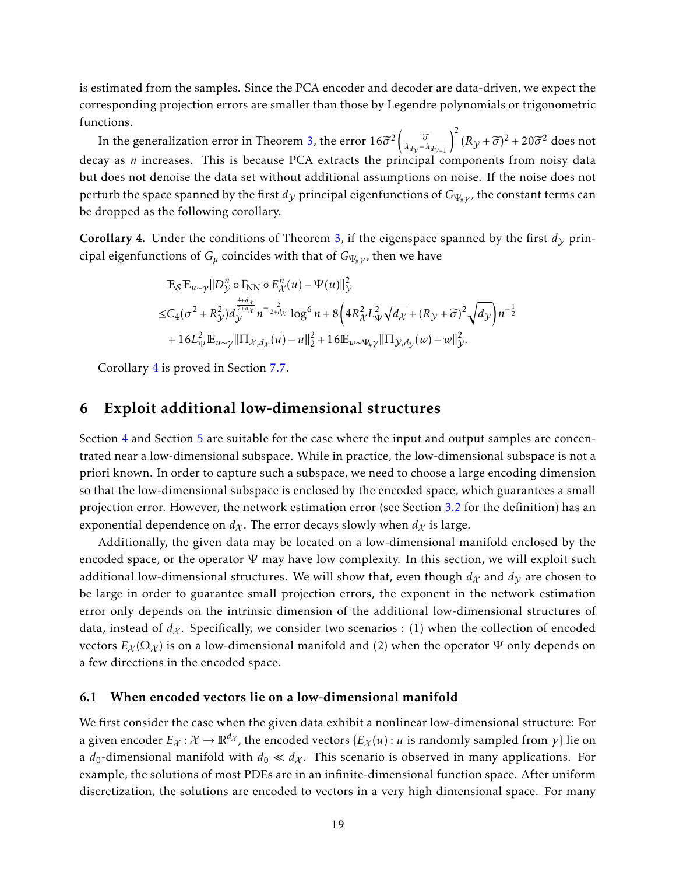is estimated from the samples. Since the PCA encoder and decoder are data-driven, we expect the corresponding projection errors are smaller than those by Legendre polynomials or trigonometric functions.

In the generalization error in Theorem [3,](#page-17-2) the error  $16\widetilde{\sigma}^2\left(\frac{\widetilde{\sigma}}{\lambda_{d\mathcal{Y}}-\lambda_{d\mathcal{Y}+1}}\right)^2(R\mathcal{Y}+\widetilde{\sigma})^2+20\widetilde{\sigma}^2$  does not decay as *n* increases. This is because PCA extracts the principal components from noisy data but does not denoise the data set without additional assumptions on noise. If the noise does not perturb the space spanned by the first  $d<sub>y</sub>$  principal eigenfunctions of  $G<sub>Ψ<sub>#</sub>γ</sub>$ , the constant terms can be dropped as the following corollary.

<span id="page-18-1"></span>**Corollary 4.** Under the conditions of Theorem [3,](#page-17-2) if the eigenspace spanned by the first  $d<sub>y</sub>$  principal eigenfunctions of  $G_\mu$  coincides with that of  $G_{\Psi_\mu \nu}$ , then we have

$$
\mathbb{E}_{\mathcal{S}}\mathbb{E}_{u \sim \gamma}||D_{\mathcal{Y}}^{n} \circ \Gamma_{\text{NN}} \circ E_{\mathcal{X}}^{n}(u) - \Psi(u)||_{\mathcal{Y}}^{2}
$$
\n
$$
\leq C_{4}(\sigma^{2} + R_{\mathcal{Y}}^{2}) d_{\mathcal{Y}}^{\frac{4+d_{\mathcal{X}}}{2+d_{\mathcal{X}}}} n^{-\frac{2}{2+d_{\mathcal{X}}}} \log^{6} n + 8\left(4R_{\mathcal{X}}^{2} L_{\Psi}^{2} \sqrt{d_{\mathcal{X}}} + (R_{\mathcal{Y}} + \tilde{\sigma})^{2} \sqrt{d_{\mathcal{Y}}}\right) n^{-\frac{1}{2}}
$$
\n
$$
+ 16L_{\Psi}^{2} \mathbb{E}_{u \sim \gamma} ||\Pi_{\mathcal{X}, d_{\mathcal{X}}}(u) - u||_{2}^{2} + 16 \mathbb{E}_{w \sim \Psi_{\#} \gamma} ||\Pi_{\mathcal{Y}, d_{\mathcal{Y}}}(w) - w||_{\mathcal{Y}}^{2}.
$$

Corollary [4](#page-18-1) is proved in Section [7.7.](#page-34-1)

### <span id="page-18-0"></span>6 Exploit additional low-dimensional structures

Section [4](#page-10-0) and Section [5](#page-15-0) are suitable for the case where the input and output samples are concentrated near a low-dimensional subspace. While in practice, the low-dimensional subspace is not a priori known. In order to capture such a subspace, we need to choose a large encoding dimension so that the low-dimensional subspace is enclosed by the encoded space, which guarantees a small projection error. However, the network estimation error (see Section [3.2](#page-8-3) for the definition) has an exponential dependence on  $d_X$ . The error decays slowly when  $d_X$  is large.

Additionally, the given data may be located on a low-dimensional manifold enclosed by the encoded space, or the operator  $\Psi$  may have low complexity. In this section, we will exploit such additional low-dimensional structures. We will show that, even though  $d<sub>X</sub>$  and  $d<sub>Y</sub>$  are chosen to be large in order to guarantee small projection errors, the exponent in the network estimation error only depends on the intrinsic dimension of the additional low-dimensional structures of data, instead of  $d_{\chi}$ . Specifically, we consider two scenarios : (1) when the collection of encoded vectors  $E_{\chi}(\Omega_{\chi})$  is on a low-dimensional manifold and (2) when the operator  $\Psi$  only depends on a few directions in the encoded space.

#### 6.1 When encoded vectors lie on a low-dimensional manifold

We first consider the case when the given data exhibit a nonlinear low-dimensional structure: For a given encoder  $E_\chi : \mathcal{X} \to \mathbb{R}^{d_\chi}$ , the encoded vectors  $\{E_\chi(u): u$  is randomly sampled from  $\gamma\}$  lie on a  $d_0$ -dimensional manifold with  $d_0 \ll d_X$ . This scenario is observed in many applications. For example, the solutions of most PDEs are in an infinite-dimensional function space. After uniform discretization, the solutions are encoded to vectors in a very high dimensional space. For many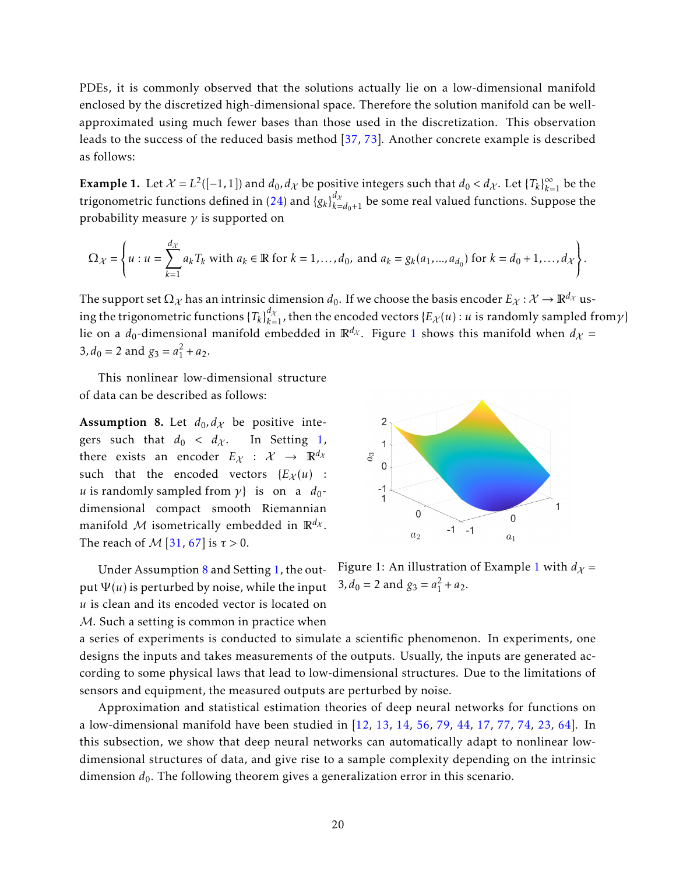PDEs, it is commonly observed that the solutions actually lie on a low-dimensional manifold enclosed by the discretized high-dimensional space. Therefore the solution manifold can be wellapproximated using much fewer bases than those used in the discretization. This observation leads to the success of the reduced basis method [\[37,](#page-39-14) [73\]](#page-41-11). Another concrete example is described as follows:

<span id="page-19-1"></span>**Example 1.** Let  $\mathcal{X} = L^2([-1,1])$  and  $d_0, d_{\mathcal{X}}$  be positive integers such that  $d_0 < d_{\mathcal{X}}$ . Let  $\{T_k\}_{k=1}^{\infty}$  be the trigonometric functions defined in [\(24\)](#page-14-0) and  $\{g_k\}_{k=d_0+1}^{d_\mathcal{X}}$  be some real valued functions. Suppose the probability measure *γ* is supported on

$$
\Omega_{\mathcal{X}} = \left\{ u : u = \sum_{k=1}^{d_{\mathcal{X}}} a_k T_k \text{ with } a_k \in \mathbb{R} \text{ for } k = 1, ..., d_0, \text{ and } a_k = g_k(a_1, ..., a_{d_0}) \text{ for } k = d_0 + 1, ..., d_{\mathcal{X}} \right\}.
$$

The support set  $\Omega_\chi$  has an intrinsic dimension  $d_0$ . If we choose the basis encoder  $E_\chi: \mathcal{X} \to \mathbb{R}^{d_\chi}$  using the trigonometric functions  $\{T_k\}_{k=1}^{d_\mathcal{X}}$ , then the encoded vectors  $\{E_\mathcal{X}(u): u$  is randomly sampled from $\gamma\}$ lie on a  $d_0$ -dimensional manifold embedded in  $\mathbb{R}^{d_X}$ . Figure [1](#page-19-0) shows this manifold when  $d_X =$  $3, d_0 = 2$  and  $g_3 = a_1^2 + a_2$ .

This nonlinear low-dimensional structure of data can be described as follows:

<span id="page-19-2"></span>Assumption 8. Let  $d_0, d_\chi$  be positive integers such that  $d_0 < d_{\mathcal{X}}$ . In Setting [1,](#page-4-2) there exists an encoder  $E_X : \mathcal{X} \to \mathbb{R}^{d_X}$ such that the encoded vectors  $\{E_X(u)$  : *u* is randomly sampled from  $\gamma$ } is on a  $d_0$ dimensional compact smooth Riemannian manifold M isometrically embedded in  $\mathbb{R}^{d_{\mathcal{X}}}$ . The reach of M [\[31,](#page-38-15) [67\]](#page-41-12) is *τ >* 0.

Under Assumption [8](#page-19-2) and Setting [1,](#page-4-2) the output  $\Psi(u)$  is perturbed by noise, while the input *u* is clean and its encoded vector is located on M. Such a setting is common in practice when



<span id="page-19-0"></span>Figure [1](#page-19-1): An illustration of Example 1 with  $d_{\chi}$  =  $3, d_0 = 2$  and  $g_3 = a_1^2 + a_2$ .

a series of experiments is conducted to simulate a scientific phenomenon. In experiments, one designs the inputs and takes measurements of the outputs. Usually, the inputs are generated according to some physical laws that lead to low-dimensional structures. Due to the limitations of sensors and equipment, the measured outputs are perturbed by noise.

Approximation and statistical estimation theories of deep neural networks for functions on a low-dimensional manifold have been studied in [\[12,](#page-37-7) [13,](#page-37-3) [14,](#page-37-4) [56,](#page-40-5) [79,](#page-41-4) [44,](#page-39-6) [17,](#page-37-5) [77,](#page-41-6) [74,](#page-41-7) [23,](#page-38-8) [64\]](#page-40-6). In this subsection, we show that deep neural networks can automatically adapt to nonlinear lowdimensional structures of data, and give rise to a sample complexity depending on the intrinsic dimension  $d_0$ . The following theorem gives a generalization error in this scenario.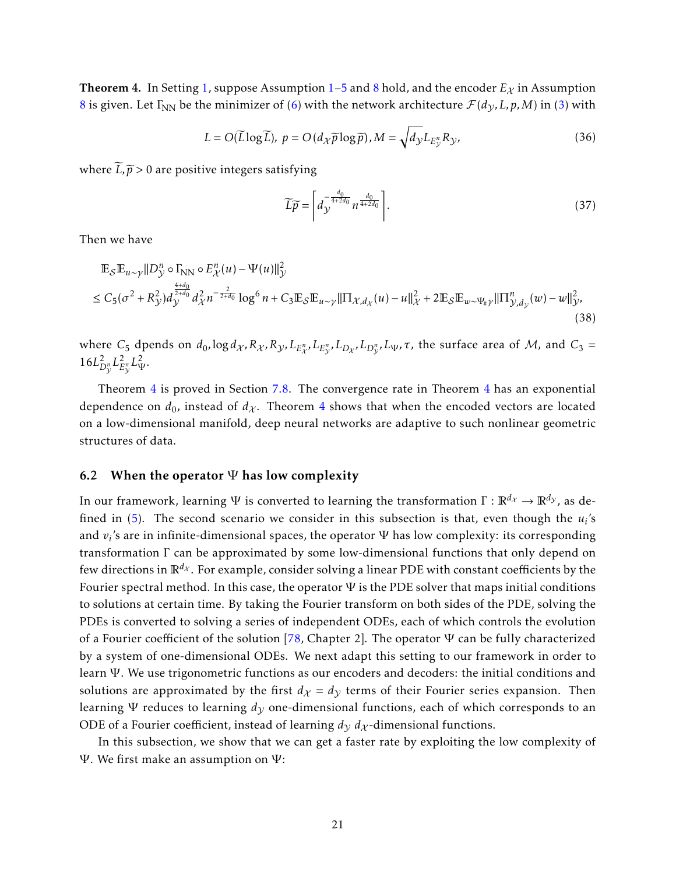<span id="page-20-0"></span>**Theorem 4.** In Setting [1,](#page-4-2) suppose Assumption [1](#page-6-3)[–5](#page-8-1) and [8](#page-19-2) hold, and the encoder  $E_\chi$  in Assumption [8](#page-19-2) is given. Let  $\Gamma_{NN}$  be the minimizer of [\(6\)](#page-6-2) with the network architecture  $\mathcal{F}(d_V, L, p, M)$  in [\(3\)](#page-4-1) with

$$
L = O(\widetilde{L} \log \widetilde{L}), \ p = O(d_{\mathcal{X}} \widetilde{p} \log \widetilde{p}), M = \sqrt{d_{\mathcal{Y}}} L_{E_{\mathcal{Y}}^n} R_{\mathcal{Y}}, \tag{36}
$$

where  $\widetilde{L}, \widetilde{p} > 0$  are positive integers satisfying

<span id="page-20-1"></span>
$$
\widetilde{L}\widetilde{p} = \left[d_{\mathcal{Y}}^{\frac{d_0}{4+2d_0}} n^{\frac{d_0}{4+2d_0}}\right].\tag{37}
$$

Then we have

$$
\mathbb{E}_{\mathcal{S}}\mathbb{E}_{u \sim \gamma}||D_{\mathcal{Y}}^{n} \circ \Gamma_{NN} \circ E_{\mathcal{X}}^{n}(u) - \Psi(u)||_{\mathcal{Y}}^{2}
$$
\n
$$
\leq C_{5}(\sigma^{2} + R_{\mathcal{Y}}^{2})d_{\mathcal{Y}}^{\frac{4+d_{0}}{2+d_{0}}}d_{\mathcal{X}}^{2}n^{-\frac{2}{2+d_{0}}} \log^{6} n + C_{3}\mathbb{E}_{\mathcal{S}}\mathbb{E}_{u \sim \gamma}||\Pi_{\mathcal{X},d_{\mathcal{X}}}(u) - u||_{\mathcal{X}}^{2} + 2\mathbb{E}_{\mathcal{S}}\mathbb{E}_{w \sim \Psi_{\#}\gamma}||\Pi_{\mathcal{Y},d_{\mathcal{Y}}}(w) - w||_{\mathcal{Y}}^{2},\tag{38}
$$

where  $C_5$  dpends on  $d_0$ ,  $\log d_X$ ,  $R_X$ ,  $R_Y$ ,  $L_{E_X^n}$ ,  $L_{E_Y^n}$ ,  $L_{D_X}$ ,  $L_{D_Y^n}$ ,  $L_{\Psi}$ ,  $\tau$ , the surface area of M, and  $C_3$  =  $16L_T^2$  $D_{\mathcal{V}}^n L_E^2$  $L^2_{\mathcal{V}} L^2_{\mathcal{V}}$ .

Theorem [4](#page-20-0) is proved in Section [7.8.](#page-35-0) The convergence rate in Theorem [4](#page-20-0) has an exponential dependence on  $d_0$ , instead of  $d_{\chi}$ . Theorem [4](#page-20-0) shows that when the encoded vectors are located on a low-dimensional manifold, deep neural networks are adaptive to such nonlinear geometric structures of data.

#### 6.2 When the operator  $\Psi$  has low complexity

In our framework, learning Ψ is converted to learning the transformation  $\Gamma : \mathbb{R}^{d_X} \to \mathbb{R}^{d_Y}$ , as defined in [\(5\)](#page-6-5). The second scenario we consider in this subsection is that, even though the *u<sup>i</sup>* 's and  $v_i$ 's are in infinite-dimensional spaces, the operator  $\Psi$  has low complexity: its corresponding transformation Γ can be approximated by some low-dimensional functions that only depend on few directions in  $\mathbb{R}^{d_X}$ . For example, consider solving a linear PDE with constant coefficients by the Fourier spectral method. In this case, the operator  $\Psi$  is the PDE solver that maps initial conditions to solutions at certain time. By taking the Fourier transform on both sides of the PDE, solving the PDEs is converted to solving a series of independent ODEs, each of which controls the evolution of a Fourier coefficient of the solution [\[78,](#page-41-13) Chapter 2]. The operator  $\Psi$  can be fully characterized by a system of one-dimensional ODEs. We next adapt this setting to our framework in order to learn Ψ. We use trigonometric functions as our encoders and decoders: the initial conditions and solutions are approximated by the first  $d<sub>X</sub> = d<sub>y</sub>$  terms of their Fourier series expansion. Then learning  $\Psi$  reduces to learning  $d<sub>y</sub>$  one-dimensional functions, each of which corresponds to an ODE of a Fourier coefficient, instead of learning  $d<sub>V</sub> d<sub>X</sub>$ -dimensional functions.

In this subsection, we show that we can get a faster rate by exploiting the low complexity of Ψ. We first make an assumption on  $Ψ$ :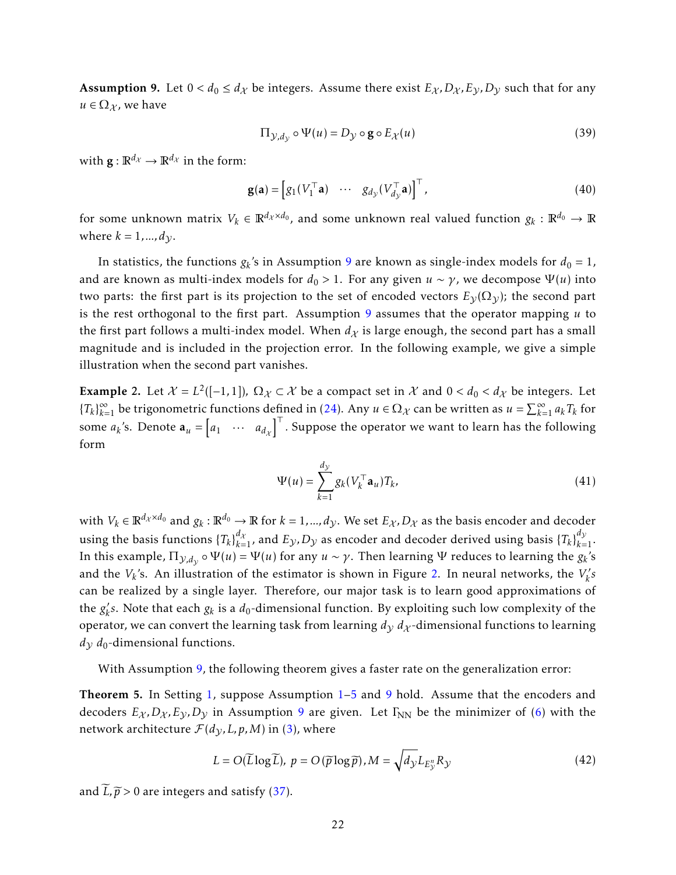<span id="page-21-0"></span>**Assumption 9.** Let  $0 < d_0 \leq d_{\mathcal{X}}$  be integers. Assume there exist  $E_{\mathcal{X}}, D_{\mathcal{X}}, E_{\mathcal{Y}}, D_{\mathcal{Y}}$  such that for any  $u \in \Omega_{\mathcal{X}}$ , we have

$$
\Pi_{\mathcal{Y},d_{\mathcal{Y}}} \circ \Psi(u) = D_{\mathcal{Y}} \circ \mathbf{g} \circ E_{\mathcal{X}}(u) \tag{39}
$$

with  $\mathbf{g} : \mathbb{R}^{d_{\mathcal{X}}} \to \mathbb{R}^{d_{\mathcal{X}}}$  in the form:

$$
\mathbf{g}(\mathbf{a}) = \begin{bmatrix} g_1(V_1^\top \mathbf{a}) & \cdots & g_{d_{\mathcal{Y}}}(V_{d_{\mathcal{Y}}}^\top \mathbf{a}) \end{bmatrix}^\top, \tag{40}
$$

for some unknown matrix  $V_k \in \mathbb{R}^{d_\mathcal{X} \times d_0}$ , and some unknown real valued function  $g_k: \mathbb{R}^{d_0} \to \mathbb{R}$ where  $k = 1, ..., d_V$ .

In statistics, the functions  $g_k$ 's in Assumption [9](#page-21-0) are known as single-index models for  $d_0 = 1$ , and are known as multi-index models for  $d_0 > 1$ . For any given  $u \sim \gamma$ , we decompose  $\Psi(u)$  into two parts: the first part is its projection to the set of encoded vectors  $E_{\mathcal{V}}(\Omega_{\mathcal{V}})$ ; the second part is the rest orthogonal to the first part. Assumption [9](#page-21-0) assumes that the operator mapping *u* to the first part follows a multi-index model. When  $d<sub>X</sub>$  is large enough, the second part has a small magnitude and is included in the projection error. In the following example, we give a simple illustration when the second part vanishes.

<span id="page-21-1"></span>Example 2. Let  $\mathcal{X} = L^2([-1,1])$ ,  $\Omega_{\mathcal{X}} \subset \mathcal{X}$  be a compact set in  $\mathcal{X}$  and  $0 < d_0 < d_{\mathcal{X}}$  be integers. Let  ${T_k}_{k=1}^{\infty}$  be trigonometric functions defined in [\(24\)](#page-14-0). Any  $u \in \Omega_{\mathcal{X}}$  can be written as  $u = \sum_{k=1}^{\infty} a_k T_k$  for some  $a_k$ 's. Denote  $\mathbf{a}_u = \begin{bmatrix} a_1 & \cdots & a_{d_x} \end{bmatrix}^\top$ . Suppose the operator we want to learn has the following form

<span id="page-21-2"></span>
$$
\Psi(u) = \sum_{k=1}^{d_{\mathcal{Y}}} g_k (V_k^{\top} \mathbf{a}_u) T_k,
$$
\n(41)

with  $V_k \in \mathbb{R}^{d_\mathcal{X}\times d_0}$  and  $g_k:\mathbb{R}^{d_0}\to\mathbb{R}$  for  $k=1,...,d_\mathcal{Y}.$  We set  $E_\mathcal{X},D_\mathcal{X}$  as the basis encoder and decoder using the basis functions  $\{T_k\}_{k=1}^{d_\mathcal{X}}$ , and  $E_\mathcal{Y}$ ,  $D_\mathcal{Y}$  as encoder and decoder derived using basis  $\{T_k\}_{k=1}^{d_\mathcal{Y}}$ . In this example,  $\Pi_{\mathcal{Y},d_\mathcal{Y}}\circ\Psi(u)=\Psi(u)$  for any  $u\sim\gamma$ . Then learning  $\Psi$  reduces to learning the  $g_k$ 's and the  $V_k$ 's. An illustration of the estimator is shown in Figure [2.](#page-22-1) In neural networks, the  $V_k'$ *k s* can be realized by a single layer. Therefore, our major task is to learn good approximations of the  $g'_k$  $k'$ s. Note that each  $g_k$  is a  $d_0$ -dimensional function. By exploiting such low complexity of the operator, we can convert the learning task from learning  $d<sub>V</sub> d<sub>X</sub>$ -dimensional functions to learning  $d<sub>V</sub> d<sub>0</sub>$ -dimensional functions.

With Assumption [9,](#page-21-0) the following theorem gives a faster rate on the generalization error:

<span id="page-21-3"></span>**Theorem [5](#page-8-1).** In Setting [1,](#page-4-2) suppose Assumption [1–](#page-6-3)5 and [9](#page-21-0) hold. Assume that the encoders and decoders  $E_X$ ,  $D_X$ ,  $E_Y$ ,  $D_Y$  in Assumption [9](#page-21-0) are given. Let  $\Gamma_{NN}$  be the minimizer of [\(6\)](#page-6-2) with the network architecture  $\mathcal{F}(d_{\mathcal{V}}, L, p, M)$  in [\(3\)](#page-4-1), where

$$
L = O(\widetilde{L} \log \widetilde{L}), \ p = O(\widetilde{p} \log \widetilde{p}), M = \sqrt{d_{\mathcal{Y}} L_{E_{\mathcal{Y}}^n} R_{\mathcal{Y}}}
$$
(42)

and  $\widetilde{L}, \widetilde{p} > 0$  are integers and satisfy [\(37\)](#page-20-1).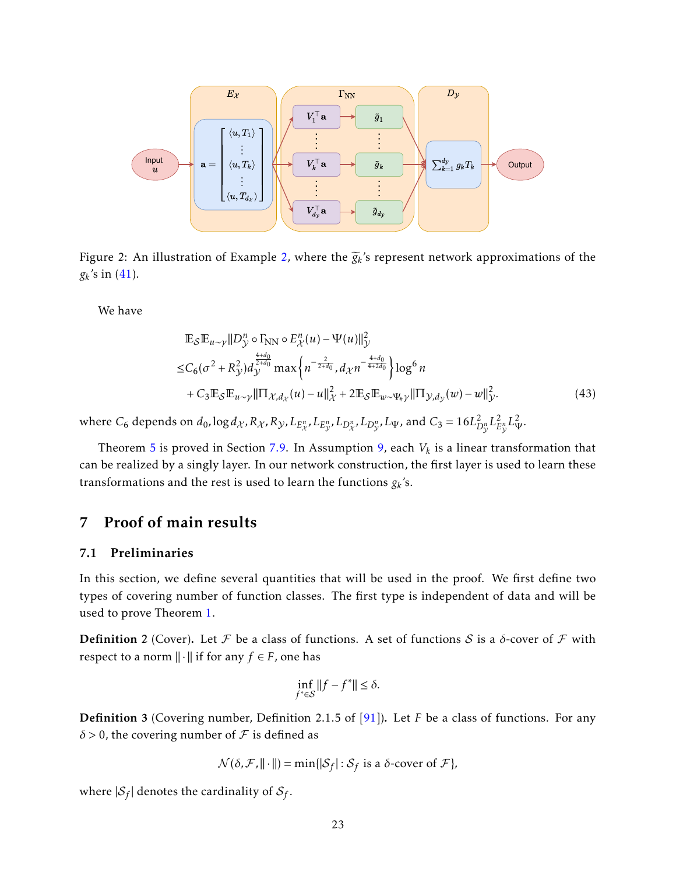

<span id="page-22-1"></span>Figure 2: An illustration of Example [2,](#page-21-1) where the  $\widetilde{g}_k$ 's represent network approximations of the  $g_k$ 's in  $(41)$ .

We have

$$
\mathbb{E}_{\mathcal{S}}\mathbb{E}_{u \sim \gamma} ||D_{\mathcal{Y}}^{n} \circ \Gamma_{\text{NN}} \circ E_{\mathcal{X}}^{n}(u) - \Psi(u)||_{\mathcal{Y}}^{2}
$$
\n
$$
\leq C_{6}(\sigma^{2} + R_{\mathcal{Y}}^{2}) d_{\mathcal{Y}}^{\frac{4+d_{0}}{2+d_{0}}} \max\left\{ n^{-\frac{2}{2+d_{0}}}, d_{\mathcal{X}} n^{-\frac{4+d_{0}}{4+2d_{0}}} \right\} \log^{6} n + C_{3} \mathbb{E}_{\mathcal{S}}\mathbb{E}_{u \sim \gamma} ||\Pi_{\mathcal{X}, d_{\mathcal{X}}}(u) - u||_{\mathcal{X}}^{2} + 2 \mathbb{E}_{\mathcal{S}}\mathbb{E}_{w \sim \Psi_{\#} \gamma} ||\Pi_{\mathcal{Y}, d_{\mathcal{Y}}}(w) - w||_{\mathcal{Y}}^{2}.
$$
\n(43)

where  $C_6$  depends on  $d_0$ ,  $\log d_\mathcal{X}$ ,  $R_\mathcal{X}$ ,  $R_\mathcal{Y}$ ,  $L_{E_\mathcal{X}^n}$ ,  $L_{E_\mathcal{Y}^n}$ ,  $L_{D_\mathcal{X}^n}$ ,  $L_{D_\mathcal{Y}^n}$ ,  $L_\Psi$ , and  $C_3=16L_L^2$  $D_{\mathcal{V}}^n L_E^2$  $\frac{2}{E_{\mathcal{V}}^n} L_{\Psi}^2.$ 

Theorem [5](#page-21-3) is proved in Section [7.9.](#page-35-1) In Assumption [9,](#page-21-0) each  $V_k$  is a linear transformation that can be realized by a singly layer. In our network construction, the first layer is used to learn these transformations and the rest is used to learn the functions  $g_k$ 's.

### <span id="page-22-0"></span>7 Proof of main results

#### 7.1 Preliminaries

In this section, we define several quantities that will be used in the proof. We first define two types of covering number of function classes. The first type is independent of data and will be used to prove Theorem [1.](#page-8-2)

<span id="page-22-2"></span>**Definition 2** (Cover). Let F be a class of functions. A set of functions S is a  $\delta$ -cover of F with respect to a norm  $\|\cdot\|$  if for any  $f \in F$ , one has

$$
\inf_{f^*\in\mathcal{S}}||f-f^*||\leq\delta.
$$

<span id="page-22-3"></span>Definition 3 (Covering number, Definition 2.1.5 of [\[91\]](#page-42-13)). Let *F* be a class of functions. For any  $\delta$  > 0, the covering number of  $\mathcal F$  is defined as

$$
\mathcal{N}(\delta, \mathcal{F}, ||\cdot||) = \min\{|\mathcal{S}_f| : \mathcal{S}_f \text{ is a } \delta\text{-cover of } \mathcal{F}\},
$$

where  $|\mathcal{S}_f|$  denotes the cardinality of  $\mathcal{S}_f$ .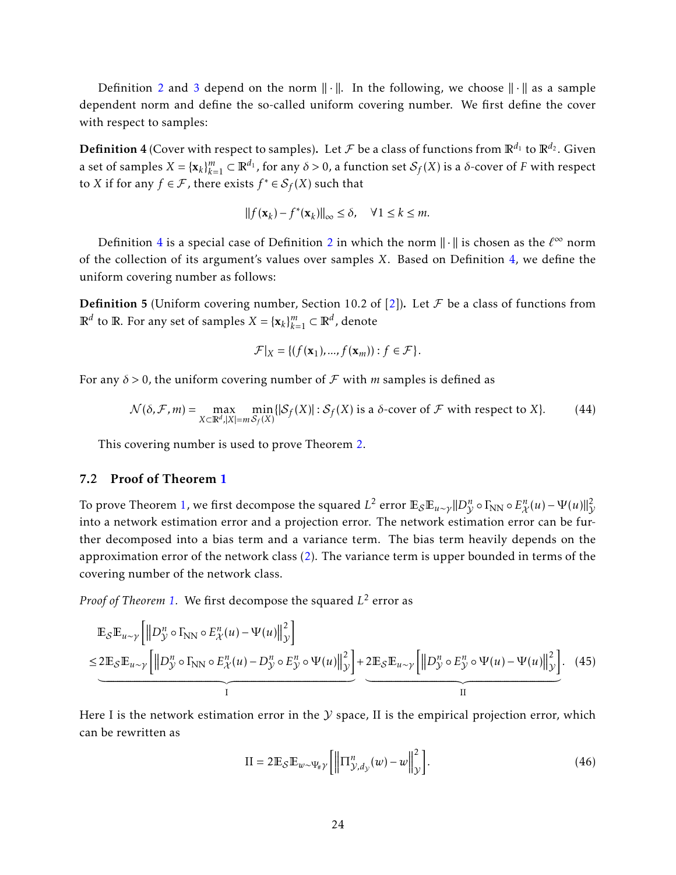Definition [2](#page-22-2) and [3](#page-22-3) depend on the norm  $\|\cdot\|$ . In the following, we choose  $\|\cdot\|$  as a sample dependent norm and define the so-called uniform covering number. We first define the cover with respect to samples:

<span id="page-23-1"></span>**Definition 4** (Cover with respect to samples). Let  $\mathcal F$  be a class of functions from  $\mathbb R^{d_1}$  to  $\mathbb R^{d_2}$ . Given a set of samples  $X = {\{x_k\}}_{k=1}^m \subset \mathbb{R}^{d_1}$ , for any  $\delta > 0$ , a function set  $\mathcal{S}_f(X)$  is a  $\delta$ -cover of *F* with respect to *X* if for any  $f \in \mathcal{F}$ , there exists  $f^* \in \mathcal{S}_f(X)$  such that

$$
||f(\mathbf{x}_k) - f^*(\mathbf{x}_k)||_{\infty} \le \delta, \quad \forall 1 \le k \le m.
$$

Definition [4](#page-23-1) is a special case of Definition [2](#page-22-2) in which the norm  $\|\cdot\|$  is chosen as the  $\ell^\infty$  norm of the collection of its argument's values over samples *X*. Based on Definition [4,](#page-23-1) we define the uniform covering number as follows:

<span id="page-23-3"></span>**Definition 5** (Uniform covering number, Section 10.2 of [\[2\]](#page-36-4)). Let  $\mathcal F$  be a class of functions from  $\mathbb{R}^d$  to  $\mathbb{R}$ . For any set of samples  $X = {\mathbf{x}_k}_{k=1}^m \subset \mathbb{R}^d$ , denote

$$
\mathcal{F}|_X = \{ (f(\mathbf{x}_1), ..., f(\mathbf{x}_m)) : f \in \mathcal{F} \}.
$$

For any  $\delta$  > 0, the uniform covering number of  $\mathcal F$  with *m* samples is defined as

$$
\mathcal{N}(\delta, \mathcal{F}, m) = \max_{X \subset \mathbb{R}^d, |X| = m} \min_{S_f(X)} \{ |S_f(X)| : S_f(X) \text{ is a } \delta \text{-cover of } \mathcal{F} \text{ with respect to } X \}. \tag{44}
$$

This covering number is used to prove Theorem [2.](#page-9-0)

#### <span id="page-23-0"></span>7.2 Proof of Theorem [1](#page-8-2)

To prove Theorem [1,](#page-8-2) we first decompose the squared  $L^2$  error  $\mathbb{E}_{\mathcal{S}}\mathbb{E}_{u\sim\gamma}\|D^n_{\mathcal{Y}}\circ \Gamma_{\rm NN}\circ E^{n}_{\mathcal{X}}(u)-\Psi(u)\|_{\mathcal{Y}}^2$ into a network estimation error and a projection error. The network estimation error can be further decomposed into a bias term and a variance term. The bias term heavily depends on the approximation error of the network class [\(2\)](#page-4-0). The variance term is upper bounded in terms of the covering number of the network class.

*Proof of Theorem [1.](#page-8-2)* We first decompose the squared *L* 2 error as

$$
\mathbb{E}_{\mathcal{S}}\mathbb{E}_{u \sim \gamma}\left[\left\|D_{\mathcal{Y}}^{n} \circ \Gamma_{\mathbf{NN}} \circ E_{\mathcal{X}}^{n}(u) - \Psi(u)\right\|_{\mathcal{Y}}^{2}\right] \leq 2\mathbb{E}_{\mathcal{S}}\mathbb{E}_{u \sim \gamma}\left[\left\|D_{\mathcal{Y}}^{n} \circ \Gamma_{\mathbf{NN}} \circ E_{\mathcal{X}}^{n}(u) - D_{\mathcal{Y}}^{n} \circ E_{\mathcal{Y}}^{n} \circ \Psi(u)\right\|_{\mathcal{Y}}^{2}\right] + 2\mathbb{E}_{\mathcal{S}}\mathbb{E}_{u \sim \gamma}\left[\left\|D_{\mathcal{Y}}^{n} \circ E_{\mathcal{Y}}^{n} \circ \Psi(u) - \Psi(u)\right\|_{\mathcal{Y}}^{2}\right].
$$
 (45)

Here I is the network estimation error in the  $Y$  space, II is the empirical projection error, which can be rewritten as

<span id="page-23-2"></span>
$$
II = 2\mathbb{E}_{\mathcal{S}}\mathbb{E}_{w \sim \Psi_{\#} \gamma} \left[ \left\| \Pi_{\mathcal{Y}, d_{\mathcal{Y}}}^{n}(w) - w \right\|_{\mathcal{Y}}^{2} \right]. \tag{46}
$$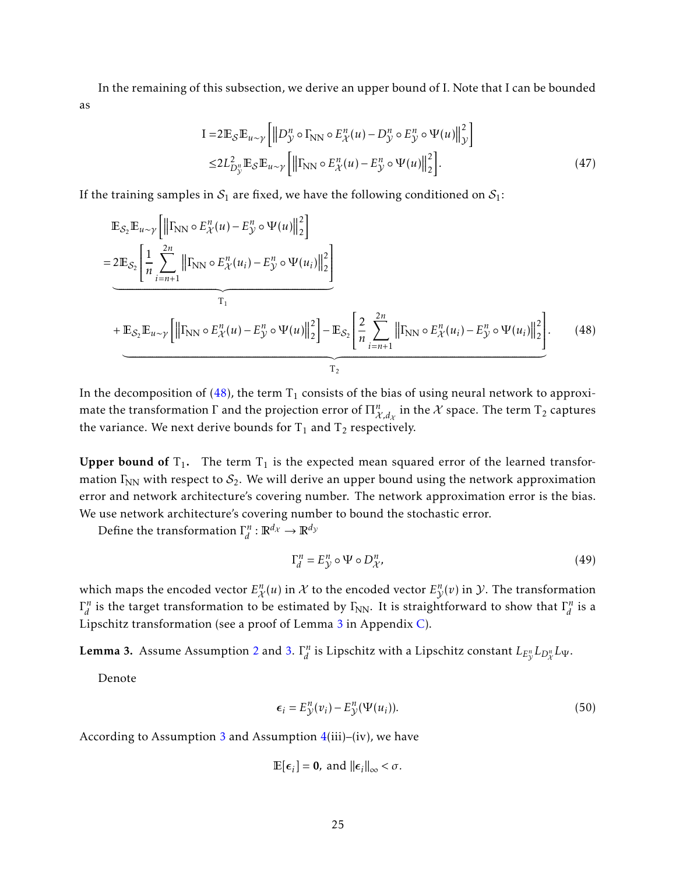In the remaining of this subsection, we derive an upper bound of I. Note that I can be bounded as

<span id="page-24-3"></span>
$$
I = 2\mathbb{E}_{\mathcal{S}}\mathbb{E}_{u \sim \gamma} \left[ \left\| D_{\mathcal{Y}}^{n} \circ \Gamma_{\text{NN}} \circ E_{\mathcal{X}}^{n}(u) - D_{\mathcal{Y}}^{n} \circ E_{\mathcal{Y}}^{n} \circ \Psi(u) \right\|_{\mathcal{Y}}^{2} \right]
$$
  

$$
\leq 2L_{D_{\mathcal{Y}}^{n}}^{2} \mathbb{E}_{\mathcal{S}}\mathbb{E}_{u \sim \gamma} \left[ \left\| \Gamma_{\text{NN}} \circ E_{\mathcal{X}}^{n}(u) - E_{\mathcal{Y}}^{n} \circ \Psi(u) \right\|_{2}^{2} \right].
$$
 (47)

If the training samples in  $S_1$  are fixed, we have the following conditioned on  $S_1$ :

$$
\mathbb{E}_{\mathcal{S}_2} \mathbb{E}_{u \sim \gamma} \left[ \left\| \Gamma_{\text{NN}} \circ E_{\mathcal{X}}^n(u) - E_{\mathcal{Y}}^n \circ \Psi(u) \right\|_2^2 \right]
$$
\n
$$
= 2 \mathbb{E}_{\mathcal{S}_2} \left[ \frac{1}{n} \sum_{i=n+1}^{2n} \left\| \Gamma_{\text{NN}} \circ E_{\mathcal{X}}^n(u_i) - E_{\mathcal{Y}}^n \circ \Psi(u_i) \right\|_2^2 \right]
$$
\n
$$
+ \mathbb{E}_{\mathcal{S}_2} \mathbb{E}_{u \sim \gamma} \left[ \left\| \Gamma_{\text{NN}} \circ E_{\mathcal{X}}^n(u) - E_{\mathcal{Y}}^n \circ \Psi(u) \right\|_2^2 \right] - \mathbb{E}_{\mathcal{S}_2} \left[ \frac{2}{n} \sum_{i=n+1}^{2n} \left\| \Gamma_{\text{NN}} \circ E_{\mathcal{X}}^n(u_i) - E_{\mathcal{Y}}^n \circ \Psi(u_i) \right\|_2^2 \right]. \tag{48}
$$

In the decomposition of [\(48\)](#page-24-0), the term  $T_1$  consists of the bias of using neural network to approximate the transformation  $\Gamma$  and the projection error of  $\Pi_{\mathcal{X},d_\mathcal{X}}^n$  in the  $\mathcal X$  space. The term  $\Gamma_2$  captures the variance. We next derive bounds for  $T_1$  and  $T_2$  respectively.

Upper bound of  $T_1$ . The term  $T_1$  is the expected mean squared error of the learned transformation  $\Gamma_{NN}$  with respect to  $S_2$ . We will derive an upper bound using the network approximation error and network architecture's covering number. The network approximation error is the bias. We use network architecture's covering number to bound the stochastic error.

Define the transformation Γ *n*  $\int_d^n : \mathbb{R}^{d_{\mathcal{X}}} \to \mathbb{R}^{d_{\mathcal{Y}}}$ 

<span id="page-24-2"></span><span id="page-24-0"></span>
$$
\Gamma_d^n = E_{\mathcal{Y}}^n \circ \Psi \circ D_{\mathcal{X}}^n,\tag{49}
$$

which maps the encoded vector  $E_{\chi}^{n}(u)$  in  $\chi$  to the encoded vector  $E_{\chi}^{n}(v)$  in  $\mathcal{Y}$ . The transformation Γ *n*  $\sigma_d^n$  is the target transformation to be estimated by Γ<sub>NN</sub>. It is straightforward to show that  $\Gamma_d^n$  $\int_{d}^{n}$  is a Lipschitz transformation (see a proof of Lemma [3](#page-24-1) in Appendix [C\)](#page-44-1).

<span id="page-24-1"></span>Lemma 3. Assume Assumption [2](#page-7-1) and [3.](#page-7-2) Γ *n*  $\int_{d}^{n}$  is Lipschitz with a Lipschitz constant  $L_{E_{\mathcal{Y}}}L_{D_{\mathcal{X}}^{n}}L_{\mathcal{Y}}.$ 

Denote

$$
\epsilon_i = E_{\mathcal{Y}}^n(v_i) - E_{\mathcal{Y}}^n(\Psi(u_i)).
$$
\n(50)

According to Assumption [3](#page-7-2) and Assumption  $4(iii)$  $4(iii)$ –(iv), we have

$$
\mathbb{E}[\epsilon_i] = \mathbf{0}, \text{ and } ||\epsilon_i||_{\infty} < \sigma.
$$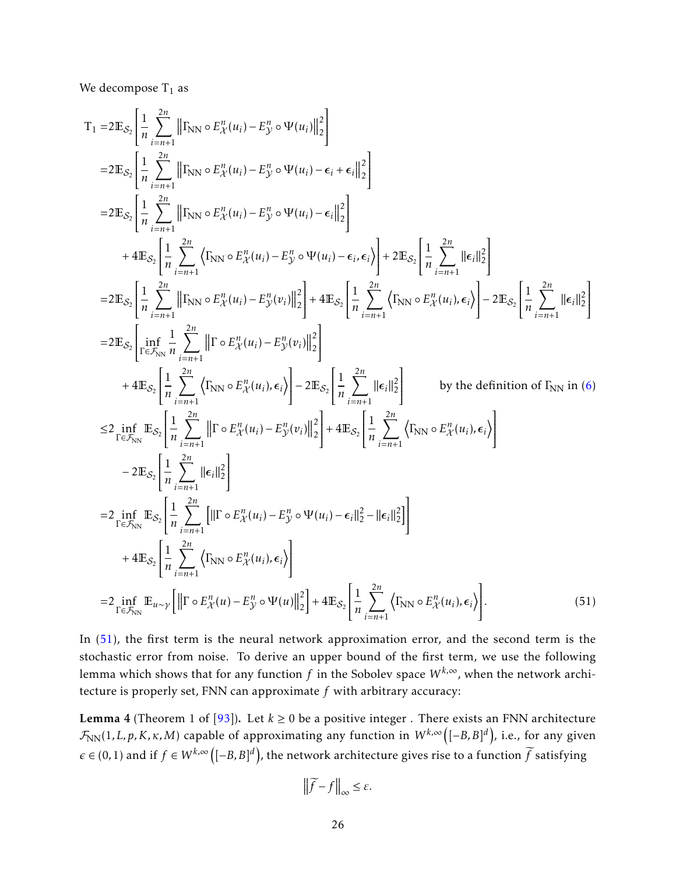We decompose  $T_1$  as

$$
T_{1} = 2 \mathbb{E}_{S_{2}} \left[ \frac{1}{n} \sum_{i=n+1}^{2n} \left\| \left\|\mathbf{I}_{NN} \circ E_{\mathcal{X}}^{n}(u_{i}) - E_{\mathcal{Y}}^{n} \circ \Psi(u_{i}) \right\|_{2}^{2} \right\} \right]
$$
\n
$$
= 2 \mathbb{E}_{S_{2}} \left[ \frac{1}{n} \sum_{i=n+1}^{2n} \left\| \mathbf{I}_{NN} \circ E_{\mathcal{X}}^{n}(u_{i}) - E_{\mathcal{Y}}^{n} \circ \Psi(u_{i}) - \epsilon_{i} + \epsilon_{i} \right\|_{2}^{2} \right]
$$
\n
$$
= 2 \mathbb{E}_{S_{2}} \left[ \frac{1}{n} \sum_{i=n+1}^{2n} \left\| \mathbf{I}_{NN} \circ E_{\mathcal{X}}^{n}(u_{i}) - E_{\mathcal{Y}}^{n} \circ \Psi(u_{i}) - \epsilon_{i} \right\|_{2}^{2} \right]
$$
\n
$$
+ 4 \mathbb{E}_{S_{2}} \left[ \frac{1}{n} \sum_{i=n+1}^{2n} \left\| \mathbf{I}_{NN} \circ E_{\mathcal{X}}^{n}(u_{i}) - E_{\mathcal{Y}}^{n} \circ \Psi(u_{i}) - \epsilon_{i} \epsilon_{i} \right\| \right] + 2 \mathbb{E}_{S_{2}} \left[ \frac{1}{n} \sum_{i=n+1}^{2n} \left\| \epsilon_{i} \right\|_{2}^{2} \right]
$$
\n
$$
= 2 \mathbb{E}_{S_{2}} \left[ \frac{1}{n} \sum_{i=n+1}^{2n} \left\| \mathbf{I}_{NN} \circ E_{\mathcal{X}}^{n}(u_{i}) - E_{\mathcal{Y}}^{n}(v_{i}) \right\|_{2}^{2} \right] + 4 \mathbb{E}_{S_{2}} \left[ \frac{1}{n} \sum_{i=n+1}^{2n} \left\| \mathbf{I}_{NN} \circ E_{\mathcal{X}}^{n}(u_{i}) - E_{\mathcal{Y}}^{n}(v_{i}) \right\|_{2}^{2} \right]
$$
\n
$$
+ 4 \mathbb{E}_{S_{2}} \left[ \frac{1}{n} \sum_{i=n+1}^{2n} \left\| \mathbf{I}_{NN} \circ
$$

In [\(51\)](#page-25-0), the first term is the neural network approximation error, and the second term is the stochastic error from noise. To derive an upper bound of the first term, we use the following lemma which shows that for any function  $f$  in the Sobolev space  $W^{k,\infty}$ , when the network architecture is properly set, FNN can approximate *f* with arbitrary accuracy:

<span id="page-25-1"></span>**Lemma 4** (Theorem 1 of [\[93\]](#page-42-2)). Let  $k \ge 0$  be a positive integer. There exists an FNN architecture  $\mathcal{F}_{\text{NN}}(1,L,p,K,\kappa,M)$  capable of approximating any function in  $W^{k,\infty}\big([-B,B]^d\big)$ , i.e., for any given  $\epsilon \in (0,1)$  and if  $f \in W^{k,\infty}\big([-B,B]^d\big)$ , the network architecture gives rise to a function  $\widetilde{f}$  satisfying

<span id="page-25-0"></span>
$$
\left\|\widetilde{f} - f\right\|_{\infty} \leq \varepsilon.
$$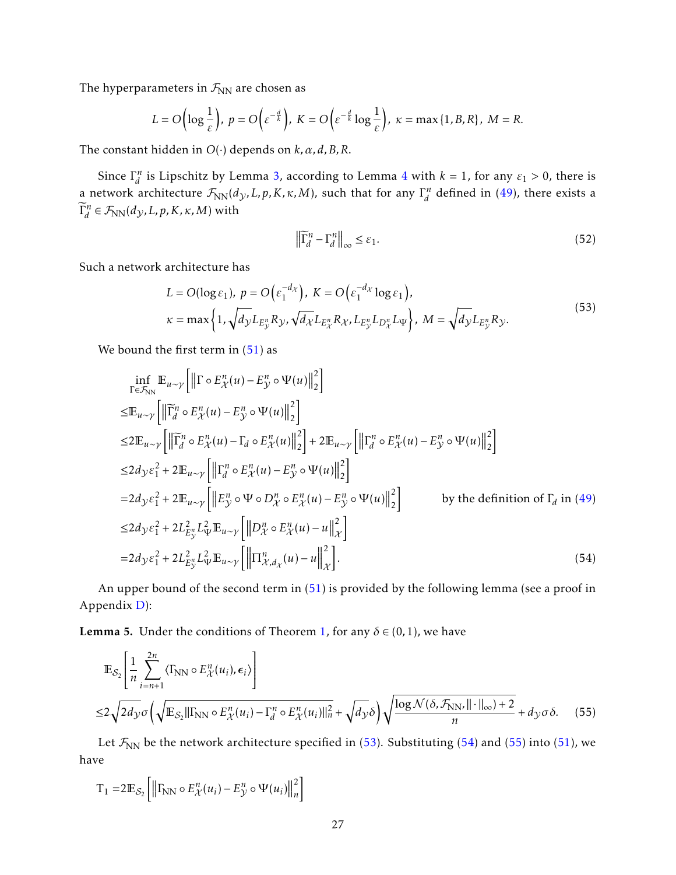The hyperparameters in  $\mathcal{F}_{NN}$  are chosen as

$$
L = O\left(\log \frac{1}{\varepsilon}\right), \ p = O\left(\varepsilon^{-\frac{d}{k}}\right), \ K = O\left(\varepsilon^{-\frac{d}{k}}\log \frac{1}{\varepsilon}\right), \ \kappa = \max\{1, B, R\}, \ M = R.
$$

The constant hidden in *O*(·) depends on *k,α, d,B,R*.

Since Γ *n d*<sup>n</sup> is Lipschitz by Lemma [3,](#page-24-1) according to Lemma [4](#page-25-1) with  $k = 1$ , for any  $\varepsilon_1 > 0$ , there is a network architecture  $\mathcal{F}_{\text{NN}}(d_\mathcal{Y},L,p,K,\kappa,M)$ , such that for any  $\Gamma_d^n$  $d$ <sup>n</sup> defined in [\(49\)](#page-24-2), there exists a  $\widetilde{\Gamma}_d^n$  $\widetilde{Z}_d^n \in \mathcal{F}_{\text{NN}}(d_{\mathcal{Y}}, L, p, K, \kappa, M)$  with

<span id="page-26-2"></span><span id="page-26-1"></span> $\overline{a}$ 

$$
\left\| \widetilde{\Gamma}_d^n - \Gamma_d^n \right\|_{\infty} \le \varepsilon_1. \tag{52}
$$

Such a network architecture has

<span id="page-26-0"></span>
$$
L = O(\log \varepsilon_1), \ p = O\left(\varepsilon_1^{-d_X}\right), \ K = O\left(\varepsilon_1^{-d_X} \log \varepsilon_1\right),
$$
  

$$
\kappa = \max\left\{1, \sqrt{d_Y} L_{E_X^n} R_Y, \sqrt{d_X} L_{E_X^n} R_X, L_{E_Y^n} L_{D_X^n} L_{\Psi}\right\}, \ M = \sqrt{d_Y} L_{E_Y^n} R_Y.
$$
  
(53)

We bound the first term in  $(51)$  as

$$
\inf_{\Gamma \in \mathcal{F}_{NN}} \mathbb{E}_{u \sim \gamma} \left[ \left\| \Gamma \circ E_{\chi}^{n}(u) - E_{\chi}^{n} \circ \Psi(u) \right\|_{2}^{2} \right]
$$
\n
$$
\leq \mathbb{E}_{u \sim \gamma} \left[ \left\| \widetilde{\Gamma}_{d}^{n} \circ E_{\chi}^{n}(u) - E_{\chi}^{n} \circ \Psi(u) \right\|_{2}^{2} \right]
$$
\n
$$
\leq 2 \mathbb{E}_{u \sim \gamma} \left[ \left\| \widetilde{\Gamma}_{d}^{n} \circ E_{\chi}^{n}(u) - \Gamma_{d} \circ E_{\chi}^{n}(u) \right\|_{2}^{2} \right] + 2 \mathbb{E}_{u \sim \gamma} \left[ \left\| \Gamma_{d}^{n} \circ E_{\chi}^{n}(u) - E_{\chi}^{n} \circ \Psi(u) \right\|_{2}^{2} \right]
$$
\n
$$
\leq 2 d_{\mathcal{Y}} \varepsilon_{1}^{2} + 2 \mathbb{E}_{u \sim \gamma} \left[ \left\| \Gamma_{d}^{n} \circ E_{\chi}^{n}(u) - E_{\chi}^{n} \circ \Psi(u) \right\|_{2}^{2} \right]
$$
\n
$$
= 2 d_{\mathcal{Y}} \varepsilon_{1}^{2} + 2 \mathbb{E}_{u \sim \gamma} \left[ \left\| E_{\chi}^{n} \circ \Psi \circ D_{\chi}^{n} \circ E_{\chi}^{n}(u) - E_{\chi}^{n} \circ \Psi(u) \right\|_{2}^{2} \right] \qquad \text{by the definition of } \Gamma_{d} \text{ in (49)}
$$
\n
$$
\leq 2 d_{\mathcal{Y}} \varepsilon_{1}^{2} + 2 L_{E_{\chi}^{n}}^{2} L_{\Psi}^{2} \mathbb{E}_{u \sim \gamma} \left[ \left\| D_{\chi}^{n} \circ E_{\chi}^{n}(u) - u \right\|_{\chi}^{2} \right]
$$
\n
$$
= 2 d_{\mathcal{Y}} \varepsilon_{1}^{2} + 2 L_{E_{\chi}^{n}}^{2} L_{\Psi}^{2} \mathbb{E}_{u \sim \gamma} \left[ \left\| \Pi_{\chi}^{n}(u) - u \right\|_{\chi}^{2
$$

An upper bound of the second term in [\(51\)](#page-25-0) is provided by the following lemma (see a proof in Appendix [D\)](#page-44-2):

<span id="page-26-3"></span>**Lemma 5.** Under the conditions of Theorem [1,](#page-8-2) for any  $\delta \in (0,1)$ , we have

$$
\mathbb{E}_{\mathcal{S}_2} \left[ \frac{1}{n} \sum_{i=n+1}^{2n} \langle \Gamma_{NN} \circ E_{\mathcal{X}}^n(u_i), \epsilon_i \rangle \right]
$$
  

$$
\leq 2 \sqrt{2d_{\mathcal{Y}} \sigma} \left( \sqrt{\mathbb{E}_{\mathcal{S}_2} || \Gamma_{NN} \circ E_{\mathcal{X}}^n(u_i) - \Gamma_d^n \circ E_{\mathcal{X}}^n(u_i) ||_n^2} + \sqrt{d_{\mathcal{Y}} \delta} \right) \sqrt{\frac{\log \mathcal{N}(\delta, \mathcal{F}_{NN}, || \cdot ||_{\infty}) + 2}{n}} + d_{\mathcal{Y}} \sigma \delta. \tag{55}
$$

Let  $\mathcal{F}_{NN}$  be the network architecture specified in [\(53\)](#page-26-0). Substituting [\(54\)](#page-26-1) and [\(55\)](#page-26-2) into [\(51\)](#page-25-0), we have

$$
\mathbf{T}_1 = 2\mathbb{E}_{\mathcal{S}_2}\left[\left\|\Gamma_{\text{NN}}\circ E_{\mathcal{X}}^n(u_i) - E_{\mathcal{Y}}^n\circ\Psi(u_i)\right\|_n^2\right]
$$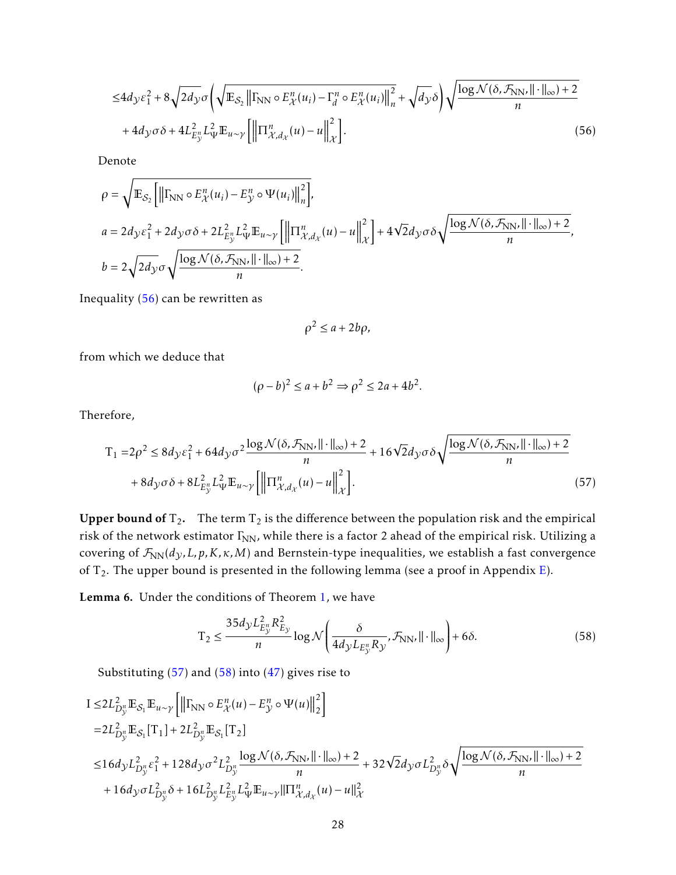$$
\leq 4d_{\mathcal{Y}}\varepsilon_{1}^{2} + 8\sqrt{2d_{\mathcal{Y}}}\sigma\left(\sqrt{\mathbb{E}_{\mathcal{S}_{2}}\left\|\Gamma_{\text{NN}}\circ E_{\mathcal{X}}^{n}(u_{i}) - \Gamma_{d}^{n}\circ E_{\mathcal{X}}^{n}(u_{i})\right\|_{n}^{2}} + \sqrt{d_{\mathcal{Y}}\delta}\right)\sqrt{\frac{\log\mathcal{N}(\delta,\mathcal{F}_{\text{NN}}\|\cdot\|_{\infty}) + 2}{n}}
$$

$$
+ 4d_{\mathcal{Y}}\sigma\delta + 4L_{E_{\mathcal{Y}}^{n}}^{2}L_{\Psi}^{2}\mathbb{E}_{u\sim\mathcal{Y}}\left[\left\|\Pi_{\mathcal{X},d_{\mathcal{X}}}^{n}(u) - u\right\|_{\mathcal{X}}^{2}\right].
$$
\n(56)

Denote

$$
\rho = \sqrt{\mathbb{E}_{\mathcal{S}_2} \left[ \left\| \Gamma_{\text{NN}} \circ E_{\mathcal{X}}^n(u_i) - E_{\mathcal{Y}}^n \circ \Psi(u_i) \right\|_n^2 \right]},
$$
  
\n
$$
a = 2d_{\mathcal{Y}} \varepsilon_1^2 + 2d_{\mathcal{Y}} \sigma \delta + 2L_{E_{\mathcal{Y}}^n}^2 L_{\Psi}^2 \mathbb{E}_{u \sim \gamma} \left[ \left\| \Pi_{\mathcal{X}, d_{\mathcal{X}}}^n(u) - u \right\|_{\mathcal{X}}^2 \right] + 4\sqrt{2}d_{\mathcal{Y}} \sigma \delta \sqrt{\frac{\log \mathcal{N}(\delta, \mathcal{F}_{\text{NN}}, || \cdot ||_{\infty}) + 2}{n}},
$$
  
\n
$$
b = 2\sqrt{2d_{\mathcal{Y}}\sigma} \sqrt{\frac{\log \mathcal{N}(\delta, \mathcal{F}_{\text{NN}}, || \cdot ||_{\infty}) + 2}{n}}.
$$

Inequality [\(56\)](#page-27-0) can be rewritten as

<span id="page-27-1"></span><span id="page-27-0"></span>
$$
\rho^2 \le a + 2b\rho,
$$

from which we deduce that

$$
(\rho - b)^2 \le a + b^2 \Rightarrow \rho^2 \le 2a + 4b^2.
$$

Therefore,

$$
T_1 = 2\rho^2 \le 8d_y \varepsilon_1^2 + 64d_y \sigma^2 \frac{\log \mathcal{N}(\delta, \mathcal{F}_{NN}, ||\cdot||_{\infty}) + 2}{n} + 16\sqrt{2}d_y \sigma \delta \sqrt{\frac{\log \mathcal{N}(\delta, \mathcal{F}_{NN}, ||\cdot||_{\infty}) + 2}{n}}
$$

$$
+ 8d_y \sigma \delta + 8L_{E_y}^2 L_{\Psi}^2 \mathbb{E}_{u \sim \gamma} \left[ \left\| \Pi_{\mathcal{X}, d_\mathcal{X}}^n(u) - u \right\|_{\mathcal{X}}^2 \right].
$$
 (57)

Upper bound of  $T_2$ . The term  $T_2$  is the difference between the population risk and the empirical risk of the network estimator  $\Gamma_{NN}$ , while there is a factor 2 ahead of the empirical risk. Utilizing a covering of  $\mathcal{F}_{NN}(d_y, L, p, K, \kappa, M)$  and Bernstein-type inequalities, we establish a fast convergence of  $T_2$ . The upper bound is presented in the following lemma (see a proof in Appendix [E\)](#page-47-0).

<span id="page-27-3"></span>Lemma 6. Under the conditions of Theorem [1,](#page-8-2) we have

<span id="page-27-2"></span> $\sim$ 

$$
T_2 \le \frac{35d_y L_{E_y}^2 R_{E_y}^2}{n} \log \mathcal{N}\left(\frac{\delta}{4d_y L_{E_y''} R_y}, \mathcal{F}_{NN'} || \cdot ||_{\infty}\right) + 6\delta. \tag{58}
$$

Substituting [\(57\)](#page-27-1) and [\(58\)](#page-27-2) into [\(47\)](#page-24-3) gives rise to

$$
\begin{split} &1\leq 2L_{D_y^u}^2\mathbb{E}_{\mathcal{S}_1}\mathbb{E}_{u\sim \gamma}\left[\left\|\Gamma_{\text{NN}}\circ E_{\mathcal{X}}^n(u)-E_{\mathcal{Y}}^n\circ \Psi(u)\right\|_2^2\right]\\ =&2L_{D_y^u}^2\mathbb{E}_{\mathcal{S}_1}[T_1]+2L_{D_y^u}^2\mathbb{E}_{\mathcal{S}_1}[T_2] \\ \leq&16d_{\mathcal{Y}}L_{D_y^u}^2\epsilon_1^2+128d_{\mathcal{Y}}\sigma^2L_{D_y^u}^2\frac{\log \mathcal{N}(\delta,\mathcal{F}_{\text{NN}},\|\cdot\|_{\infty})+2}{n}+32\sqrt{2}d_{\mathcal{Y}}\sigma L_{D_y^u}^2\delta\sqrt{\frac{\log \mathcal{N}(\delta,\mathcal{F}_{\text{NN}},\|\cdot\|_{\infty})+2}{n}}\\ &+16d_{\mathcal{Y}}\sigma L_{D_y^u}^2\delta+16L_{D_y^u}^2L_{E_y^u}^2\mathbb{E}_{u\sim \gamma}\|\Pi_{\mathcal{X},d_{\mathcal{X}}}^n(u)-u\|_{\mathcal{X}}^2\end{split}
$$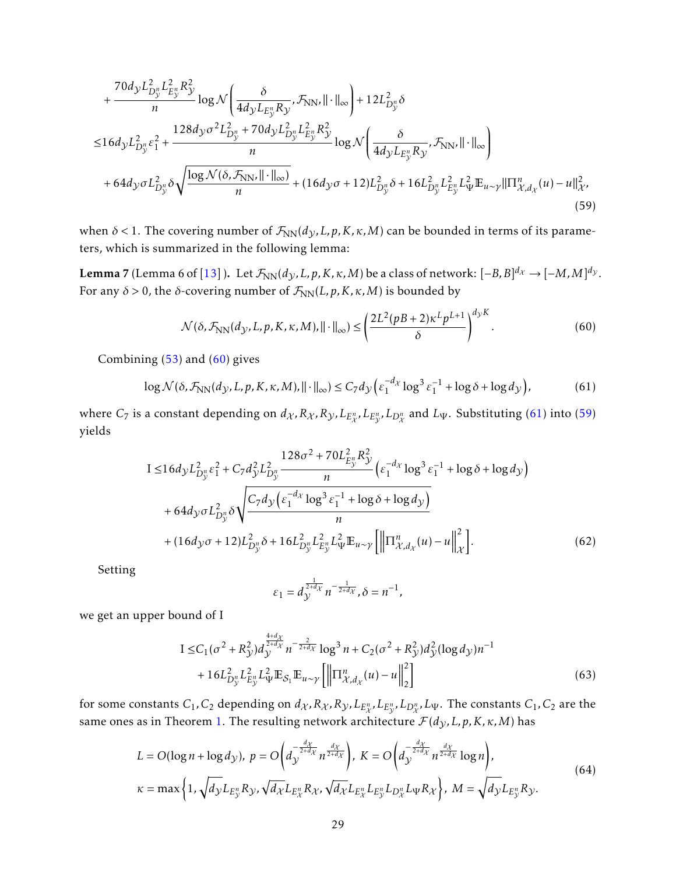$$
+ \frac{70d_{y}L_{D_{y}^{n}}^{2}L_{E_{y}^{n}}^{2}R_{y}^{2}}{n}\log \mathcal{N}\left(\frac{\delta}{4d_{y}L_{E_{y}^{n}}R_{y}}, \mathcal{F}_{NN}, ||\cdot||_{\infty}\right) + 12L_{D_{y}^{n}}^{2}\delta
$$
  
\n
$$
\leq 16d_{y}L_{D_{y}^{n}}^{2}\epsilon_{1}^{2} + \frac{128d_{y}\sigma^{2}L_{D_{y}^{n}}^{2}+70d_{y}L_{D_{y}^{n}}^{2}L_{E_{y}^{n}}^{2}R_{y}^{2}}{n}\log \mathcal{N}\left(\frac{\delta}{4d_{y}L_{E_{y}^{n}}R_{y}}, \mathcal{F}_{NN}, ||\cdot||_{\infty}\right)
$$
  
\n
$$
+ 64d_{y}\sigma L_{D_{y}^{n}}^{2}\delta\sqrt{\frac{\log \mathcal{N}(\delta, \mathcal{F}_{NN}, ||\cdot||_{\infty})}{n}} + (16d_{y}\sigma + 12)L_{D_{y}^{n}}^{2}\delta + 16L_{D_{y}^{n}}^{2}L_{E_{y}^{n}}^{2}L_{\Psi}^{2}\mathbb{E}_{u \sim \gamma}||\Pi_{\mathcal{X}, d_{\chi}}^{n}(u) - u||_{\mathcal{X}}^{2},
$$
\n(59)

when  $\delta$  < 1. The covering number of  $\mathcal{F}_{NN}(d_{\mathcal{Y}},L,p,K,\kappa,M)$  can be bounded in terms of its parameters, which is summarized in the following lemma:

Lemma 7 (Lemma 6 of  $[13]$  ). Let  $\mathcal{F}_{\text{NN}}(d_\mathcal{Y},L,p,K,\kappa,M)$  be a class of network:  $[-B,B]^{d_\mathcal{X}} \to [-M,M]^{d_\mathcal{Y}}$ . For any  $\delta > 0$ , the *δ*-covering number of  $\mathcal{F}_{\text{NN}}(L,p,K,\kappa,M)$  is bounded by

<span id="page-28-2"></span><span id="page-28-0"></span>
$$
\mathcal{N}(\delta, \mathcal{F}_{NN}(d_{\mathcal{Y}}, L, p, K, \kappa, M), ||\cdot||_{\infty}) \le \left(\frac{2L^2(pB + 2)\kappa^L p^{L+1}}{\delta}\right)^{d_{\mathcal{Y}}K}.\tag{60}
$$

Combining [\(53\)](#page-26-0) and [\(60\)](#page-28-0) gives

$$
\log \mathcal{N}(\delta, \mathcal{F}_{\text{NN}}(d_{\mathcal{Y}}, L, p, K, \kappa, M), \|\cdot\|_{\infty}) \le C_7 d_{\mathcal{Y}} \left( \varepsilon_1^{-d_{\mathcal{X}}} \log^3 \varepsilon_1^{-1} + \log \delta + \log d_{\mathcal{Y}} \right),\tag{61}
$$

where  $C_7$  is a constant depending on  $d_\mathcal{X}, R_\mathcal{X}, R_\mathcal{Y}, L_{E_\mathcal{X}^n}, L_{E_\mathcal{Y}^n}, L_{D_\mathcal{X}^n}$  and  $L_\Psi$ . Substituting [\(61\)](#page-28-1) into [\(59\)](#page-28-2) yields

$$
I \le 16d_{\mathcal{Y}}L_{D_{\mathcal{Y}}^{n}}^{2}\epsilon_{1}^{2} + C_{7}d_{\mathcal{Y}}^{2}L_{D_{\mathcal{Y}}^{n}}^{2} \frac{128\sigma^{2} + 70L_{E_{\mathcal{Y}}^{n}}^{2}R_{\mathcal{Y}}^{2}}{n} \left(\epsilon_{1}^{-d_{\mathcal{X}}}\log^{3}\epsilon_{1}^{-1} + \log\delta + \log d_{\mathcal{Y}}\right) + 64d_{\mathcal{Y}}\sigma L_{D_{\mathcal{Y}}^{n}}^{2}\delta\sqrt{\frac{C_{7}d_{\mathcal{Y}}\left(\epsilon_{1}^{-d_{\mathcal{X}}}\log^{3}\epsilon_{1}^{-1} + \log\delta + \log d_{\mathcal{Y}}\right)}{n}} + (16d_{\mathcal{Y}}\sigma + 12)L_{D_{\mathcal{Y}}^{n}}^{2}\delta + 16L_{D_{\mathcal{Y}}^{n}}^{2}L_{E_{\mathcal{Y}}^{n}}^{2}L_{\Psi}^{2}\mathbb{E}_{u \sim \mathcal{Y}}\left[\left\|\Pi_{\mathcal{X},d_{\mathcal{X}}^{n}}^{n}(u) - u\right\|_{\mathcal{X}}^{2}\right].
$$
\n(62)

Setting

<span id="page-28-3"></span><span id="page-28-1"></span>
$$
\varepsilon_1 = d_{\mathcal{Y}}^{\frac{1}{2+d_{\mathcal{X}}}} n^{-\frac{1}{2+d_{\mathcal{X}}}}, \delta = n^{-1},
$$

we get an upper bound of I

$$
I \leq C_1 (\sigma^2 + R_{\mathcal{Y}}^2) d_{\mathcal{Y}}^{\frac{4+d_{\mathcal{X}}}{2+d_{\mathcal{X}}}} n^{-\frac{2}{2+d_{\mathcal{X}}}} \log^3 n + C_2 (\sigma^2 + R_{\mathcal{Y}}^2) d_{\mathcal{Y}}^2 (\log d_{\mathcal{Y}}) n^{-1} + 16 L_{D_{\mathcal{Y}}^n}^2 L_{\mathcal{E}}^2 L_{\mathcal{Y}}^2 \mathbb{E}_{\mathcal{S}_1} \mathbb{E}_{u \sim \mathcal{Y}} \left[ \left\| \Pi_{\mathcal{X}, d_{\mathcal{X}}}^n(u) - u \right\|_2^2 \right]
$$
(63)

for some constants  $C_1,C_2$  depending on  $d_\chi, R_\chi, R_\chi, L_{E_\chi^n}, L_{E_\chi^n}, L_{D_\chi^n}, L_\Psi.$  The constants  $C_1,C_2$  are the same ones as in Theorem [1.](#page-8-2) The resulting network architecture  $\mathcal{F}(d_{\mathcal{Y}}, L, p, K, \kappa, M)$  has

$$
L = O(\log n + \log d_{\mathcal{Y}}), \ p = O\left(d_{\mathcal{Y}}^{-\frac{d_{\mathcal{X}}}{2+d_{\mathcal{X}}}} n^{\frac{d_{\mathcal{X}}}{2+d_{\mathcal{X}}}}\right), \ K = O\left(d_{\mathcal{Y}}^{-\frac{d_{\mathcal{X}}}{2+d_{\mathcal{X}}}} n^{\frac{d_{\mathcal{X}}}{2+d_{\mathcal{X}}}} \log n\right),
$$
  

$$
\kappa = \max\left\{1, \sqrt{d_{\mathcal{Y}}L_{E_{\mathcal{Y}}^n}R_{\mathcal{Y}}, \sqrt{d_{\mathcal{X}}L_{E_{\mathcal{X}}^n}R_{\mathcal{X}}}, \sqrt{d_{\mathcal{X}}L_{E_{\mathcal{X}}^n}L_{E_{\mathcal{Y}}^n}L_{\mathcal{Y}}}\log n\right\}, \ M = \sqrt{d_{\mathcal{Y}}L_{E_{\mathcal{Y}}^n}R_{\mathcal{Y}}}.
$$
(64)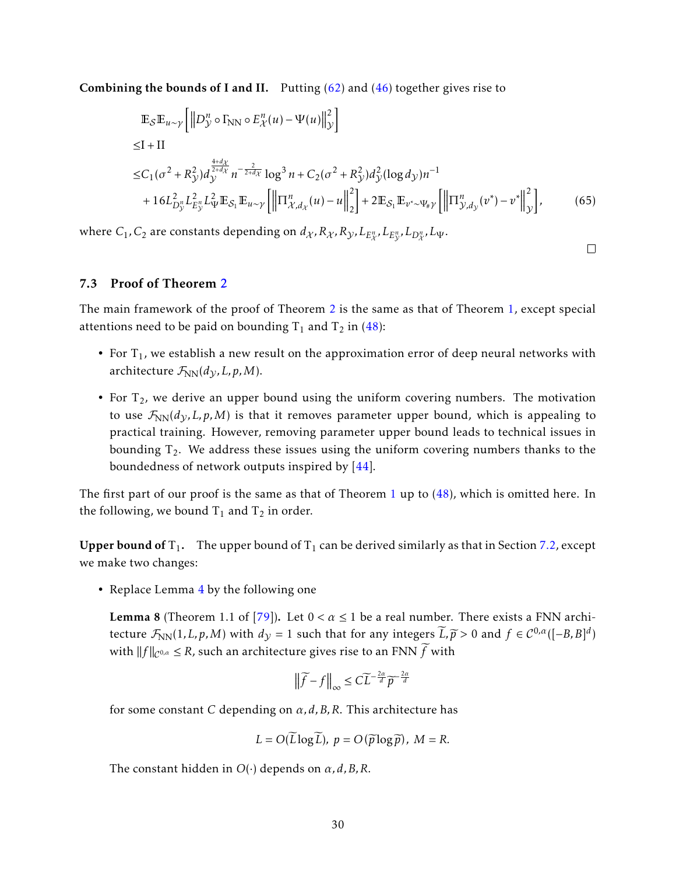**Combining the bounds of I and II.** Putting  $(62)$  and  $(46)$  together gives rise to

$$
\mathbb{E}_{\mathcal{S}}\mathbb{E}_{u \sim \gamma} \left[ \left\| D_{\mathcal{Y}}^{n} \circ \Gamma_{\text{NN}} \circ E_{\mathcal{X}}^{n}(u) - \Psi(u) \right\|_{\mathcal{Y}}^{2} \right] \leq I + II \leq C_{1}(\sigma^{2} + R_{\mathcal{Y}}^{2}) d_{\mathcal{Y}}^{\frac{4+d_{\mathcal{X}}}{2+d_{\mathcal{X}}}} n^{-\frac{2}{2+d_{\mathcal{X}}}} \log^{3} n + C_{2}(\sigma^{2} + R_{\mathcal{Y}}^{2}) d_{\mathcal{Y}}^{2} (\log d_{\mathcal{Y}}) n^{-1} + 16L_{D_{\mathcal{Y}}^{n}}^{2} L_{E_{\mathcal{Y}}^{n}}^{2} L_{\Psi}^{2} \mathbb{E}_{\mathcal{S}_{1}} \mathbb{E}_{u \sim \gamma} \left[ \left\| \Pi_{\mathcal{X}, d_{\mathcal{X}}^{n}}^{n}(u) - u \right\|_{2}^{2} \right] + 2 \mathbb{E}_{\mathcal{S}_{1}} \mathbb{E}_{v^{*} \sim \Psi_{\#} \gamma} \left[ \left\| \Pi_{\mathcal{Y}, d_{\mathcal{Y}}^{n}}^{n}(v^{*}) - v^{*} \right\|_{\mathcal{Y}}^{2} \right],
$$
(65)

 $\Box$ 

where  $C_1$ ,  $C_2$  are constants depending on  $d_{\mathcal{X}}, R_{\mathcal{X}}, R_{\mathcal{Y}}, L_{E_{\mathcal{X}}^n}, L_{E_{\mathcal{Y}}^n}, L_{D_{\mathcal{X}}^n}, L_{\Psi}.$ 

#### <span id="page-29-0"></span>7.3 Proof of Theorem [2](#page-9-0)

The main framework of the proof of Theorem [2](#page-9-0) is the same as that of Theorem [1,](#page-8-2) except special attentions need to be paid on bounding  $T_1$  and  $T_2$  in [\(48\)](#page-24-0):

- For  $T_1$ , we establish a new result on the approximation error of deep neural networks with architecture  $\mathcal{F}_{NN}(d_{\mathcal{V}}, L, p, M)$ .
- For  $T_2$ , we derive an upper bound using the uniform covering numbers. The motivation to use  $\mathcal{F}_{NN}(d_{\mathcal{Y}}, L, p, M)$  is that it removes parameter upper bound, which is appealing to practical training. However, removing parameter upper bound leads to technical issues in bounding  $T_2$ . We address these issues using the uniform covering numbers thanks to the boundedness of network outputs inspired by [\[44\]](#page-39-6).

The first part of our proof is the same as that of Theorem [1](#page-8-2) up to [\(48\)](#page-24-0), which is omitted here. In the following, we bound  $T_1$  and  $T_2$  in order.

**Upper bound of**  $T_1$ . The upper bound of  $T_1$  can be derived similarly as that in Section [7.2,](#page-23-0) except we make two changes:

• Replace Lemma [4](#page-25-1) by the following one

<span id="page-29-1"></span>**Lemma 8** (Theorem 1.1 of [\[79\]](#page-41-4)). Let  $0 < \alpha \leq 1$  be a real number. There exists a FNN architecture  $\mathcal{F}_{NN}(1,L,p,M)$  with  $d_y = 1$  such that for any integers  $\widetilde{L}, \widetilde{p} > 0$  and  $f \in C^{0,\alpha}([-B,B]^d)$ with  $||f||_{\mathcal{C}^{0,\alpha}} \leq R$ , such an architecture gives rise to an FNN  $\widetilde{f}$  with

$$
\left\|\widetilde{f}-f\right\|_{\infty}\leq C\widetilde{L}^{-\frac{2\alpha}{d}}\widetilde{p}^{-\frac{2\alpha}{d}}
$$

for some constant *C* depending on *α, d,B,R*. This architecture has

$$
L = O(\widetilde{L}\log \widetilde{L}), p = O(\widetilde{p}\log \widetilde{p}), M = R.
$$

The constant hidden in *O*(·) depends on *α, d,B,R*.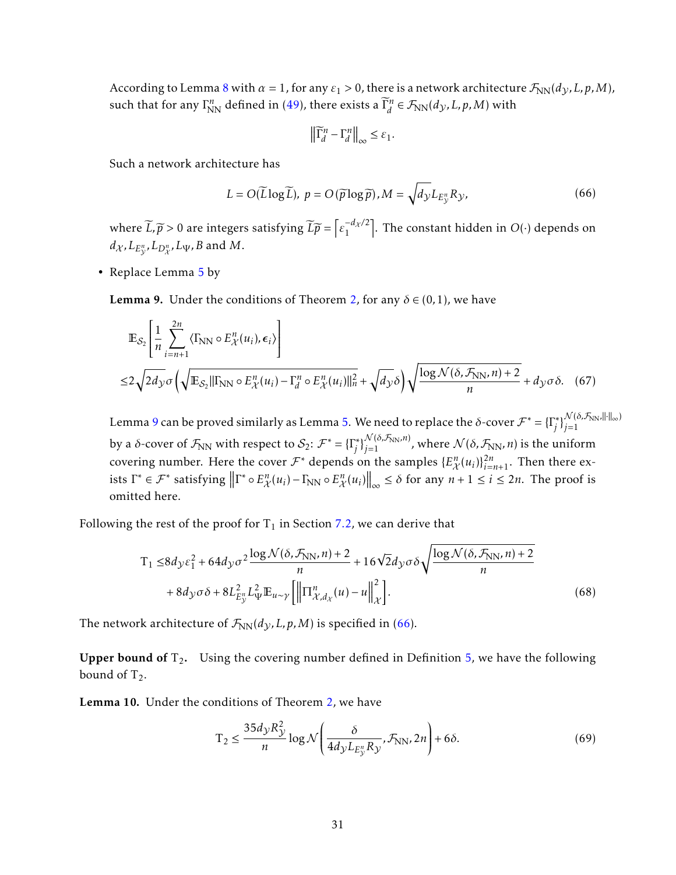According to Lemma [8](#page-29-1) with  $\alpha = 1$ , for any  $\varepsilon_1 > 0$ , there is a network architecture  $\mathcal{F}_{NN}(d_{\mathcal{Y}}, L, p, M)$ , such that for any  $\Gamma^n_{NN}$  defined in [\(49\)](#page-24-2), there exists a  $\widetilde{\Gamma}^n_d$  $\vec{a}_d^n \in \mathcal{F}_{\text{NN}}(d_{\mathcal{Y}}, L, p, M)$  with

$$
\left\|\widetilde{\Gamma}_d^n - \Gamma_d^n\right\|_{\infty} \leq \varepsilon_1.
$$

Such a network architecture has

<span id="page-30-1"></span>
$$
L = O(\widetilde{L}\log\widetilde{L}), \ p = O(\widetilde{p}\log\widetilde{p}), M = \sqrt{d_{\mathcal{Y}}L_{E_{\mathcal{Y}}^n}R_{\mathcal{Y}}},
$$
\n(66)

where  $\widetilde{L}, \widetilde{p} > 0$  are integers satisfying  $\widetilde{L}\widetilde{p} = \left[\epsilon_1^{-d_X/2}\right]$  $\begin{bmatrix} -d_{\mathcal{X}}/2 \\ 1 \end{bmatrix}$ . The constant hidden in *O*( $\cdot$ ) depends on  $d_{\mathcal{X}}$ *, L*<sub>*E*<sup>*n*</sup></sup>, *L*<sub>D</sub><sup>*n*</sup>, *L*<sub>Ψ</sub>, *B* and *M*.</sub>

• Replace Lemma [5](#page-26-3) by

<span id="page-30-0"></span>**Lemma 9.** Under the conditions of Theorem [2,](#page-9-0) for any  $\delta \in (0,1)$ , we have

$$
\mathbb{E}_{\mathcal{S}_2} \left[ \frac{1}{n} \sum_{i=n+1}^{2n} \langle \Gamma_{\text{NN}} \circ E_{\mathcal{X}}^n(u_i), \epsilon_i \rangle \right]
$$
  

$$
\leq 2 \sqrt{2d_{\mathcal{Y}} \sigma} \left( \sqrt{\mathbb{E}_{\mathcal{S}_2} || \Gamma_{\text{NN}}} \circ E_{\mathcal{X}}^n(u_i) - \Gamma_d^n \circ E_{\mathcal{X}}^n(u_i) ||_n^2 + \sqrt{d_{\mathcal{Y}} \delta} \right) \sqrt{\frac{\log \mathcal{N}(\delta, \mathcal{F}_{\text{NN}}, n) + 2}{n}} + d_{\mathcal{Y}} \sigma \delta. \quad (67)
$$

Lemma [9](#page-30-0) can be proved similarly as Lemma [5.](#page-26-3) We need to replace the *δ*-cover  $\mathcal{F}^* = \{\Gamma_i^*\}$  $\left\{\begin{array}{l}\mathcal{N}(\delta,\mathcal{F}_{NN},\|\cdot\|_{\infty})\ j=1\end{array}\right\}$ *j*=1 by a *δ*-cover of  $\mathcal{F}_{NN}$  with respect to  $\mathcal{S}_2$ :  $\mathcal{F}^* = \{\Gamma_i^*\}$  $\int\limits_{j}^{\infty}\int_{j=1}^{\mathcal{N}(\delta,\mathcal{F}_{\text{NN}},n)}$ , where  $\mathcal{N}(\delta,\mathcal{F}_{\text{NN}},n)$  is the uniform covering number. Here the cover  $\mathcal{F}^*$  depends on the samples  $\{E_{\mathcal{X}}^n(u_i)\}_{i=n+1}^{2n}$ . Then there exists  $\Gamma^* \in \mathcal{F}^*$  satisfying  $\left\| \Gamma^* \circ E_{\mathcal{X}}^n(u_i) - \Gamma_{\text{NN}} \circ E_{\mathcal{X}}^n(u_i) \right\|_{\infty} \leq \delta$  for any  $n + 1 \leq i \leq 2n$ . The proof is omitted here.

Following the rest of the proof for  $T_1$  in Section [7.2,](#page-23-0) we can derive that

$$
T_1 \leq 8d_y \varepsilon_1^2 + 64d_y \sigma^2 \frac{\log \mathcal{N}(\delta, \mathcal{F}_{NN}, n) + 2}{n} + 16\sqrt{2}d_y \sigma \delta \sqrt{\frac{\log \mathcal{N}(\delta, \mathcal{F}_{NN}, n) + 2}{n}}
$$

$$
+ 8d_y \sigma \delta + 8L_{E_y^n}^2 L_{\Psi}^2 \mathbb{E}_{u \sim \gamma} \left[ \left\| \Pi_{\mathcal{X}, d_\mathcal{X}}^n(u) - u \right\|_{\mathcal{X}}^2 \right].
$$
(68)

The network architecture of  $\mathcal{F}_{NN}(d_{\mathcal{Y}}, L, p, M)$  is specified in [\(66\)](#page-30-1).

**Upper bound of**  $T_2$ . Using the covering number defined in Definition [5,](#page-23-3) we have the following bound of  $T_2$ .

<span id="page-30-2"></span>Lemma 10. Under the conditions of Theorem [2,](#page-9-0) we have

<span id="page-30-4"></span><span id="page-30-3"></span>
$$
T_2 \le \frac{35d_y R_y^2}{n} \log \mathcal{N}\left(\frac{\delta}{4d_y L_{E_y^n} R_y}, \mathcal{F}_{NN}, 2n\right) + 6\delta. \tag{69}
$$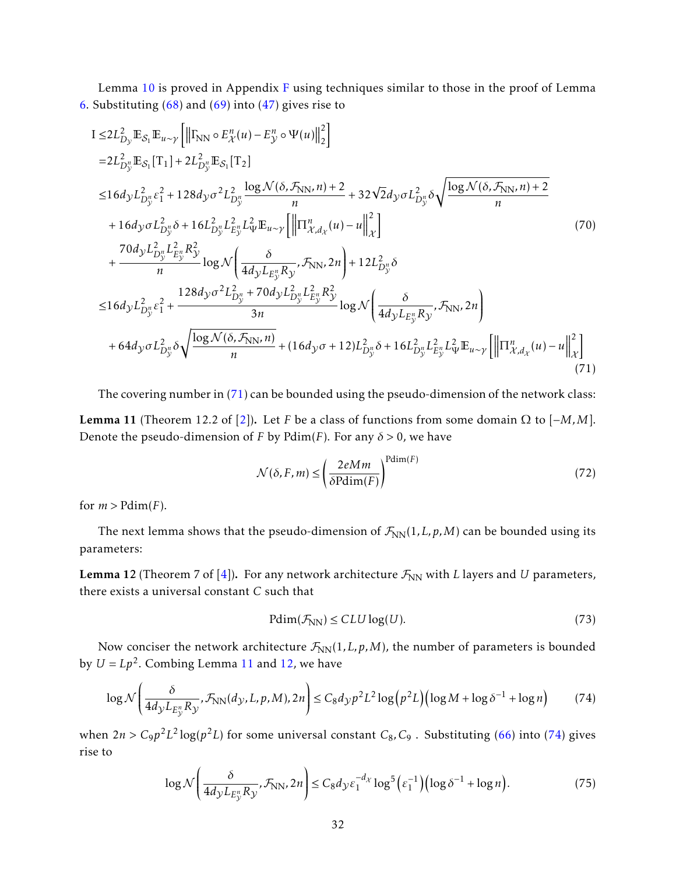Lemma [10](#page-30-2) is proved in Appendix [F](#page-50-0) using techniques similar to those in the proof of Lemma [6.](#page-27-3) Substituting  $(68)$  and  $(69)$  into  $(47)$  gives rise to

$$
I \leq 2L_{D_y}^2 \mathbb{E}_{S_1} \mathbb{E}_{u \sim \gamma} \left[ \left\| \Gamma_{NN} \circ E_{\chi}^n(u) - E_{\chi}^n \circ \Psi(u) \right\|_2^2 \right]
$$
  
\n=2L\_{D\_y}^2 \mathbb{E}\_{S\_1} [T\_1] + 2L\_{D\_y}^2 \mathbb{E}\_{S\_1} [T\_2]   
\n
$$
\leq 16d_{\mathcal{Y}} L_{D_y}^2 \varepsilon_1^2 + 128d_{\mathcal{Y}} \sigma^2 L_{D_y}^2 \frac{\log \mathcal{N}(\delta, \mathcal{F}_{NN}, n) + 2}{n} + 32\sqrt{2}d_{\mathcal{Y}} \sigma L_{D_y}^2 \delta \sqrt{\frac{\log \mathcal{N}(\delta, \mathcal{F}_{NN}, n) + 2}{n}}
$$
  
\n+ 16d\_{\mathcal{Y}} \sigma L\_{D\_y}^2 \delta + 16L\_{D\_y}^2 L\_{E\_y}^2 L\_{\Psi}^2 \mathbb{E}\_{u \sim \gamma} \left[ \left\| \left[ \Gamma\_{\chi,d\_x}^n(u) - u \right] \right\|\_2^2 \right]   
\n+ \frac{70d\_{\mathcal{Y}} L\_{D\_y}^2 L\_{E\_y}^2 R\_{\mathcal{Y}}^2}{n} \log \mathcal{N} \left( \frac{\delta}{4d\_{\mathcal{Y}} L\_{E\_y}^2 R\_{\mathcal{Y}}}, \mathcal{F}\_{NN}, 2n \right) + 12L\_{D\_y}^2 \delta  
\n
$$
\leq 16d_{\mathcal{Y}} L_{D_y}^2 \varepsilon_1^2 + \frac{128d_{\mathcal{Y}} \sigma^2 L_{D_y}^2 + 70d_{\mathcal{Y}} L_{D_y}^2 L_{E_y}^2 R_{\mathcal{Y}}^2}{3n} \log \mathcal{N} \left( \frac{\delta}{4d_{\mathcal{Y}} L_{E_y} R_{\mathcal{Y}}}, \mathcal{F}_{NN}, 2n \right)
$$
  
\n+ 64d\_{\mathcal{Y}} \sigma L\_{D\_y}^2 \delta \sqrt{\frac{\log \mathcal{N}(\delta, \mathcal{F}\_{NN}, n)}{n}} + (16d\_{\mathcal{Y}} \sigma + 12)L\_{D\_y}^2 \delta + 16L\_{D\_y}^2 L\_{E

<span id="page-31-1"></span>The covering number in [\(71\)](#page-31-0) can be bounded using the pseudo-dimension of the network class: Lemma 11 (Theorem 12.2 of [\[2\]](#page-36-4)). Let *F* be a class of functions from some domain Ω to [−*M,M*]. Denote the pseudo-dimension of *F* by Pdim(*F*). For any  $\delta$  > 0, we have

<span id="page-31-0"></span>
$$
\mathcal{N}(\delta, F, m) \le \left(\frac{2eMm}{\delta \text{Pdim}(F)}\right)^{\text{Pdim}(F)}\tag{72}
$$

for  $m >$  Pdim(*F*).

The next lemma shows that the pseudo-dimension of  $\mathcal{F}_{NN}(1,L,p,M)$  can be bounded using its parameters:

<span id="page-31-2"></span>**Lemma 12** (Theorem 7 of [\[4\]](#page-36-5)). For any network architecture  $\mathcal{F}_{NN}$  with *L* layers and *U* parameters, there exists a universal constant *C* such that

<span id="page-31-4"></span><span id="page-31-3"></span>
$$
Pdim(\mathcal{F}_{NN}) \le CLU \log(U). \tag{73}
$$

Now conciser the network architecture  $\mathcal{F}_{NN}(1,L,p,M)$ , the number of parameters is bounded by  $U = Lp^2$ . Combing Lemma [11](#page-31-1) and [12,](#page-31-2) we have

$$
\log \mathcal{N}\left(\frac{\delta}{4d_{\mathcal{Y}}L_{E_{\mathcal{Y}}^{n}}R_{\mathcal{Y}}}, \mathcal{F}_{\text{NN}}(d_{\mathcal{Y}}, L, p, M), 2n\right) \leq C_{8}d_{\mathcal{Y}}p^{2}L^{2}\log\left(p^{2}L\right)\left(\log M + \log\delta^{-1} + \log n\right) \tag{74}
$$

when  $2n > C_9p^2L^2\log(p^2L)$  for some universal constant  $C_8$ ,  $C_9$ . Substituting [\(66\)](#page-30-1) into [\(74\)](#page-31-3) gives rise to

$$
\log \mathcal{N}\left(\frac{\delta}{4d_{\mathcal{Y}}L_{E_{\mathcal{Y}}^n}R_{\mathcal{Y}}}, \mathcal{F}_{\text{NN}}, 2n\right) \leq C_8d_{\mathcal{Y}}\varepsilon_1^{-d_{\mathcal{X}}}\log^5\left(\varepsilon_1^{-1}\right)\left(\log \delta^{-1} + \log n\right). \tag{75}
$$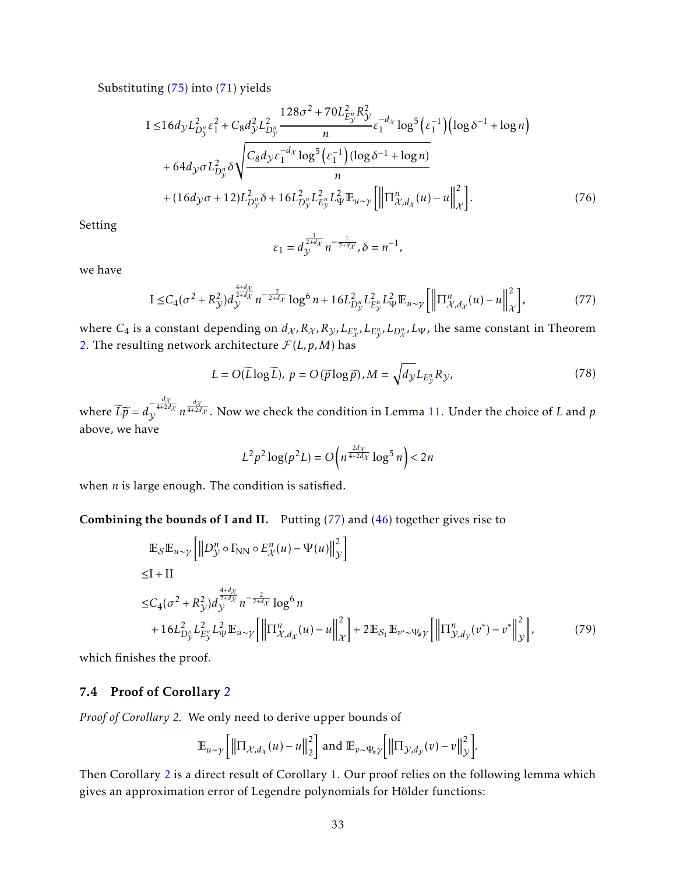Substituting [\(75\)](#page-31-4) into [\(71\)](#page-31-0) yields

$$
I \le 16d_{\mathcal{Y}}L_{D_{\mathcal{Y}}^{n}}^{2}\epsilon_{1}^{2} + C_{8}d_{\mathcal{Y}}^{2}L_{D_{\mathcal{Y}}^{n}}^{2} \frac{128\sigma^{2} + 70L_{E_{\mathcal{Y}}^{n}}^{2}R_{\mathcal{Y}}^{2}}{n}\epsilon_{1}^{-d_{\mathcal{X}}}\log^{5}(\epsilon_{1}^{-1})\left(\log\delta^{-1} + \log n\right) + 64d_{\mathcal{Y}}\sigma L_{D_{\mathcal{Y}}^{n}}^{2}\delta\sqrt{\frac{C_{8}d_{\mathcal{Y}}\epsilon_{1}^{-d_{\mathcal{X}}}\log^{5}(\epsilon_{1}^{-1})(\log\delta^{-1} + \log n)}{n}} + (16d_{\mathcal{Y}}\sigma + 12)L_{D_{\mathcal{Y}}^{n}}^{2}\delta + 16L_{D_{\mathcal{Y}}^{n}}^{2}L_{E_{\mathcal{Y}}^{n}}^{2}L_{\Psi}^{2}\mathbb{E}_{u \sim \mathcal{Y}}\left[\left\|\Pi_{\mathcal{X},d_{\mathcal{X}}^{n}}^{n}(u) - u\right\|_{\mathcal{X}}^{2}\right].
$$
\n(76)

Setting

<span id="page-32-1"></span>
$$
\varepsilon_1 = d_{\mathcal{Y}}^{\frac{1}{2+d_{\mathcal{X}}}} n^{-\frac{1}{2+d_{\mathcal{X}}}}, \delta = n^{-1},
$$

we have

$$
I \leq C_4(\sigma^2 + R_{\mathcal{Y}}^2) d_{\mathcal{Y}}^{\frac{4+d_{\mathcal{X}}}{2+d_{\mathcal{X}}}} n^{-\frac{2}{2+d_{\mathcal{X}}}} \log^6 n + 16L_{D_{\mathcal{Y}}^n}^2 L_{E_{\mathcal{Y}}^n}^2 L_{\Psi}^2 \mathbb{E}_{u \sim \mathcal{Y}} \left[ \left\| \Pi_{\mathcal{X}, d_{\mathcal{X}}}^n(u) - u \right\|_{\mathcal{X}}^2 \right],
$$
 (77)

where  $C_4$  is a constant depending on  $d_\chi, R_\chi, R_\chi, L_{E_\chi^n}, L_{E_\chi^n}, L_{D_\chi^n}, L_\Psi$ , the same constant in Theorem [2.](#page-9-0) The resulting network architecture  $\mathcal{F}(L, p, M)$  has

$$
L = O(\widetilde{L}\log\widetilde{L}), \ p = O(\widetilde{p}\log\widetilde{p}), M = \sqrt{d_{\mathcal{Y}}}L_{E_{\mathcal{Y}}^n}R_{\mathcal{Y}},\tag{78}
$$

where  $L\widetilde{p} = d$  $\frac{d\chi}{\sqrt{4+2d\chi}} n^{\frac{d\chi}{4+2d\chi}}$ . Now we check the condition in Lemma [11.](#page-31-1) Under the choice of *L* and *p* above, we have

$$
L^2p^2\log(p^2L) = O\left(n^{\frac{2d\chi}{4+2d\chi}}\log^5 n\right) < 2n
$$

when *n* is large enough. The condition is satisfied.

Combining the bounds of I and II. Putting [\(77\)](#page-32-1) and [\(46\)](#page-23-2) together gives rise to

$$
\mathbb{E}_{\mathcal{S}}\mathbb{E}_{u \sim \gamma} \left[ \left\| D_{\mathcal{Y}}^{n} \circ \Gamma_{\text{NN}} \circ E_{\mathcal{X}}^{n}(u) - \Psi(u) \right\|_{\mathcal{Y}}^{2} \right] \leq I + II \leq C_{4}(\sigma^{2} + R_{\mathcal{Y}}^{2}) d_{\mathcal{Y}}^{\frac{4+d_{\mathcal{X}}}{2+d_{\mathcal{X}}}} n^{-\frac{2}{2+d_{\mathcal{X}}}} \log^{6} n + 16 L_{D_{\mathcal{Y}}^{n}}^{2} L_{E_{\mathcal{Y}}^{n}}^{2} L_{\Psi}^{2} \mathbb{E}_{u \sim \gamma} \left[ \left\| \Pi_{\mathcal{X}, d_{\mathcal{X}}^{n}}^{n}(u) - u \right\|_{\mathcal{X}}^{2} \right] + 2 \mathbb{E}_{\mathcal{S}_{1}} \mathbb{E}_{v^{*} \sim \Psi_{\#} \gamma} \left[ \left\| \Pi_{\mathcal{Y}, d_{\mathcal{Y}}^{n}}^{n}(v^{*}) - v^{*} \right\|_{\mathcal{Y}}^{2} \right],
$$
(79)

which finishes the proof.

#### <span id="page-32-0"></span>7.4 Proof of Corollary [2](#page-13-1)

*Proof of Corollary [2.](#page-13-1)* We only need to derive upper bounds of

$$
\mathbb{E}_{u \sim \gamma} \left[ \left\| \Pi_{\mathcal{X}, d_{\mathcal{X}}}(u) - u \right\|_{2}^{2} \right] \text{ and } \mathbb{E}_{v \sim \Psi_{\#} \gamma} \left[ \left\| \Pi_{\mathcal{Y}, d_{\mathcal{Y}}}(v) - v \right\|_{\mathcal{Y}}^{2} \right].
$$

Then Corollary [2](#page-13-1) is a direct result of Corollary [1.](#page-11-5) Our proof relies on the following lemma which gives an approximation error of Legendre polynomials for Hölder functions: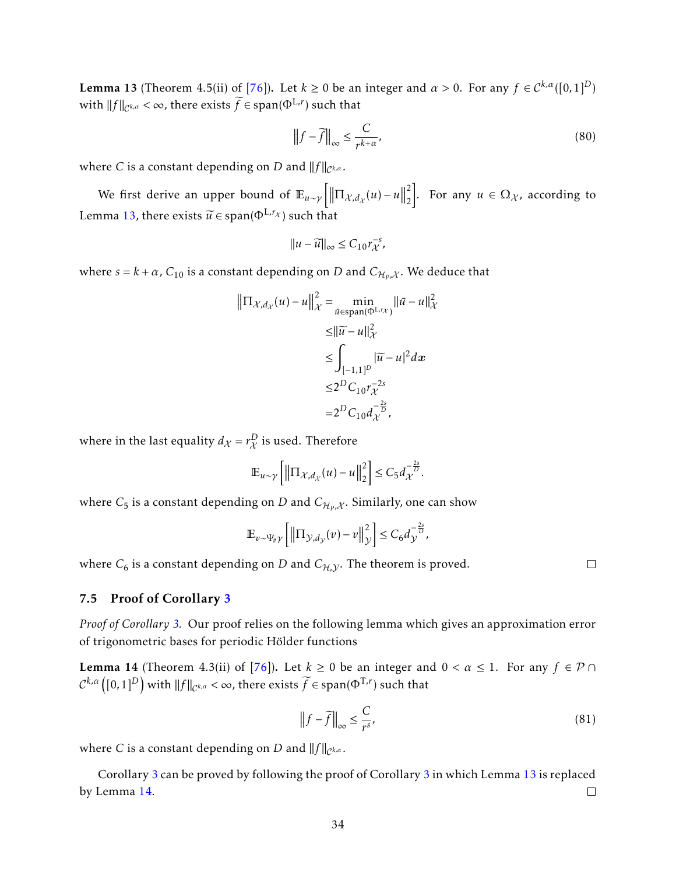<span id="page-33-1"></span>**Lemma 13** (Theorem 4.5(ii) of [\[76\]](#page-41-14)). Let  $k \ge 0$  be an integer and  $\alpha > 0$ . For any  $f \in C^{k,\alpha}([0,1]^D)$ with  $||f||_{\mathcal{C}^{k,\alpha}} < \infty$ , there exists  $\widetilde{f} \in \text{span}(\Phi^{\mathrm{L},r})$  such that

$$
\left\|f - \widetilde{f}\right\|_{\infty} \le \frac{C}{r^{k+\alpha}},\tag{80}
$$

where *C* is a constant depending on *D* and  $||f||_{\mathcal{C}^{k,\alpha}}$ .

We first derive an upper bound of  $\mathbb{E}_{u \sim \gamma} \left[ \left\| \Pi_{\mathcal{X}, d_{\mathcal{X}}}(u) - u \right\| \right]$ 2 2  $\bigg|$ . For any *u* ∈ Ω<sub>χ</sub>, according to Lemma [13,](#page-33-1) there exists  $\widetilde{u} \in \text{span}(\Phi^{\text{L},r_{\mathcal{X}}})$  such that

$$
||u - \widetilde{u}||_{\infty} \le C_{10} r_{\mathcal{X}}^{-s},
$$

where  $s = k + \alpha$  ,  $C_{10}$  is a constant depending on  $D$  and  $C_{\mathcal{H}_P,\mathcal{X}}.$  We deduce that

$$
\|\Pi_{\mathcal{X},d_{\mathcal{X}}}(u) - u\|_{\mathcal{X}}^2 = \min_{\bar{u} \in \text{span}(\Phi^{\text{L},r_{\mathcal{X}}})} \|\bar{u} - u\|_{\mathcal{X}}^2
$$
  
\n
$$
\leq \|\widetilde{u} - u\|_{\mathcal{X}}^2
$$
  
\n
$$
\leq \int_{[-1,1]^D} |\widetilde{u} - u|^2 dx
$$
  
\n
$$
\leq 2^D C_{10} r_{\mathcal{X}}^{-2s}
$$
  
\n
$$
= 2^D C_{10} d_{\mathcal{X}}^{-\frac{2s}{D}},
$$

where in the last equality  $d_{\mathcal{X}}$  =  $r_{\mathcal{X}}^D$  is used. Therefore

$$
\mathbb{E}_{u \sim \gamma} \left[ \left\| \Pi_{\mathcal{X}, d_{\mathcal{X}}}(u) - u \right\|_{2}^{2} \right] \leq C_{5} d_{\mathcal{X}}^{-\frac{2s}{D}}.
$$

where  $C_5$  is a constant depending on  $D$  and  $C_{\mathcal{H}_P,\mathcal{X}}.$  Similarly, one can show

$$
\mathbb{E}_{v \sim \Psi_{\# \gamma}} \left[ \left\| \Pi_{\mathcal{Y}, d_{\mathcal{Y}}}(v) - v \right\|_{\mathcal{Y}}^2 \right] \leq C_6 d_{\mathcal{Y}}^{-\frac{2s}{D}},
$$

where  $C_6$  is a constant depending on *D* and  $C_{H,Y}$ . The theorem is proved.

<span id="page-33-0"></span>7.5 Proof of Corollary [3](#page-15-2)

*Proof of Corollary [3.](#page-15-2)* Our proof relies on the following lemma which gives an approximation error of trigonometric bases for periodic Hölder functions

<span id="page-33-2"></span>**Lemma 14** (Theorem 4.3(ii) of [\[76\]](#page-41-14)). Let  $k \ge 0$  be an integer and  $0 < \alpha \le 1$ . For any  $f \in \mathcal{P} \cap \mathcal{P}$  $\mathcal{C}^{k,\alpha}\big([0,1]^D\big)$  with  $\|f\|_{\mathcal{C}^{k,\alpha}}<\infty$ , there exists  $\widetilde{f}\in\mathrm{span}(\Phi^{\mathrm{T},r})$  such that

$$
\left\|f - \widetilde{f}\right\|_{\infty} \le \frac{C}{r^s},\tag{81}
$$

where *C* is a constant depending on *D* and  $||f||_{\mathcal{C}^{k,\alpha}}$ .

Corollary [3](#page-15-2) can be proved by following the proof of Corollary [3](#page-15-2) in which Lemma [13](#page-33-1) is replaced by Lemma [14.](#page-33-2)  $\Box$ 

 $\Box$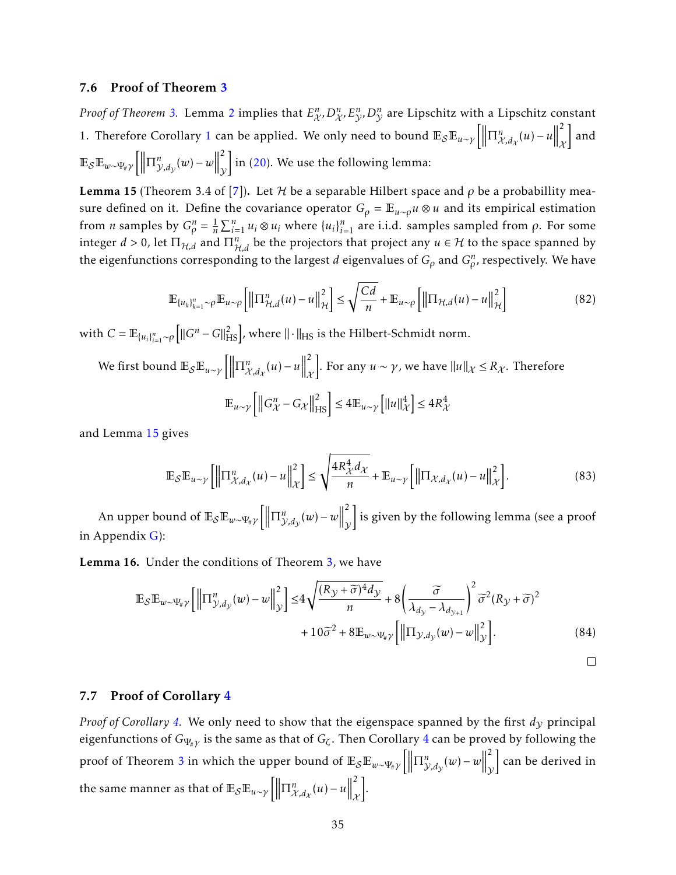#### <span id="page-34-0"></span>7.6 Proof of Theorem [3](#page-17-2)

*Proof of Theorem [3.](#page-17-2) Lemma [2](#page-16-0) implies that*  $E^n_{\mathcal{X}}, D^n_{\mathcal{X}}, E^n_{\mathcal{Y}}, D^n_{\mathcal{Y}}$  *are Lipschitz with a Lipschitz constant* [1](#page-11-5). Therefore Corollary 1 can be applied. We only need to bound  $\mathbb{E}_{\mathcal{S}}\mathbb{E}_{u \sim \gamma}$  $\Pi_{\mathcal{X},d_{\mathcal{X}}}^n(u) - u\Big\|$ 2  $\overline{\mathcal{X}}$  and  $\mathbb{E}_{\mathcal{S}}\mathbb{E}_{w\sim \Psi_{\#}\gamma}\Big[\Big\|$  $\Pi_{\mathcal{Y},d_{\mathcal{Y}}}^n(w) - w\Big\|$ 2  $\mathcal{V}$ in [\(20\)](#page-11-6). We use the following lemma:

<span id="page-34-2"></span>**Lemma 15** (Theorem 3.4 of [\[7\]](#page-37-1)). Let H be a separable Hilbert space and  $\rho$  be a probabillity measure defined on it. Define the covariance operator  $G_{\rho} = \mathbb{E}_{u \sim \rho} u \otimes u$  and its empirical estimation from *n* samples by  $G_{\rho}^n = \frac{1}{n}$  $\frac{1}{n}$   $\sum_{i=1}^{n}$  *u*<sub>*i*</sub> ⊗ *u*<sub>*i*</sub> where {*u*<sub>*i*</sub>}<sup>*n*</sup><sub>*i*=1</sub> are i.i.d. samples sampled from *ρ*. For some integer  $d > 0$ , let  $\Pi_{\mathcal{H},d}$  and  $\Pi_{\mathcal{H},d}^n$  be the projectors that project any  $u \in \mathcal{H}$  to the space spanned by the eigenfunctions corresponding to the largest *d* eigenvalues of  $G_\rho$  and  $G_\rho^n$ , respectively. We have

$$
\mathbb{E}_{\{u_k\}_{k=1}^n \sim \rho} \mathbb{E}_{u \sim \rho} \left[ \left\| \Pi_{\mathcal{H},d}^n(u) - u \right\|_{\mathcal{H}}^2 \right] \le \sqrt{\frac{Cd}{n}} + \mathbb{E}_{u \sim \rho} \left[ \left\| \Pi_{\mathcal{H},d}(u) - u \right\|_{\mathcal{H}}^2 \right] \tag{82}
$$

with  $C = \mathbb{E}_{\{u_i\}_{i=1}^n \sim \rho} \Big[ \|G^n - G\|_{\text{HS}}^2 \Big]$ , where  $\| \cdot \|_{\text{HS}}$  is the Hilbert-Schmidt norm.

We first bound  $\mathbb{E}_{\mathcal{S}}\mathbb{E}_{u \sim \gamma} \Big[\Big\|$  $\Pi_{\mathcal{X},d_{\mathcal{X}}}^{n}(u) - u\Big\|$ 2  $\lambda$  $\big].$  For any *u* ∼  $\gamma$ , we have  $\|u\|_{\mathcal{X}}$  ≤  $R_{\mathcal{X}}$ . Therefore  $\mathbb{E}_{u \sim \gamma} \left[ \left\| G_{\mathcal{X}}^{n} - G_{\mathcal{X}} \right\| \right]$  $\left[\max_{i=1}^{2} \right] \leq 4 \mathbb{E}_{u \sim \gamma} \left[ ||u||_{\mathcal{X}}^{4} \right] \leq 4 R_{\mathcal{X}}^{4}$ 

and Lemma [15](#page-34-2) gives

$$
\mathbb{E}_{\mathcal{S}}\mathbb{E}_{u\sim\gamma}\left[\left\|\Pi_{\mathcal{X},d_{\mathcal{X}}}^{n}(u)-u\right\|_{\mathcal{X}}^{2}\right] \leq \sqrt{\frac{4R_{\mathcal{X}}^{4}d_{\mathcal{X}}}{n}} + \mathbb{E}_{u\sim\gamma}\left[\left\|\Pi_{\mathcal{X},d_{\mathcal{X}}}(u)-u\right\|_{\mathcal{X}}^{2}\right].
$$
\n(83)

An upper bound of  $\mathbb{E}_{\mathcal{S}}\mathbb{E}_{w\sim \Psi_{\sharp} \gamma}\left[ \Big\Vert$  $\Pi_{\mathcal{Y},d_{\mathcal{Y}}}^n(w) - w\Big\|$ 2  $\mathcal{V}$  is given by the following lemma (see a proof in Appendix  $\mathbf{G}$ :

<span id="page-34-3"></span>Lemma 16. Under the conditions of Theorem [3,](#page-17-2) we have

$$
\mathbb{E}_{\mathcal{S}}\mathbb{E}_{w\sim\Psi_{\#}\gamma}\left[\left\|\Pi_{\mathcal{Y},d_{\mathcal{Y}}}^{n}(w)-w\right\|_{\mathcal{Y}}^{2}\right] \leq 4\sqrt{\frac{(R_{\mathcal{Y}}+\widetilde{\sigma})^{4}d_{\mathcal{Y}}}{n}} + 8\left(\frac{\widetilde{\sigma}}{\lambda_{d_{\mathcal{Y}}}-\lambda_{d_{\mathcal{Y}+1}}}\right)^{2}\widetilde{\sigma}^{2}(R_{\mathcal{Y}}+\widetilde{\sigma})^{2} + 10\widetilde{\sigma}^{2} + 8\mathbb{E}_{w\sim\Psi_{\#}\gamma}\left[\left\|\Pi_{\mathcal{Y},d_{\mathcal{Y}}}(w)-w\right\|_{\mathcal{Y}}^{2}\right].
$$
\n(84)

<span id="page-34-4"></span> $\Box$ 

#### <span id="page-34-1"></span>7.7 Proof of Corollary [4](#page-18-1)

*Proof of Corollary* [4.](#page-18-1) We only need to show that the eigenspace spanned by the first  $d<sub>V</sub>$  principal eigenfunctions of *G*Ψ#*<sup>γ</sup>* is the same as that of *G<sup>ζ</sup>* . Then Corollary [4](#page-18-1) can be proved by following the proof of Theorem [3](#page-17-2) in which the upper bound of  $\mathbb{E}_{\mathcal{S}}\mathbb{E}_{w \sim \Psi_{\sharp} \gamma}$  $\Pi_{\mathcal{Y},d_{\mathcal{Y}}}^n(w) - w\Big\|$ 2  $\mathcal{V}$  can be derived in the same manner as that of  $\mathbb{E}_{\mathcal{S}}\mathbb{E}_{u \sim \gamma}$  $\Pi_{\mathcal{X},d_{\mathcal{X}}}^n(u) - u\Big\|$ 2  $\overline{\mathcal{X}}$ .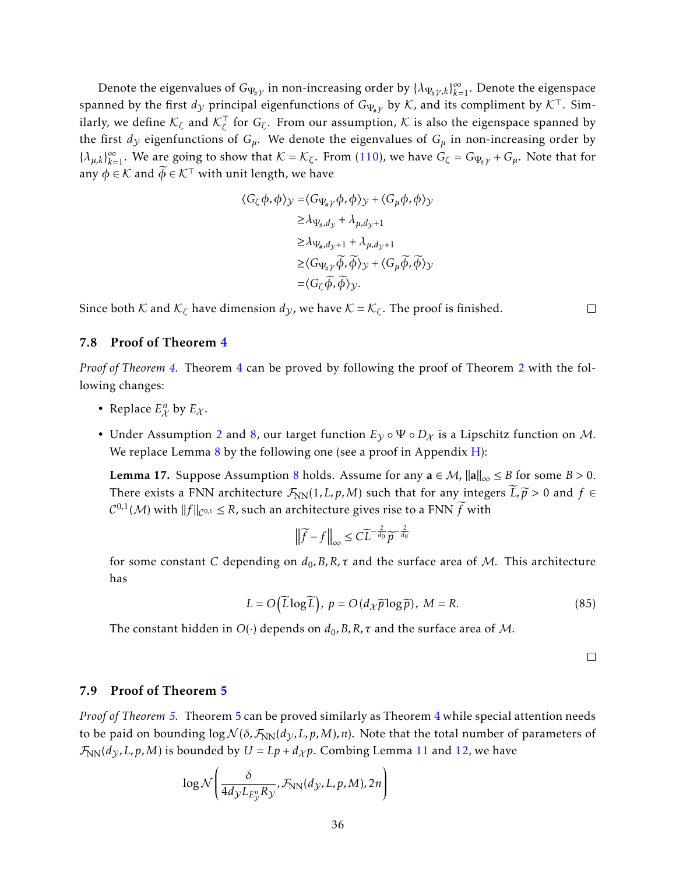Denote the eigenvalues of  $G_{\Psi_{\#}\gamma}$  in non-increasing order by  $\{\lambda_{\Psi_{\#}\gamma,k}\}_{k=1}^\infty$ . Denote the eigenspace spanned by the first  $d_y$  principal eigenfunctions of  $G_{\Psi_{\# y}}$  by  $K$ , and its compliment by  $K^{\top}$ . Similarly, we define  $\mathcal{K}_{\zeta}$  and  $\mathcal{K}_{\zeta}^{\top}$ *ζ* for *G<sup>ζ</sup>* . From our assumption, K is also the eigenspace spanned by the first  $d<sub>y</sub>$  eigenfunctions of  $G<sub>µ</sub>$ . We denote the eigenvalues of  $G<sub>µ</sub>$  in non-increasing order by  $\{\lambda_{\mu,k}\}_{k=1}^{\infty}$ . We are going to show that  $K = \mathcal{K}_{\zeta}$ . From [\(110\)](#page-51-0), we have  $G_{\zeta} = G_{\Psi_{\sharp}\gamma} + G_{\mu}$ . Note that for any  $\phi \in \mathcal{K}$  and  $\phi \in \mathcal{K}^{\top}$  with unit length, we have

$$
\langle G_{\zeta}\phi, \phi \rangle_{\mathcal{Y}} = \langle G_{\Psi_{\sharp}\gamma}\phi, \phi \rangle_{\mathcal{Y}} + \langle G_{\mu}\phi, \phi \rangle_{\mathcal{Y}}
$$
  
\n
$$
\geq \lambda_{\Psi_{\sharp}, d_{\mathcal{Y}}} + \lambda_{\mu, d_{\mathcal{Y}}+1}
$$
  
\n
$$
\geq \lambda_{\Psi_{\sharp}, d_{\mathcal{Y}}+1} + \lambda_{\mu, d_{\mathcal{Y}}+1}
$$
  
\n
$$
\geq \langle G_{\Psi_{\sharp}\gamma}\widetilde{\phi}, \widetilde{\phi} \rangle_{\mathcal{Y}} + \langle G_{\mu}\widetilde{\phi}, \widetilde{\phi} \rangle_{\mathcal{Y}}
$$
  
\n
$$
= \langle G_{\zeta}\widetilde{\phi}, \widetilde{\phi} \rangle_{\mathcal{Y}}.
$$

Since both  $K$  and  $K_{\zeta}$  have dimension  $d_{\mathcal{Y}}$ , we have  $K = K_{\zeta}$ . The proof is finished.

#### $\Box$

#### <span id="page-35-0"></span>7.8 Proof of Theorem [4](#page-20-0)

*Proof of Theorem [4.](#page-20-0)* Theorem [4](#page-20-0) can be proved by following the proof of Theorem [2](#page-9-0) with the following changes:

- Replace  $E_{\mathcal{X}}^n$  by  $E_{\mathcal{X}}$ .
- Under Assumption [2](#page-7-1) and [8,](#page-19-2) our target function  $E_y \circ \Psi \circ D_x$  is a Lipschitz function on M. We replace Lemma  $8$  by the following one (see a proof in Appendix  $H$ ):

<span id="page-35-2"></span>**Lemma 17.** Suppose Assumption [8](#page-19-2) holds. Assume for any  $a \in M$ ,  $\|a\|_{\infty} \leq B$  for some  $B > 0$ . There exists a FNN architecture  $\mathcal{F}_{NN}(1,L,p,M)$  such that for any integers  $\widetilde{L},\widetilde{p} > 0$  and  $f \in$  $C^{0,1}(\mathcal{M})$  with  $||f||_{C^{0,1}} \leq R$ , such an architecture gives rise to a FNN  $\widetilde{f}$  with

$$
\left\|\widetilde{f} - f\right\|_{\infty} \le C\widetilde{L}^{-\frac{2}{d_0}}\widetilde{p}^{-\frac{2}{d_0}}
$$

for some constant *C* depending on  $d_0$ , B, R,  $\tau$  and the surface area of M. This architecture has

$$
L = O\left(\widetilde{L}\log\widetilde{L}\right), \ p = O\left(d_{\mathcal{X}}\widetilde{p}\log\widetilde{p}\right), \ M = R. \tag{85}
$$

The constant hidden in  $O(\cdot)$  depends on  $d_0$ , B, R,  $\tau$  and the surface area of M.

<span id="page-35-3"></span> $\Box$ 

#### <span id="page-35-1"></span>7.9 Proof of Theorem [5](#page-21-3)

*Proof of Theorem [5.](#page-21-3)* Theorem [5](#page-21-3) can be proved similarly as Theorem [4](#page-20-0) while special attention needs to be paid on bounding  $\log \mathcal{N}(\delta, \mathcal{F}_{NN}(d_{\mathcal{V}}, L, p, M), n)$ . Note that the total number of parameters of  $\mathcal{F}_{NN}(d_y, L, p, M)$  is bounded by  $U = Lp + d_{\mathcal{X}}p$ . Combing Lemma [11](#page-31-1) and [12,](#page-31-2) we have

$$
\log \mathcal{N}\left(\frac{\delta}{4d_{\mathcal{Y}}L_{E_{\mathcal{Y}}^n}R_{\mathcal{Y}}}, \mathcal{F}_{\text{NN}}(d_{\mathcal{Y}}, L, p, M), 2n\right)
$$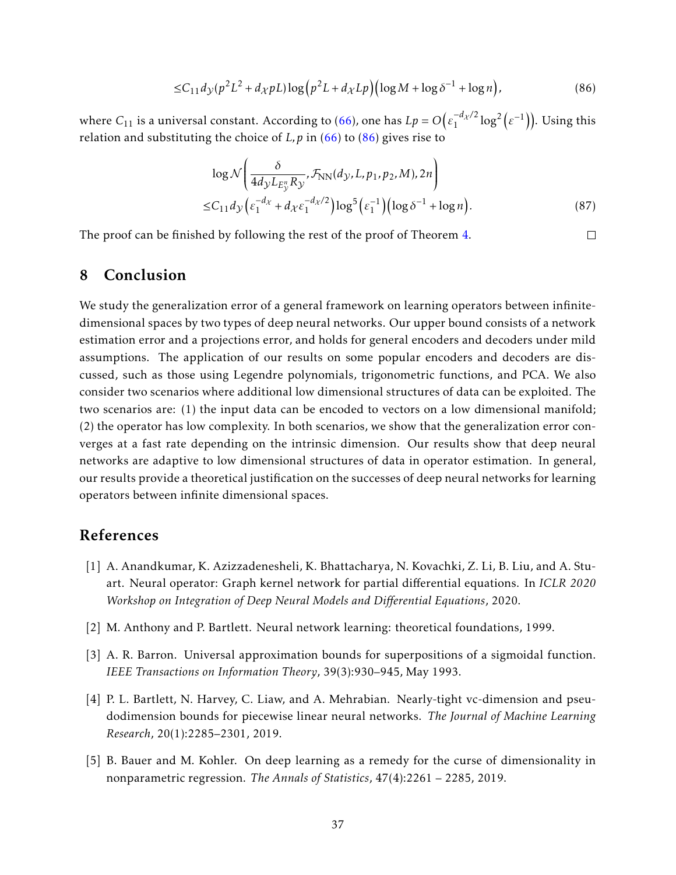$$
\leq C_{11} d_{\mathcal{Y}}(p^2 L^2 + d_{\mathcal{X}} pL) \log (p^2 L + d_{\mathcal{X}} L p) \Big( \log M + \log \delta^{-1} + \log n \Big),\tag{86}
$$

where  $C_{11}$  is a universal constant. According to [\(66\)](#page-30-1), one has  $Lp = O\big(\varepsilon_1^{-d_\mathcal{X}/2}\big)$  $\frac{-d_{\mathcal{X}}/2}{1} \log^2\left(\varepsilon^{-1}\right)$ ). Using this relation and substituting the choice of  $L$ ,  $p$  in [\(66\)](#page-30-1) to [\(86\)](#page-36-6) gives rise to

$$
\log \mathcal{N}\left(\frac{\delta}{4d_{\mathcal{Y}}L_{E_{\mathcal{Y}}^n}R_{\mathcal{Y}}}, \mathcal{F}_{NN}(d_{\mathcal{Y}}, L, p_1, p_2, M), 2n\right) \leq C_{11}d_{\mathcal{Y}}\left(\varepsilon_1^{-d_{\mathcal{X}}} + d_{\mathcal{X}}\varepsilon_1^{-d_{\mathcal{X}}/2}\right) \log^5\left(\varepsilon_1^{-1}\right) \left(\log \delta^{-1} + \log n\right).
$$
\n(87)

<span id="page-36-6"></span> $\Box$ 

The proof can be finished by following the rest of the proof of Theorem [4.](#page-20-0)

# <span id="page-36-3"></span>8 Conclusion

We study the generalization error of a general framework on learning operators between infinitedimensional spaces by two types of deep neural networks. Our upper bound consists of a network estimation error and a projections error, and holds for general encoders and decoders under mild assumptions. The application of our results on some popular encoders and decoders are discussed, such as those using Legendre polynomials, trigonometric functions, and PCA. We also consider two scenarios where additional low dimensional structures of data can be exploited. The two scenarios are: (1) the input data can be encoded to vectors on a low dimensional manifold; (2) the operator has low complexity. In both scenarios, we show that the generalization error converges at a fast rate depending on the intrinsic dimension. Our results show that deep neural networks are adaptive to low dimensional structures of data in operator estimation. In general, our results provide a theoretical justification on the successes of deep neural networks for learning operators between infinite dimensional spaces.

### References

- <span id="page-36-0"></span>[1] A. Anandkumar, K. Azizzadenesheli, K. Bhattacharya, N. Kovachki, Z. Li, B. Liu, and A. Stuart. Neural operator: Graph kernel network for partial differential equations. In *ICLR 2020 Workshop on Integration of Deep Neural Models and Differential Equations*, 2020.
- <span id="page-36-4"></span>[2] M. Anthony and P. Bartlett. Neural network learning: theoretical foundations, 1999.
- <span id="page-36-1"></span>[3] A. R. Barron. Universal approximation bounds for superpositions of a sigmoidal function. *IEEE Transactions on Information Theory*, 39(3):930–945, May 1993.
- <span id="page-36-5"></span>[4] P. L. Bartlett, N. Harvey, C. Liaw, and A. Mehrabian. Nearly-tight vc-dimension and pseudodimension bounds for piecewise linear neural networks. *The Journal of Machine Learning Research*, 20(1):2285–2301, 2019.
- <span id="page-36-2"></span>[5] B. Bauer and M. Kohler. On deep learning as a remedy for the curse of dimensionality in nonparametric regression. *The Annals of Statistics*, 47(4):2261 – 2285, 2019.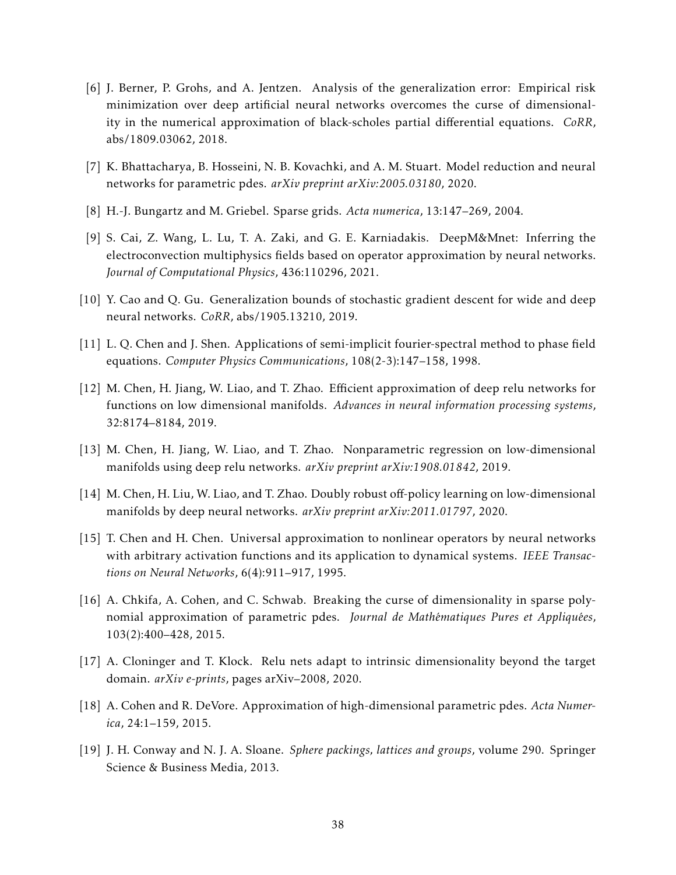- <span id="page-37-8"></span>[6] J. Berner, P. Grohs, and A. Jentzen. Analysis of the generalization error: Empirical risk minimization over deep artificial neural networks overcomes the curse of dimensionality in the numerical approximation of black-scholes partial differential equations. *CoRR*, abs/1809.03062, 2018.
- <span id="page-37-1"></span>[7] K. Bhattacharya, B. Hosseini, N. B. Kovachki, and A. M. Stuart. Model reduction and neural networks for parametric pdes. *arXiv preprint arXiv:2005.03180*, 2020.
- <span id="page-37-12"></span>[8] H.-J. Bungartz and M. Griebel. Sparse grids. *Acta numerica*, 13:147–269, 2004.
- <span id="page-37-2"></span>[9] S. Cai, Z. Wang, L. Lu, T. A. Zaki, and G. E. Karniadakis. DeepM&Mnet: Inferring the electroconvection multiphysics fields based on operator approximation by neural networks. *Journal of Computational Physics*, 436:110296, 2021.
- <span id="page-37-6"></span>[10] Y. Cao and Q. Gu. Generalization bounds of stochastic gradient descent for wide and deep neural networks. *CoRR*, abs/1905.13210, 2019.
- <span id="page-37-11"></span>[11] L. Q. Chen and J. Shen. Applications of semi-implicit fourier-spectral method to phase field equations. *Computer Physics Communications*, 108(2-3):147–158, 1998.
- <span id="page-37-7"></span>[12] M. Chen, H. Jiang, W. Liao, and T. Zhao. Efficient approximation of deep relu networks for functions on low dimensional manifolds. *Advances in neural information processing systems*, 32:8174–8184, 2019.
- <span id="page-37-3"></span>[13] M. Chen, H. Jiang, W. Liao, and T. Zhao. Nonparametric regression on low-dimensional manifolds using deep relu networks. *arXiv preprint arXiv:1908.01842*, 2019.
- <span id="page-37-4"></span>[14] M. Chen, H. Liu, W. Liao, and T. Zhao. Doubly robust off-policy learning on low-dimensional manifolds by deep neural networks. *arXiv preprint arXiv:2011.01797*, 2020.
- <span id="page-37-0"></span>[15] T. Chen and H. Chen. Universal approximation to nonlinear operators by neural networks with arbitrary activation functions and its application to dynamical systems. *IEEE Transactions on Neural Networks*, 6(4):911–917, 1995.
- <span id="page-37-9"></span>[16] A. Chkifa, A. Cohen, and C. Schwab. Breaking the curse of dimensionality in sparse polynomial approximation of parametric pdes. *Journal de Mathématiques Pures et Appliquées*, 103(2):400–428, 2015.
- <span id="page-37-5"></span>[17] A. Cloninger and T. Klock. Relu nets adapt to intrinsic dimensionality beyond the target domain. *arXiv e-prints*, pages arXiv–2008, 2020.
- <span id="page-37-10"></span>[18] A. Cohen and R. DeVore. Approximation of high-dimensional parametric pdes. *Acta Numerica*, 24:1–159, 2015.
- <span id="page-37-13"></span>[19] J. H. Conway and N. J. A. Sloane. *Sphere packings, lattices and groups*, volume 290. Springer Science & Business Media, 2013.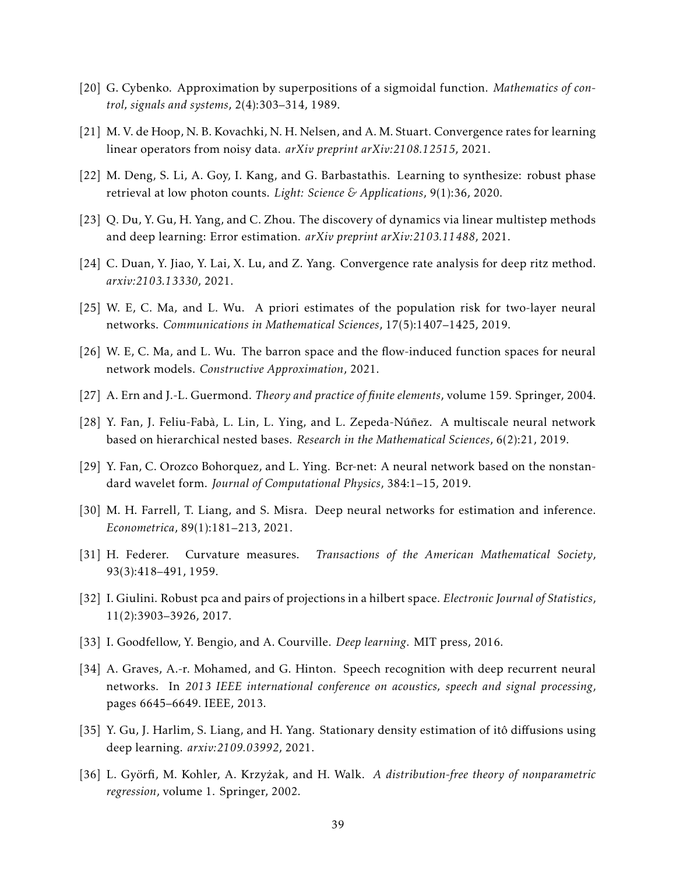- <span id="page-38-5"></span>[20] G. Cybenko. Approximation by superpositions of a sigmoidal function. *Mathematics of control, signals and systems*, 2(4):303–314, 1989.
- <span id="page-38-13"></span>[21] M. V. de Hoop, N. B. Kovachki, N. H. Nelsen, and A. M. Stuart. Convergence rates for learning linear operators from noisy data. *arXiv preprint arXiv:2108.12515*, 2021.
- <span id="page-38-1"></span>[22] M. Deng, S. Li, A. Goy, I. Kang, and G. Barbastathis. Learning to synthesize: robust phase retrieval at low photon counts. *Light: Science & Applications*, 9(1):36, 2020.
- <span id="page-38-8"></span>[23] Q. Du, Y. Gu, H. Yang, and C. Zhou. The discovery of dynamics via linear multistep methods and deep learning: Error estimation. *arXiv preprint arXiv:2103.11488*, 2021.
- <span id="page-38-11"></span>[24] C. Duan, Y. Jiao, Y. Lai, X. Lu, and Z. Yang. Convergence rate analysis for deep ritz method. *arxiv:2103.13330*, 2021.
- <span id="page-38-6"></span>[25] W. E, C. Ma, and L. Wu. A priori estimates of the population risk for two-layer neural networks. *Communications in Mathematical Sciences*, 17(5):1407–1425, 2019.
- <span id="page-38-7"></span>[26] W. E, C. Ma, and L. Wu. The barron space and the flow-induced function spaces for neural network models. *Constructive Approximation*, 2021.
- <span id="page-38-14"></span>[27] A. Ern and J.-L. Guermond. *Theory and practice of finite elements*, volume 159. Springer, 2004.
- <span id="page-38-0"></span>[28] Y. Fan, J. Feliu-Fabà, L. Lin, L. Ying, and L. Zepeda-Núñez. A multiscale neural network based on hierarchical nested bases. *Research in the Mathematical Sciences*, 6(2):21, 2019.
- <span id="page-38-4"></span>[29] Y. Fan, C. Orozco Bohorquez, and L. Ying. Bcr-net: A neural network based on the nonstandard wavelet form. *Journal of Computational Physics*, 384:1–15, 2019.
- <span id="page-38-9"></span>[30] M. H. Farrell, T. Liang, and S. Misra. Deep neural networks for estimation and inference. *Econometrica*, 89(1):181–213, 2021.
- <span id="page-38-15"></span>[31] H. Federer. Curvature measures. *Transactions of the American Mathematical Society*, 93(3):418–491, 1959.
- <span id="page-38-16"></span>[32] I. Giulini. Robust pca and pairs of projections in a hilbert space. *Electronic Journal of Statistics*, 11(2):3903–3926, 2017.
- <span id="page-38-2"></span>[33] I. Goodfellow, Y. Bengio, and A. Courville. *Deep learning*. MIT press, 2016.
- <span id="page-38-3"></span>[34] A. Graves, A.-r. Mohamed, and G. Hinton. Speech recognition with deep recurrent neural networks. In *2013 IEEE international conference on acoustics, speech and signal processing*, pages 6645–6649. IEEE, 2013.
- <span id="page-38-12"></span>[35] Y. Gu, J. Harlim, S. Liang, and H. Yang. Stationary density estimation of itô diffusions using deep learning. *arxiv:2109.03992*, 2021.
- <span id="page-38-10"></span>[36] L. Györfi, M. Kohler, A. Krzyżak, and H. Walk. A distribution-free theory of nonparametric *regression*, volume 1. Springer, 2002.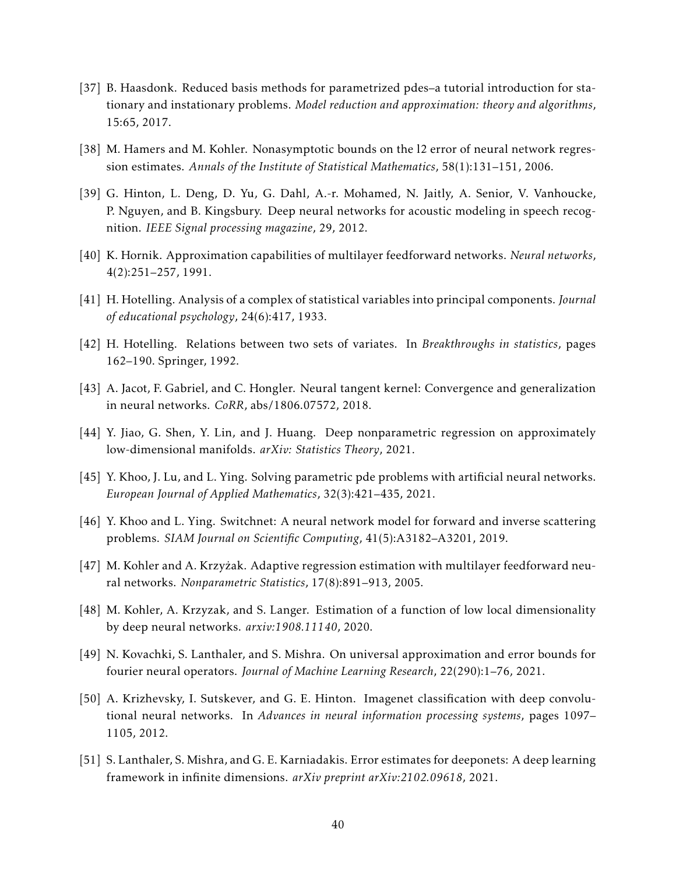- <span id="page-39-14"></span>[37] B. Haasdonk. Reduced basis methods for parametrized pdes–a tutorial introduction for stationary and instationary problems. *Model reduction and approximation: theory and algorithms*, 15:65, 2017.
- <span id="page-39-8"></span>[38] M. Hamers and M. Kohler. Nonasymptotic bounds on the l2 error of neural network regression estimates. *Annals of the Institute of Statistical Mathematics*, 58(1):131–151, 2006.
- <span id="page-39-3"></span>[39] G. Hinton, L. Deng, D. Yu, G. Dahl, A.-r. Mohamed, N. Jaitly, A. Senior, V. Vanhoucke, P. Nguyen, and B. Kingsbury. Deep neural networks for acoustic modeling in speech recognition. *IEEE Signal processing magazine*, 29, 2012.
- <span id="page-39-5"></span>[40] K. Hornik. Approximation capabilities of multilayer feedforward networks. *Neural networks*, 4(2):251–257, 1991.
- <span id="page-39-12"></span>[41] H. Hotelling. Analysis of a complex of statistical variables into principal components. *Journal of educational psychology*, 24(6):417, 1933.
- <span id="page-39-13"></span>[42] H. Hotelling. Relations between two sets of variates. In *Breakthroughs in statistics*, pages 162–190. Springer, 1992.
- <span id="page-39-10"></span>[43] A. Jacot, F. Gabriel, and C. Hongler. Neural tangent kernel: Convergence and generalization in neural networks. *CoRR*, abs/1806.07572, 2018.
- <span id="page-39-6"></span>[44] Y. Jiao, G. Shen, Y. Lin, and J. Huang. Deep nonparametric regression on approximately low-dimensional manifolds. *arXiv: Statistics Theory*, 2021.
- <span id="page-39-0"></span>[45] Y. Khoo, J. Lu, and L. Ying. Solving parametric pde problems with artificial neural networks. *European Journal of Applied Mathematics*, 32(3):421–435, 2021.
- <span id="page-39-1"></span>[46] Y. Khoo and L. Ying. Switchnet: A neural network model for forward and inverse scattering problems. *SIAM Journal on Scientific Computing*, 41(5):A3182–A3201, 2019.
- <span id="page-39-9"></span>[47] M. Kohler and A. Krzyzak. Adaptive regression estimation with multilayer feedforward neu- ˙ ral networks. *Nonparametric Statistics*, 17(8):891–913, 2005.
- <span id="page-39-11"></span>[48] M. Kohler, A. Krzyzak, and S. Langer. Estimation of a function of low local dimensionality by deep neural networks. *arxiv:1908.11140*, 2020.
- <span id="page-39-7"></span>[49] N. Kovachki, S. Lanthaler, and S. Mishra. On universal approximation and error bounds for fourier neural operators. *Journal of Machine Learning Research*, 22(290):1–76, 2021.
- <span id="page-39-2"></span>[50] A. Krizhevsky, I. Sutskever, and G. E. Hinton. Imagenet classification with deep convolutional neural networks. In *Advances in neural information processing systems*, pages 1097– 1105, 2012.
- <span id="page-39-4"></span>[51] S. Lanthaler, S. Mishra, and G. E. Karniadakis. Error estimates for deeponets: A deep learning framework in infinite dimensions. *arXiv preprint arXiv:2102.09618*, 2021.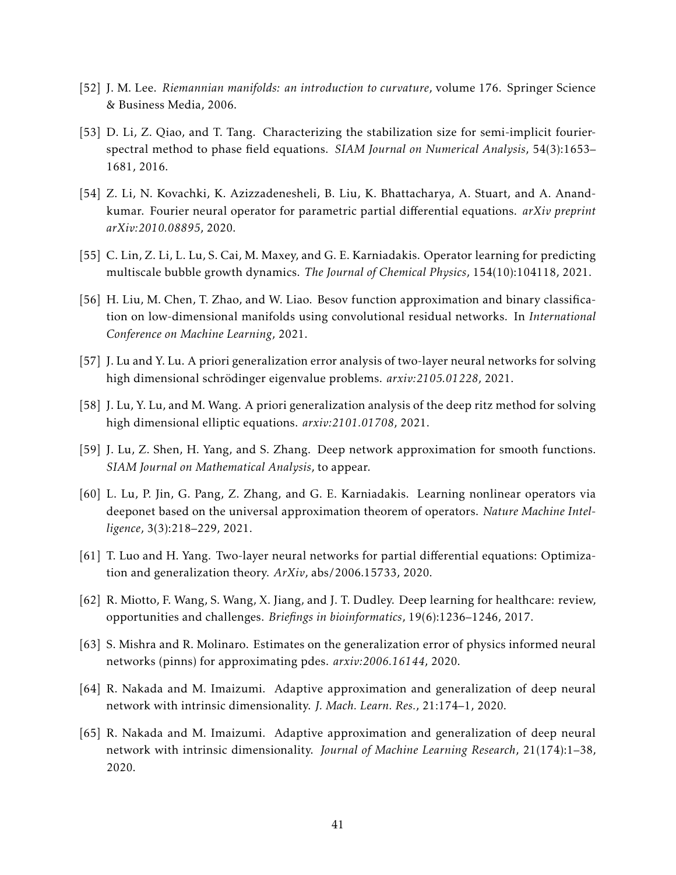- <span id="page-40-13"></span>[52] J. M. Lee. *Riemannian manifolds: an introduction to curvature*, volume 176. Springer Science & Business Media, 2006.
- <span id="page-40-12"></span>[53] D. Li, Z. Qiao, and T. Tang. Characterizing the stabilization size for semi-implicit fourierspectral method to phase field equations. *SIAM Journal on Numerical Analysis*, 54(3):1653– 1681, 2016.
- <span id="page-40-0"></span>[54] Z. Li, N. Kovachki, K. Azizzadenesheli, B. Liu, K. Bhattacharya, A. Stuart, and A. Anandkumar. Fourier neural operator for parametric partial differential equations. *arXiv preprint arXiv:2010.08895*, 2020.
- <span id="page-40-3"></span>[55] C. Lin, Z. Li, L. Lu, S. Cai, M. Maxey, and G. E. Karniadakis. Operator learning for predicting multiscale bubble growth dynamics. *The Journal of Chemical Physics*, 154(10):104118, 2021.
- <span id="page-40-5"></span>[56] H. Liu, M. Chen, T. Zhao, and W. Liao. Besov function approximation and binary classification on low-dimensional manifolds using convolutional residual networks. In *International Conference on Machine Learning*, 2021.
- <span id="page-40-11"></span>[57] J. Lu and Y. Lu. A priori generalization error analysis of two-layer neural networks for solving high dimensional schrödinger eigenvalue problems. arxiv:2105.01228, 2021.
- <span id="page-40-10"></span>[58] J. Lu, Y. Lu, and M. Wang. A priori generalization analysis of the deep ritz method for solving high dimensional elliptic equations. *arxiv:2101.01708*, 2021.
- <span id="page-40-4"></span>[59] J. Lu, Z. Shen, H. Yang, and S. Zhang. Deep network approximation for smooth functions. *SIAM Journal on Mathematical Analysis*, to appear.
- <span id="page-40-1"></span>[60] L. Lu, P. Jin, G. Pang, Z. Zhang, and G. E. Karniadakis. Learning nonlinear operators via deeponet based on the universal approximation theorem of operators. *Nature Machine Intelligence*, 3(3):218–229, 2021.
- <span id="page-40-8"></span>[61] T. Luo and H. Yang. Two-layer neural networks for partial differential equations: Optimization and generalization theory. *ArXiv*, abs/2006.15733, 2020.
- <span id="page-40-2"></span>[62] R. Miotto, F. Wang, S. Wang, X. Jiang, and J. T. Dudley. Deep learning for healthcare: review, opportunities and challenges. *Briefings in bioinformatics*, 19(6):1236–1246, 2017.
- <span id="page-40-9"></span>[63] S. Mishra and R. Molinaro. Estimates on the generalization error of physics informed neural networks (pinns) for approximating pdes. *arxiv:2006.16144*, 2020.
- <span id="page-40-6"></span>[64] R. Nakada and M. Imaizumi. Adaptive approximation and generalization of deep neural network with intrinsic dimensionality. *J. Mach. Learn. Res.*, 21:174–1, 2020.
- <span id="page-40-7"></span>[65] R. Nakada and M. Imaizumi. Adaptive approximation and generalization of deep neural network with intrinsic dimensionality. *Journal of Machine Learning Research*, 21(174):1–38, 2020.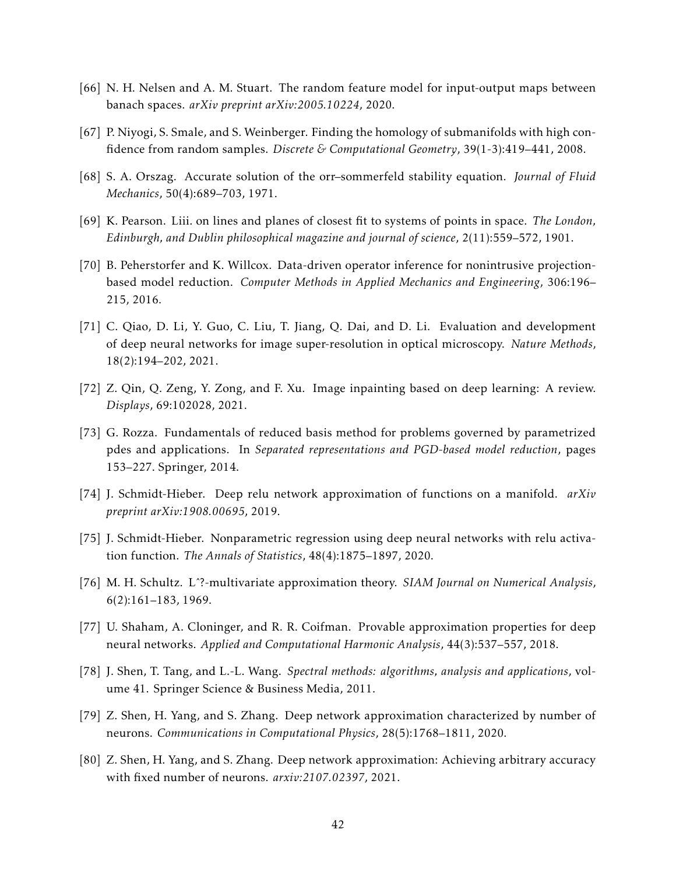- <span id="page-41-3"></span>[66] N. H. Nelsen and A. M. Stuart. The random feature model for input-output maps between banach spaces. *arXiv preprint arXiv:2005.10224*, 2020.
- <span id="page-41-12"></span>[67] P. Niyogi, S. Smale, and S. Weinberger. Finding the homology of submanifolds with high confidence from random samples. *Discrete & Computational Geometry*, 39(1-3):419–441, 2008.
- <span id="page-41-10"></span>[68] S. A. Orszag. Accurate solution of the orr–sommerfeld stability equation. *Journal of Fluid Mechanics*, 50(4):689–703, 1971.
- <span id="page-41-9"></span>[69] K. Pearson. Liii. on lines and planes of closest fit to systems of points in space. *The London, Edinburgh, and Dublin philosophical magazine and journal of science*, 2(11):559–572, 1901.
- <span id="page-41-0"></span>[70] B. Peherstorfer and K. Willcox. Data-driven operator inference for nonintrusive projectionbased model reduction. *Computer Methods in Applied Mechanics and Engineering*, 306:196– 215, 2016.
- <span id="page-41-1"></span>[71] C. Qiao, D. Li, Y. Guo, C. Liu, T. Jiang, Q. Dai, and D. Li. Evaluation and development of deep neural networks for image super-resolution in optical microscopy. *Nature Methods*, 18(2):194–202, 2021.
- <span id="page-41-2"></span>[72] Z. Qin, Q. Zeng, Y. Zong, and F. Xu. Image inpainting based on deep learning: A review. *Displays*, 69:102028, 2021.
- <span id="page-41-11"></span>[73] G. Rozza. Fundamentals of reduced basis method for problems governed by parametrized pdes and applications. In *Separated representations and PGD-based model reduction*, pages 153–227. Springer, 2014.
- <span id="page-41-7"></span>[74] J. Schmidt-Hieber. Deep relu network approximation of functions on a manifold. *arXiv preprint arXiv:1908.00695*, 2019.
- <span id="page-41-8"></span>[75] J. Schmidt-Hieber. Nonparametric regression using deep neural networks with relu activation function. *The Annals of Statistics*, 48(4):1875–1897, 2020.
- <span id="page-41-14"></span>[76] M. H. Schultz. Lˆ?-multivariate approximation theory. *SIAM Journal on Numerical Analysis*, 6(2):161–183, 1969.
- <span id="page-41-6"></span>[77] U. Shaham, A. Cloninger, and R. R. Coifman. Provable approximation properties for deep neural networks. *Applied and Computational Harmonic Analysis*, 44(3):537–557, 2018.
- <span id="page-41-13"></span>[78] J. Shen, T. Tang, and L.-L. Wang. *Spectral methods: algorithms, analysis and applications*, volume 41. Springer Science & Business Media, 2011.
- <span id="page-41-4"></span>[79] Z. Shen, H. Yang, and S. Zhang. Deep network approximation characterized by number of neurons. *Communications in Computational Physics*, 28(5):1768–1811, 2020.
- <span id="page-41-5"></span>[80] Z. Shen, H. Yang, and S. Zhang. Deep network approximation: Achieving arbitrary accuracy with fixed number of neurons. *arxiv:2107.02397*, 2021.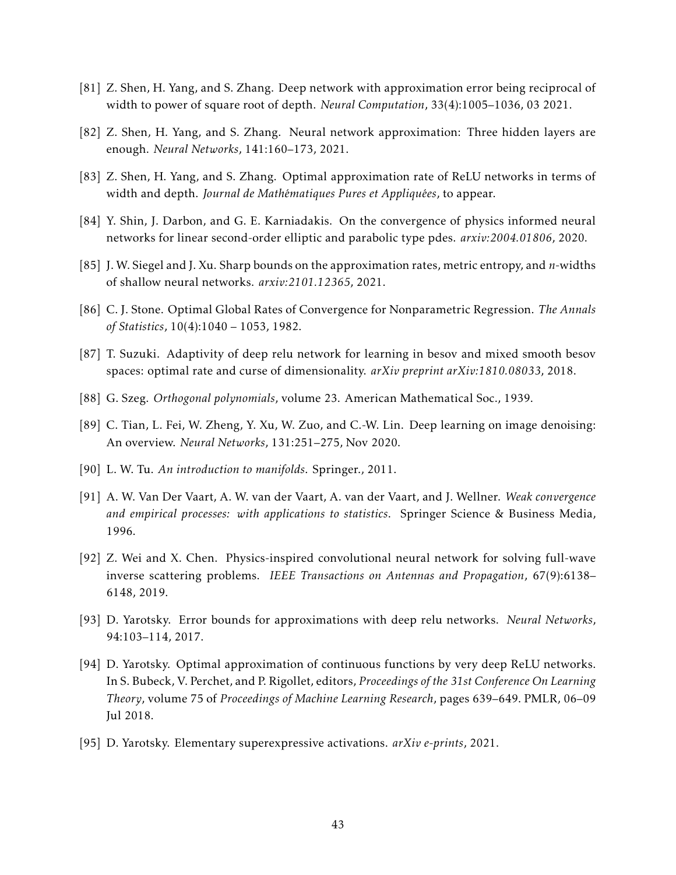- <span id="page-42-3"></span>[81] Z. Shen, H. Yang, and S. Zhang. Deep network with approximation error being reciprocal of width to power of square root of depth. *Neural Computation*, 33(4):1005–1036, 03 2021.
- <span id="page-42-4"></span>[82] Z. Shen, H. Yang, and S. Zhang. Neural network approximation: Three hidden layers are enough. *Neural Networks*, 141:160–173, 2021.
- <span id="page-42-5"></span>[83] Z. Shen, H. Yang, and S. Zhang. Optimal approximation rate of ReLU networks in terms of width and depth. *Journal de Mathématiques Pures et Appliquées*, to appear.
- <span id="page-42-11"></span>[84] Y. Shin, J. Darbon, and G. E. Karniadakis. On the convergence of physics informed neural networks for linear second-order elliptic and parabolic type pdes. *arxiv:2004.01806*, 2020.
- <span id="page-42-9"></span>[85] J. W. Siegel and J. Xu. Sharp bounds on the approximation rates, metric entropy, and *n*-widths of shallow neural networks. *arxiv:2101.12365*, 2021.
- <span id="page-42-10"></span>[86] C. J. Stone. Optimal Global Rates of Convergence for Nonparametric Regression. *The Annals of Statistics*, 10(4):1040 – 1053, 1982.
- <span id="page-42-8"></span>[87] T. Suzuki. Adaptivity of deep relu network for learning in besov and mixed smooth besov spaces: optimal rate and curse of dimensionality. *arXiv preprint arXiv:1810.08033*, 2018.
- <span id="page-42-12"></span>[88] G. Szeg. *Orthogonal polynomials*, volume 23. American Mathematical Soc., 1939.
- <span id="page-42-1"></span>[89] C. Tian, L. Fei, W. Zheng, Y. Xu, W. Zuo, and C.-W. Lin. Deep learning on image denoising: An overview. *Neural Networks*, 131:251–275, Nov 2020.
- <span id="page-42-14"></span>[90] L. W. Tu. *An introduction to manifolds*. Springer., 2011.
- <span id="page-42-13"></span>[91] A. W. Van Der Vaart, A. W. van der Vaart, A. van der Vaart, and J. Wellner. *Weak convergence and empirical processes: with applications to statistics*. Springer Science & Business Media, 1996.
- <span id="page-42-0"></span>[92] Z. Wei and X. Chen. Physics-inspired convolutional neural network for solving full-wave inverse scattering problems. *IEEE Transactions on Antennas and Propagation*, 67(9):6138– 6148, 2019.
- <span id="page-42-2"></span>[93] D. Yarotsky. Error bounds for approximations with deep relu networks. *Neural Networks*, 94:103–114, 2017.
- <span id="page-42-7"></span>[94] D. Yarotsky. Optimal approximation of continuous functions by very deep ReLU networks. In S. Bubeck, V. Perchet, and P. Rigollet, editors, *Proceedings of the 31st Conference On Learning Theory*, volume 75 of *Proceedings of Machine Learning Research*, pages 639–649. PMLR, 06–09 Jul 2018.
- <span id="page-42-6"></span>[95] D. Yarotsky. Elementary superexpressive activations. *arXiv e-prints*, 2021.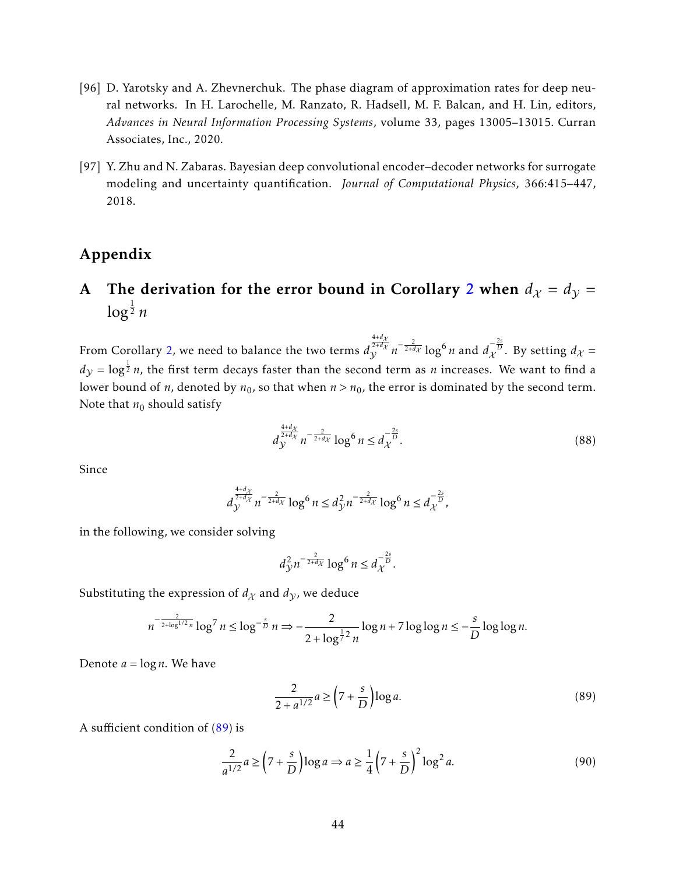- <span id="page-43-1"></span>[96] D. Yarotsky and A. Zhevnerchuk. The phase diagram of approximation rates for deep neural networks. In H. Larochelle, M. Ranzato, R. Hadsell, M. F. Balcan, and H. Lin, editors, *Advances in Neural Information Processing Systems*, volume 33, pages 13005–13015. Curran Associates, Inc., 2020.
- <span id="page-43-0"></span>[97] Y. Zhu and N. Zabaras. Bayesian deep convolutional encoder–decoder networks for surrogate modeling and uncertainty quantification. *Journal of Computational Physics*, 366:415–447, 2018.

# Appendix

# <span id="page-43-2"></span>A The derivation for the error bound in Corollary [2](#page-13-1) when  $d_{\mathcal{X}} = d_{\mathcal{Y}} =$ log 1 <sup>2</sup> *n*

From Corollary [2,](#page-13-1) we need to balance the two terms *d*  $\int_{\gamma}^{\frac{4+d\chi}{2+d\chi}} n^{-\frac{2}{2+d\chi}} \log^6 n$  and  $d_{\chi}^{-\frac{2s}{D}}$ . By setting  $d_{\chi} =$  $d_\mathcal{Y} = \log^\frac{1}{2} n$ , the first term decays faster than the second term as  $n$  increases. We want to find a lower bound of *n*, denoted by  $n_0$ , so that when  $n > n_0$ , the error is dominated by the second term. Note that  $n_0$  should satisfy

$$
d_{\mathcal{Y}}^{\frac{4+d_{\mathcal{X}}}{2+d_{\mathcal{X}}}} n^{-\frac{2}{2+d_{\mathcal{X}}}} \log^6 n \leq d_{\mathcal{X}}^{-\frac{2s}{D}}.
$$
\n(88)

Since

$$
d_{\mathcal{Y}}^{\frac{4+d_{\mathcal{X}}}{2+d_{\mathcal{X}}}} n^{-\frac{2}{2+d_{\mathcal{X}}}} \log^6 n \leq d_{\mathcal{Y}}^2 n^{-\frac{2}{2+d_{\mathcal{X}}}} \log^6 n \leq d_{\mathcal{X}}^{-\frac{2s}{D}},
$$

in the following, we consider solving

$$
d_{\mathcal{Y}}^2 n^{-\frac{2}{2+d_{\mathcal{X}}}} \log^6 n \leq d_{\mathcal{X}}^{-\frac{2s}{D}}.
$$

Substituting the expression of  $d_X$  and  $d_Y$ , we deduce

$$
n^{-\frac{2}{2+\log^{1/2} n}} \log^7 n \le \log^{-\frac{s}{D}} n \Rightarrow -\frac{2}{2+\log^{\frac{1}{7} 2} n} \log n + 7 \log \log n \le -\frac{s}{D} \log \log n.
$$

Denote  $a = \log n$ . We have

<span id="page-43-3"></span>
$$
\frac{2}{2+a^{1/2}}a \ge \left(7+\frac{s}{D}\right)\log a. \tag{89}
$$

A sufficient condition of [\(89\)](#page-43-3) is

$$
\frac{2}{a^{1/2}}a \ge \left(7 + \frac{s}{D}\right)\log a \Rightarrow a \ge \frac{1}{4}\left(7 + \frac{s}{D}\right)^2\log^2 a. \tag{90}
$$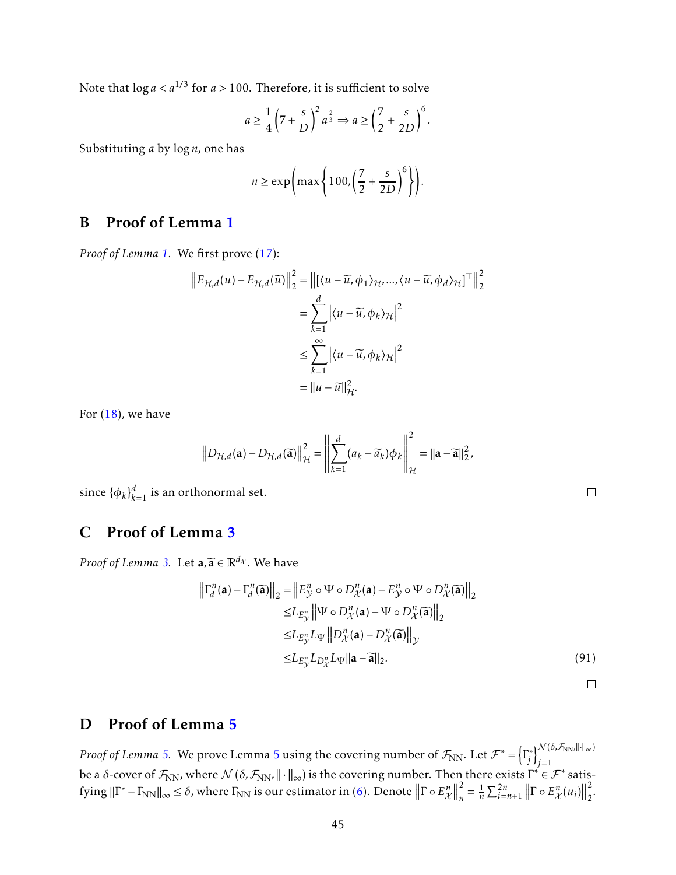Note that log*a < a*1*/*<sup>3</sup> for *a >* 100. Therefore, it is sufficient to solve

$$
a \ge \frac{1}{4} \left(7 + \frac{s}{D}\right)^2 a^{\frac{2}{3}} \Rightarrow a \ge \left(\frac{7}{2} + \frac{s}{2D}\right)^6.
$$

Substituting *a* by log*n*, one has

$$
n \ge \exp\left(\max\left\{100, \left(\frac{7}{2} + \frac{s}{2D}\right)^6\right\}\right).
$$

# <span id="page-44-0"></span>B Proof of Lemma [1](#page-11-0)

*Proof of Lemma [1.](#page-11-0)* We first prove [\(17\)](#page-11-7):

$$
\|E_{\mathcal{H},d}(u) - E_{\mathcal{H},d}(\widetilde{u})\|_{2}^{2} = \|[\langle u - \widetilde{u}, \phi_{1} \rangle_{\mathcal{H}}, ..., \langle u - \widetilde{u}, \phi_{d} \rangle_{\mathcal{H}}]^{\top}\|_{2}^{2}
$$
  

$$
= \sum_{k=1}^{d} |\langle u - \widetilde{u}, \phi_{k} \rangle_{\mathcal{H}}|^{2}
$$
  

$$
\leq \sum_{k=1}^{\infty} |\langle u - \widetilde{u}, \phi_{k} \rangle_{\mathcal{H}}|^{2}
$$
  

$$
= \|u - \widetilde{u}\|_{\mathcal{H}}^{2}.
$$

For  $(18)$ , we have

$$
\left\|D_{\mathcal{H},d}(\mathbf{a})-D_{\mathcal{H},d}(\mathbf{\overline{a}})\right\|_{\mathcal{H}}^{2}=\left\|\sum_{k=1}^{d}(a_{k}-\widetilde{a}_{k})\phi_{k}\right\|_{\mathcal{H}}^{2}=\|\mathbf{a}-\widetilde{\mathbf{a}}\|_{2}^{2},
$$

since  $\{\phi_k\}_{k=1}^d$  is an orthonormal set.

# <span id="page-44-1"></span>C Proof of Lemma [3](#page-24-1)

*Proof of Lemma [3.](#page-24-1)* Let  $\mathbf{a}, \widetilde{\mathbf{a}} \in \mathbb{R}^{d_{\mathcal{X}}}$ . We have

$$
\left\| \Gamma_d^n(\mathbf{a}) - \Gamma_d^n(\widetilde{\mathbf{a}}) \right\|_2 = \left\| E_{\mathcal{Y}}^n \circ \Psi \circ D_{\mathcal{X}}^n(\mathbf{a}) - E_{\mathcal{Y}}^n \circ \Psi \circ D_{\mathcal{X}}^n(\widetilde{\mathbf{a}}) \right\|_2
$$
  
\n
$$
\leq L_{E_{\mathcal{Y}}^n} \left\| \Psi \circ D_{\mathcal{X}}^n(\mathbf{a}) - \Psi \circ D_{\mathcal{X}}^n(\widetilde{\mathbf{a}}) \right\|_2
$$
  
\n
$$
\leq L_{E_{\mathcal{Y}}^n} L_{\Psi} \left\| D_{\mathcal{X}}^n(\mathbf{a}) - D_{\mathcal{X}}^n(\widetilde{\mathbf{a}}) \right\|_{\mathcal{Y}}
$$
  
\n
$$
\leq L_{E_{\mathcal{Y}}^n} L_{\mathcal{Y}} \left\| \mathbf{a} - \widetilde{\mathbf{a}} \right\|_2.
$$
 (91)

 $\Box$ 

### <span id="page-44-2"></span>D Proof of Lemma [5](#page-26-3)

*Proof of Lemma [5.](#page-26-3)* We prove Lemma [5](#page-26-3) using the covering number of  $\mathcal{F}_{\text{NN}}$ . Let  $\mathcal{F}^* = \left\{ \Gamma_i^* \right\}$  $\left\{\begin{matrix} \mathcal{N}(\delta,\mathcal{F}_{NN},\|\cdot\|_{\infty}) \\ j \end{matrix}\right\}$ *j*=1 be a *δ*-cover of  $\mathcal{F}_{NN}$ , where  $\mathcal{N}(\delta, \mathcal{F}_{NN} | \cdot \|_{\infty})$  is the covering number. Then there exists  $\Gamma^* \in \mathcal{F}^*$  satisfying  $\|\Gamma^* - \Gamma_{\text{NN}}\|_{\infty} \le \delta$ , where  $\Gamma_{\text{NN}}$  is our estimator in [\(6\)](#page-6-2). Denote  $\|\Gamma \circ E_{\mathcal{X}}^n\|$ 2  $\frac{2}{n} = \frac{1}{n}$  $\frac{1}{n}\sum_{i=n+1}^{2n}||\Gamma \circ E_{\mathcal{X}}^{n}(u_{i})||$ 2  $\frac{2}{2}$ .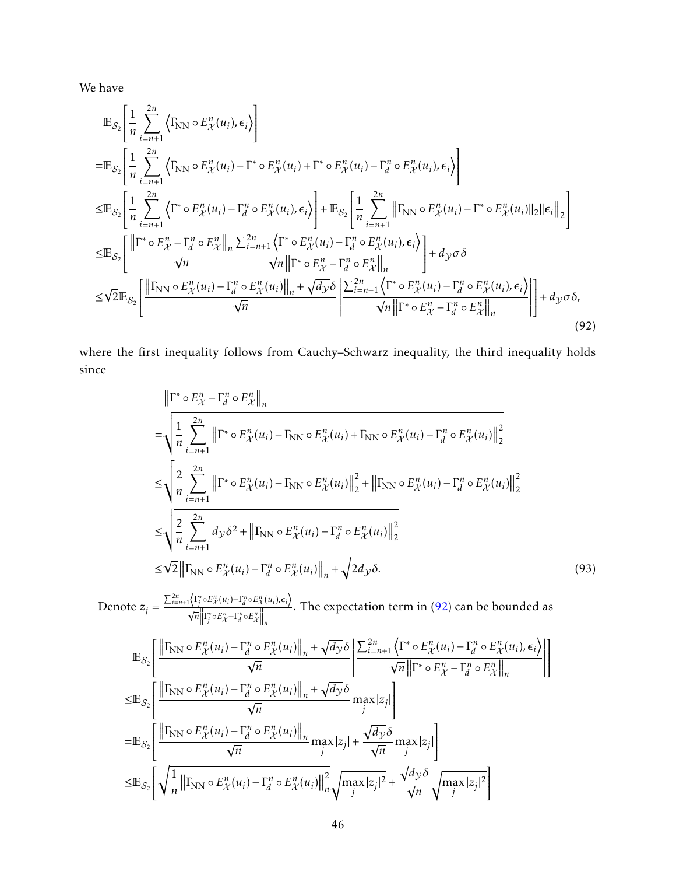We have

$$
\mathbb{E}_{\mathcal{S}_{2}}\left[\frac{1}{n}\sum_{i=n+1}^{2n} \left\langle \Gamma_{NN} \circ E_{\mathcal{X}}^{n}(u_{i}), \epsilon_{i} \right\rangle \right]
$$
\n
$$
= \mathbb{E}_{\mathcal{S}_{2}}\left[\frac{1}{n}\sum_{i=n+1}^{2n} \left\langle \Gamma_{NN} \circ E_{\mathcal{X}}^{n}(u_{i}) - \Gamma^{*} \circ E_{\mathcal{X}}^{n}(u_{i}) + \Gamma^{*} \circ E_{\mathcal{X}}^{n}(u_{i}) - \Gamma_{d}^{n} \circ E_{\mathcal{X}}^{n}(u_{i}), \epsilon_{i} \right\rangle \right]
$$
\n
$$
\leq \mathbb{E}_{\mathcal{S}_{2}}\left[\frac{1}{n}\sum_{i=n+1}^{2n} \left\langle \Gamma^{*} \circ E_{\mathcal{X}}^{n}(u_{i}) - \Gamma_{d}^{n} \circ E_{\mathcal{X}}^{n}(u_{i}), \epsilon_{i} \right\rangle \right] + \mathbb{E}_{\mathcal{S}_{2}}\left[\frac{1}{n}\sum_{i=n+1}^{2n} ||\Gamma_{NN} \circ E_{\mathcal{X}}^{n}(u_{i}) - \Gamma^{*} \circ E_{\mathcal{X}}^{n}(u_{i})||_{2}||\epsilon_{i}||_{2}\right]
$$
\n
$$
\leq \mathbb{E}_{\mathcal{S}_{2}}\left[\frac{||\Gamma^{*} \circ E_{\mathcal{X}}^{n} - \Gamma_{d}^{n} \circ E_{\mathcal{X}}^{n}||_{n}}{\sqrt{n}} \frac{\sum_{i=n+1}^{2n} \left\langle \Gamma^{*} \circ E_{\mathcal{X}}^{n}(u_{i}) - \Gamma_{d}^{n} \circ E_{\mathcal{X}}^{n}(u_{i}), \epsilon_{i} \right\rangle}{\sqrt{n}||\Gamma^{*} \circ E_{\mathcal{X}}^{n} - \Gamma_{d}^{n} \circ E_{\mathcal{X}}^{n}||_{n}}\right] + d_{\mathcal{Y}\sigma\delta}
$$
\n
$$
\leq \sqrt{2} \mathbb{E}_{\mathcal{S}_{2}}\left[\frac{||\Gamma_{NN} \circ E_{\mathcal{X}}^{n}(u_{i}) - \Gamma_{d}^{n} \circ E_{\mathcal{X}}^{n}(u_{i})||_{n} + \sqrt{d_{\mathcal{Y}}}\delta}{\sqrt{n}} \
$$

where the first inequality follows from Cauchy–Schwarz inequality, the third inequality holds since

<span id="page-45-0"></span>
$$
\|\Gamma^* \circ E_{\mathcal{X}}^n - \Gamma_d^n \circ E_{\mathcal{X}}^n\|_n
$$
\n
$$
= \sqrt{\frac{1}{n} \sum_{i=n+1}^{2n} \left\| \Gamma^* \circ E_{\mathcal{X}}^n(u_i) - \Gamma_{NN} \circ E_{\mathcal{X}}^n(u_i) + \Gamma_{NN} \circ E_{\mathcal{X}}^n(u_i) - \Gamma_d^n \circ E_{\mathcal{X}}^n(u_i) \right\|_2^2}
$$
\n
$$
\leq \sqrt{\frac{2}{n} \sum_{i=n+1}^{2n} \left\| \Gamma^* \circ E_{\mathcal{X}}^n(u_i) - \Gamma_{NN} \circ E_{\mathcal{X}}^n(u_i) \right\|_2^2 + \left\| \Gamma_{NN} \circ E_{\mathcal{X}}^n(u_i) - \Gamma_d^n \circ E_{\mathcal{X}}^n(u_i) \right\|_2^2}
$$
\n
$$
\leq \sqrt{\frac{2}{n} \sum_{i=n+1}^{2n} d_{\mathcal{Y}} \delta^2 + \left\| \Gamma_{NN} \circ E_{\mathcal{X}}^n(u_i) - \Gamma_d^n \circ E_{\mathcal{X}}^n(u_i) \right\|_2^2}
$$
\n
$$
\leq \sqrt{2} \left\| \Gamma_{NN} \circ E_{\mathcal{X}}^n(u_i) - \Gamma_d^n \circ E_{\mathcal{X}}^n(u_i) \right\|_n^2 + \sqrt{2d_{\mathcal{Y}} \delta}. \tag{93}
$$

 $\text{Denote } z_j = \frac{\sum_{i=n+1}^{2n} \langle \Gamma_i^* \circ E_{\mathcal{X}}^n(u_i) - \Gamma_d^n \circ E_{\mathcal{X}}^n(u_i), \epsilon_i \rangle}{\sqrt{n} ||\Gamma_i^* \circ E_{\mathcal{X}}^n - \Gamma_n^n \circ E_{\mathcal{X}}^n||}$ √  $\overline{n}$  $\left\| \Gamma_j^* \circ E_{\mathcal{X}}^n - \Gamma_d^n \circ E_{\mathcal{X}}^n \right\|_n$ . The expectation term in  $(92)$  can be bounded as

$$
\mathbb{E}_{\mathcal{S}_{2}}\left[\frac{\left\|\Gamma_{\text{NN}}\circ E_{\mathcal{X}}^{n}(u_{i})-\Gamma_{d}^{n}\circ E_{\mathcal{X}}^{n}(u_{i})\right\|_{n}+\sqrt{d_{\mathcal{Y}}}\delta}{\sqrt{n}}\left|\frac{\sum_{i=n+1}^{2n}\left\langle\Gamma^{*}\circ E_{\mathcal{X}}^{n}(u_{i})-\Gamma_{d}^{n}\circ E_{\mathcal{X}}^{n}(u_{i}),\epsilon_{i}\right\rangle}{\sqrt{n}\left\|\Gamma^{*}\circ E_{\mathcal{X}}^{n}-\Gamma_{d}^{n}\circ E_{\mathcal{X}}^{n}(u_{i}),\epsilon_{i}\right\rangle}\right|\right] \n\leq \mathbb{E}_{\mathcal{S}_{2}}\left[\frac{\left\|\Gamma_{\text{NN}}\circ E_{\mathcal{X}}^{n}(u_{i})-\Gamma_{d}^{n}\circ E_{\mathcal{X}}^{n}(u_{i})\right\|_{n}+\sqrt{d_{\mathcal{Y}}}\delta}{\sqrt{n}}\max_{j} |z_{j}|\right] \n=\mathbb{E}_{\mathcal{S}_{2}}\left[\frac{\left\|\Gamma_{\text{NN}}\circ E_{\mathcal{X}}^{n}(u_{i})-\Gamma_{d}^{n}\circ E_{\mathcal{X}}^{n}(u_{i})\right\|_{n}}{\sqrt{n}}\max_{j} |z_{j}|+\frac{\sqrt{d_{\mathcal{Y}}}\delta}{\sqrt{n}}\max_{j} |z_{j}|\right] \n\leq \mathbb{E}_{\mathcal{S}_{2}}\left[\sqrt{\frac{1}{n}\left\|\Gamma_{\text{NN}}\circ E_{\mathcal{X}}^{n}(u_{i})-\Gamma_{d}^{n}\circ E_{\mathcal{X}}^{n}(u_{i})\right\|_{n}^{2}}\sqrt{\max_{j} |z_{j}|^{2}}+\frac{\sqrt{d_{\mathcal{Y}}}\delta}{\sqrt{n}}\sqrt{\max_{j} |z_{j}|^{2}}\right]
$$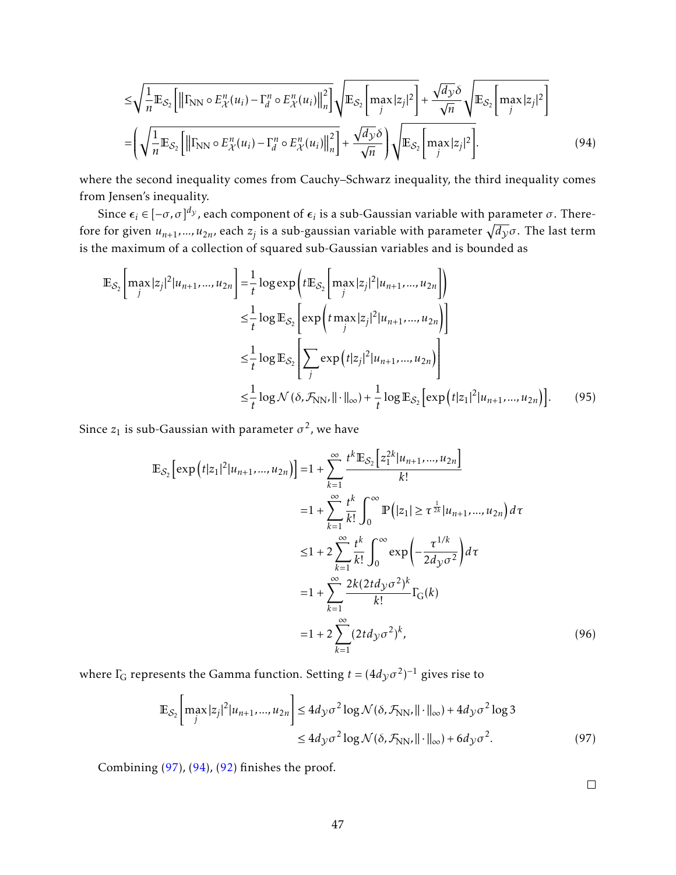<span id="page-46-1"></span>
$$
\leq \sqrt{\frac{1}{n} \mathbb{E}_{\mathcal{S}_2} \left[ \left\| \Gamma_{\text{NN}} \circ E_{\mathcal{X}}^n(u_i) - \Gamma_d^n \circ E_{\mathcal{X}}^n(u_i) \right\|_n^2 \right]} \sqrt{\mathbb{E}_{\mathcal{S}_2} \left[ \max_j |z_j|^2 \right]} + \frac{\sqrt{d_{\mathcal{Y}} \delta}}{\sqrt{n}} \sqrt{\mathbb{E}_{\mathcal{S}_2} \left[ \max_j |z_j|^2 \right]}
$$

$$
= \left( \sqrt{\frac{1}{n} \mathbb{E}_{\mathcal{S}_2} \left[ \left\| \Gamma_{\text{NN}} \circ E_{\mathcal{X}}^n(u_i) - \Gamma_d^n \circ E_{\mathcal{X}}^n(u_i) \right\|_n^2 \right] + \frac{\sqrt{d_{\mathcal{Y}} \delta}}}{\sqrt{n}} \right) \sqrt{\mathbb{E}_{\mathcal{S}_2} \left[ \max_j |z_j|^2 \right]}.
$$
(94)

where the second inequality comes from Cauchy–Schwarz inequality, the third inequality comes from Jensen's inequality.

Since  $\bm{\epsilon}_i \in [-\sigma,\sigma]^{d_{\mathcal{Y}}}$ , each component of  $\bm{\epsilon}_i$  is a sub-Gaussian variable with parameter  $\sigma.$  Therefore for given  $u_{n+1},...,u_{2n}$ , each  $z_j$  is a sub-gaussian variable with parameter  $\sqrt{d_{\mathcal{Y}}} \sigma.$  The last term is the maximum of a collection of squared sub-Gaussian variables and is bounded as

$$
\mathbb{E}_{\mathcal{S}_2} \Bigg[ \max_{j} |z_j|^2 | u_{n+1}, \dots, u_{2n} \Bigg] = \frac{1}{t} \log \exp \Bigg( t \mathbb{E}_{\mathcal{S}_2} \Bigg[ \max_{j} |z_j|^2 | u_{n+1}, \dots, u_{2n} \Bigg] \Bigg)
$$
  
\n
$$
\leq \frac{1}{t} \log \mathbb{E}_{\mathcal{S}_2} \Bigg[ \exp \Big( t \max_{j} |z_j|^2 | u_{n+1}, \dots, u_{2n} \Big) \Bigg]
$$
  
\n
$$
\leq \frac{1}{t} \log \mathbb{E}_{\mathcal{S}_2} \Bigg[ \sum_{j} \exp \Big( t |z_j|^2 | u_{n+1}, \dots, u_{2n} \Big) \Bigg]
$$
  
\n
$$
\leq \frac{1}{t} \log \mathcal{N} (\delta, \mathcal{F}_{NN}, || \cdot ||_{\infty}) + \frac{1}{t} \log \mathbb{E}_{\mathcal{S}_2} \Bigg[ \exp \Big( t |z_1|^2 | u_{n+1}, \dots, u_{2n} \Big) \Bigg].
$$
 (95)

Since  $z_1$  is sub-Gaussian with parameter  $\sigma^2$ , we have

$$
\mathbb{E}_{S_2} \left[ \exp\left( t |z_1|^2 | u_{n+1}, \dots, u_{2n} \right) \right] = 1 + \sum_{k=1}^{\infty} \frac{t^k \mathbb{E}_{S_2} \left[ z_1^{2k} | u_{n+1}, \dots, u_{2n} \right]}{k!}
$$
\n
$$
= 1 + \sum_{k=1}^{\infty} \frac{t^k}{k!} \int_0^{\infty} \mathbb{P} \left( |z_1| \ge \tau^{\frac{1}{2k}} | u_{n+1}, \dots, u_{2n} \right) d\tau
$$
\n
$$
\le 1 + 2 \sum_{k=1}^{\infty} \frac{t^k}{k!} \int_0^{\infty} \exp\left( -\frac{\tau^{1/k}}{2d_y \sigma^2} \right) d\tau
$$
\n
$$
= 1 + \sum_{k=1}^{\infty} \frac{2k(2t d_y \sigma^2)^k}{k!} \Gamma_G(k)
$$
\n
$$
= 1 + 2 \sum_{k=1}^{\infty} (2t d_y \sigma^2)^k,
$$
\n(96)

where  $\Gamma_{\!{\rm G}}$  represents the Gamma function. Setting  $t=(4d_{\mathcal{Y}}\sigma^2)^{-1}$  gives rise to

$$
\mathbb{E}_{\mathcal{S}_2} \Bigg[ \max_j |z_j|^2 |u_{n+1}, \dots, u_{2n} \Bigg] \le 4 d_{\mathcal{Y}} \sigma^2 \log \mathcal{N}(\delta, \mathcal{F}_{\text{NN}}, || \cdot ||_{\infty}) + 4 d_{\mathcal{Y}} \sigma^2 \log 3
$$
  

$$
\le 4 d_{\mathcal{Y}} \sigma^2 \log \mathcal{N}(\delta, \mathcal{F}_{\text{NN}}, || \cdot ||_{\infty}) + 6 d_{\mathcal{Y}} \sigma^2. \tag{97}
$$

Combining [\(97\)](#page-46-0), [\(94\)](#page-46-1), [\(92\)](#page-45-0) finishes the proof.

<span id="page-46-0"></span> $\Box$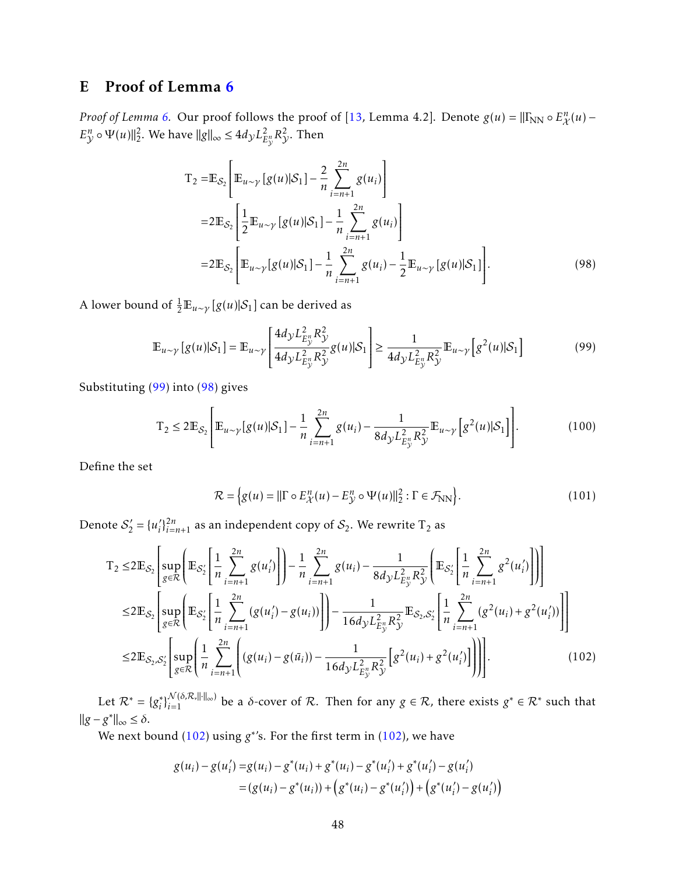# <span id="page-47-0"></span>E Proof of Lemma [6](#page-27-3)

*Proof of Lemma* [6.](#page-27-3) Our proof follows the proof of [\[13,](#page-37-3) Lemma 4.2]. Denote  $g(u) = ||\Gamma_{NN} \circ E_{\mathcal{X}}^n(u) E_{\mathcal{Y}}^{n} \circ \Psi(u) \|_{2}^{2}$ . We have  $\|g\|_{\infty} \leq 4d_{\mathcal{Y}}L_{E}^{2}$  $^2_{E^n_{\mathcal{V}}}R^2_{\mathcal{Y}}.$  Then

<span id="page-47-2"></span>
$$
T_2 = \mathbb{E}_{\mathcal{S}_2} \left[ \mathbb{E}_{u \sim \gamma} \left[ g(u) | \mathcal{S}_1 \right] - \frac{2}{n} \sum_{i=n+1}^{2n} g(u_i) \right]
$$
  
\n
$$
= 2 \mathbb{E}_{\mathcal{S}_2} \left[ \frac{1}{2} \mathbb{E}_{u \sim \gamma} \left[ g(u) | \mathcal{S}_1 \right] - \frac{1}{n} \sum_{i=n+1}^{2n} g(u_i) \right]
$$
  
\n
$$
= 2 \mathbb{E}_{\mathcal{S}_2} \left[ \mathbb{E}_{u \sim \gamma} \left[ g(u) | \mathcal{S}_1 \right] - \frac{1}{n} \sum_{i=n+1}^{2n} g(u_i) - \frac{1}{2} \mathbb{E}_{u \sim \gamma} \left[ g(u) | \mathcal{S}_1 \right] \right].
$$
 (98)

A lower bound of  $\frac{1}{2} \mathbb{E}_{u \sim \gamma} \left[ g(u) | \mathcal{S}_1 \right]$  can be derived as

$$
\mathbb{E}_{u \sim \gamma} [g(u)|S_1] = \mathbb{E}_{u \sim \gamma} \left[ \frac{4d_{\mathcal{Y}} L_{E_{\mathcal{Y}}^v}^2 R_{\mathcal{Y}}^2}{4d_{\mathcal{Y}} L_{E_{\mathcal{Y}}^v}^2 R_{\mathcal{Y}}^2} g(u)|S_1 \right] \ge \frac{1}{4d_{\mathcal{Y}} L_{E_{\mathcal{Y}}^v}^2 R_{\mathcal{Y}}^2} \mathbb{E}_{u \sim \gamma} [g^2(u)|S_1] \tag{99}
$$

Substituting [\(99\)](#page-47-1) into [\(98\)](#page-47-2) gives

$$
T_2 \le 2\mathbb{E}_{\mathcal{S}_2}\left[\mathbb{E}_{u \sim \gamma}[g(u)|\mathcal{S}_1] - \frac{1}{n} \sum_{i=n+1}^{2n} g(u_i) - \frac{1}{8d_{\mathcal{Y}}L_{E_{\mathcal{Y}}^n}^2 R_{\mathcal{Y}}^2} \mathbb{E}_{u \sim \gamma}\left[g^2(u)|\mathcal{S}_1\right]\right].
$$
 (100)

Define the set

<span id="page-47-3"></span><span id="page-47-1"></span>
$$
\mathcal{R} = \left\{ g(u) = ||\Gamma \circ E_{\mathcal{X}}^n(u) - E_{\mathcal{Y}}^n \circ \Psi(u)||_2^2 : \Gamma \in \mathcal{F}_{\text{NN}} \right\}.
$$
 (101)

Denote  $S'_2 = \{u'_i\}$  $\int_{i}^{2n} l_{i=n+1}^{2n}$  as an independent copy of  $S_2$ . We rewrite T<sub>2</sub> as

$$
T_{2} \leq 2 \mathbb{E}_{\mathcal{S}_{2}} \Biggl[ \sup_{g \in \mathcal{R}} \Biggl( \mathbb{E}_{\mathcal{S}_{2}'} \Biggl[ \frac{1}{n} \sum_{i=n+1}^{2n} g(u_{i}') \Biggr] \Biggr) - \frac{1}{n} \sum_{i=n+1}^{2n} g(u_{i}) - \frac{1}{8 d_{\mathcal{Y}} L_{E_{\mathcal{Y}}}^{2n} R_{\mathcal{Y}}^{2}} \Biggl( \mathbb{E}_{\mathcal{S}_{2}'} \Biggl[ \frac{1}{n} \sum_{i=n+1}^{2n} g^{2}(u_{i}') \Biggr] \Biggr) \Biggr] \leq 2 \mathbb{E}_{\mathcal{S}_{2}} \Biggl[ \sup_{g \in \mathcal{R}} \Biggl( \mathbb{E}_{\mathcal{S}_{2}'} \Biggl[ \frac{1}{n} \sum_{i=n+1}^{2n} (g(u_{i}') - g(u_{i})) \Biggr] \Biggr) - \frac{1}{16 d_{\mathcal{Y}} L_{E_{\mathcal{Y}}}^{2n} R_{\mathcal{Y}}^{2}} \mathbb{E}_{\mathcal{S}_{2}, \mathcal{S}_{2}'} \Biggl[ \frac{1}{n} \sum_{i=n+1}^{2n} (g^{2}(u_{i}) + g^{2}(u_{i}')) \Biggr] \Biggr] \leq 2 \mathbb{E}_{\mathcal{S}_{2}, \mathcal{S}_{2}'} \Biggl[ \sup_{g \in \mathcal{R}} \Biggl( \frac{1}{n} \sum_{i=n+1}^{2n} \Biggl( g(u_{i}) - g(\bar{u}_{i})) - \frac{1}{16 d_{\mathcal{Y}} L_{E_{\mathcal{Y}}}^{2n} R_{\mathcal{Y}}^{2}} \Biggl[ g^{2}(u_{i}) + g^{2}(u_{i}') \Biggr] \Biggr) \Biggr] \Biggr]. \tag{102}
$$

Let  $\mathcal{R}^* = \{g_i^*\}$  ${}_{i}^{*}\big|_{i=1}^{\mathcal{N}(\delta,\mathcal{R},\|\cdot\|_{\infty})}$  be a *δ*-cover of  $\mathcal{R}.$  Then for any  $g \in \mathcal{R}$ , there exists  $g^* \in \mathcal{R}^*$  such that  $||g - g^*||_{\infty}$  ≤  $\delta$ .

We next bound [\(102\)](#page-47-3) using *g*<sup>\*</sup>'s. For the first term in (102), we have

$$
g(u_i) - g(u'_i) = g(u_i) - g^*(u_i) + g^*(u_i) - g^*(u'_i) + g^*(u'_i) - g(u'_i)
$$
  
=  $(g(u_i) - g^*(u_i)) + (g^*(u_i) - g^*(u'_i)) + (g^*(u'_i) - g(u'_i))$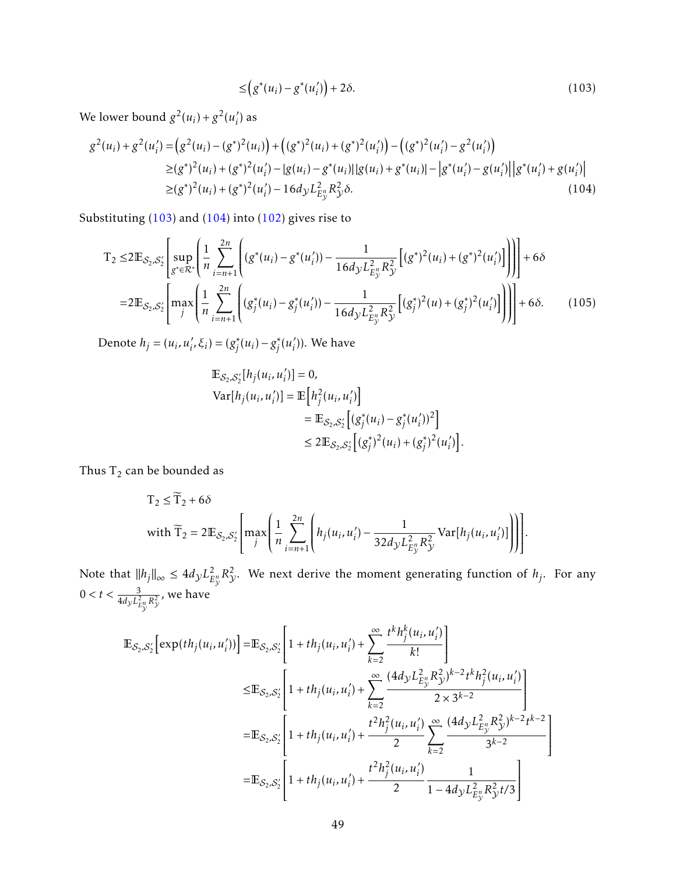<span id="page-48-1"></span><span id="page-48-0"></span>
$$
\leq \left(g^*(u_i) - g^*(u'_i)\right) + 2\delta. \tag{103}
$$

We lower bound  $g^2(u_i) + g^2(u_i)$ *i* ) as

$$
g^{2}(u_{i}) + g^{2}(u'_{i}) = (g^{2}(u_{i}) - (g^{*})^{2}(u_{i})) + ((g^{*})^{2}(u_{i}) + (g^{*})^{2}(u'_{i})) - ((g^{*})^{2}(u'_{i}) - g^{2}(u'_{i}))
$$
  
\n
$$
\geq (g^{*})^{2}(u_{i}) + (g^{*})^{2}(u'_{i}) - |g(u_{i}) - g^{*}(u_{i})||g(u_{i}) + g^{*}(u_{i})| - |g^{*}(u'_{i}) - g(u'_{i})||g^{*}(u'_{i}) + g(u'_{i})|
$$
  
\n
$$
\geq (g^{*})^{2}(u_{i}) + (g^{*})^{2}(u'_{i}) - 16d_{y}L_{E_{y}^{*}}^{2}R_{y}^{2}\delta.
$$
\n(104)

Substituting [\(103\)](#page-48-0) and [\(104\)](#page-48-1) into [\(102\)](#page-47-3) gives rise to

$$
T_2 \leq 2 \mathbb{E}_{\mathcal{S}_2, \mathcal{S}_2'} \left[ \sup_{g^* \in \mathcal{R}^*} \left( \frac{1}{n} \sum_{i=n+1}^{2n} \left( (g^*(u_i) - g^*(u'_i)) - \frac{1}{16d_y L_{E_y^n}^2 R_y^2} \left[ (g^*)^2 (u_i) + (g^*)^2 (u'_i) \right] \right) \right) \right] + 6\delta
$$
  
= 2 \mathbb{E}\_{\mathcal{S}\_2, \mathcal{S}\_2'} \left[ \max\_j \left( \frac{1}{n} \sum\_{i=n+1}^{2n} \left( (g\_j^\*(u\_i) - g\_j^\*(u'\_i)) - \frac{1}{16d\_y L\_{E\_y^n}^2 R\_y^2} \left[ (g\_j^\*)^2 (u\_i) + (g\_j^\*)^2 (u'\_i) \right] \right) \right] \right] + 6\delta. (105)

Denote  $h_j = (u_i, u'_i, \xi_i) = (g_j^*)$  $g_j^*(u_i) - g_j^*$  $\int j^*$   $(u'_i)$ *i* )). We have

$$
\mathbb{E}_{S_2, S'_2}[h_j(u_i, u'_i)] = 0,
$$
  
\n
$$
\text{Var}[h_j(u_i, u'_i)] = \mathbb{E}\Big[h_j^2(u_i, u'_i)\Big] \\
= \mathbb{E}_{S_2, S'_2}\Big[(g_j^*(u_i) - g_j^*(u'_i))^2\Big] \\
\leq 2 \mathbb{E}_{S_2, S'_2}\Big[(g_j^*)^2(u_i) + (g_j^*)^2(u'_i)\Big].
$$

Thus  $\mathrm{T}_2$  can be bounded as

$$
T_2 \leq \widetilde{T}_2 + 6\delta
$$
  
with  $\widetilde{T}_2 = 2 \mathbb{E}_{\mathcal{S}_2, \mathcal{S}_2'} \left[ \max_j \left( \frac{1}{n} \sum_{i=n+1}^{2n} \left( h_j(u_i, u_i') - \frac{1}{32 d_y L_{E_y^u}^2 R_y^2} \text{Var}[h_j(u_i, u_i')] \right) \right) \right].$ 

Note that  $\|h_j\|_{\infty} \le 4d_{\mathcal{Y}}L_E^2$  $E_y^2$   $R_y^2$ . We next derive the moment generating function of *h<sub>j</sub>*. For any  $0 < t < \frac{3}{4 d_{\mathcal{Y}} L_{E_{\mathcal{V}}^{n}}^{2} R_{\mathcal{Y}}^{2}}$ , we have

$$
\begin{split} \mathbb{E}_{\mathcal{S}_2,\mathcal{S}_2'} \Big[ \exp(th_j(u_i, u_i')) \Big] = & \mathbb{E}_{\mathcal{S}_2,\mathcal{S}_2'} \Bigg[ 1 + th_j(u_i, u_i') + \sum_{k=2}^{\infty} \frac{t^k h_j^k(u_i, u_i')}{k!} \Bigg] \\ \leq & \mathbb{E}_{\mathcal{S}_2,\mathcal{S}_2'} \Bigg[ 1 + th_j(u_i, u_i') + \sum_{k=2}^{\infty} \frac{(4d_{\mathcal{Y}} L_{E_{\mathcal{Y}}}^2 R_{\mathcal{Y}}^2)^{k-2} t^k h_j^2(u_i, u_i')}{2 \times 3^{k-2}} \Bigg] \\ = & \mathbb{E}_{\mathcal{S}_2,\mathcal{S}_2'} \Bigg[ 1 + th_j(u_i, u_i') + \frac{t^2 h_j^2(u_i, u_i')}{2} \sum_{k=2}^{\infty} \frac{(4d_{\mathcal{Y}} L_{E_{\mathcal{Y}}}^2 R_{\mathcal{Y}}^2)^{k-2} t^{k-2}}{3^{k-2}} \Bigg] \\ = & \mathbb{E}_{\mathcal{S}_2,\mathcal{S}_2'} \Bigg[ 1 + th_j(u_i, u_i') + \frac{t^2 h_j^2(u_i, u_i')}{2} \frac{1}{1 - 4d_{\mathcal{Y}} L_{E_{\mathcal{Y}}}^2 R_{\mathcal{Y}}^2 t/3} \Bigg] \end{split}
$$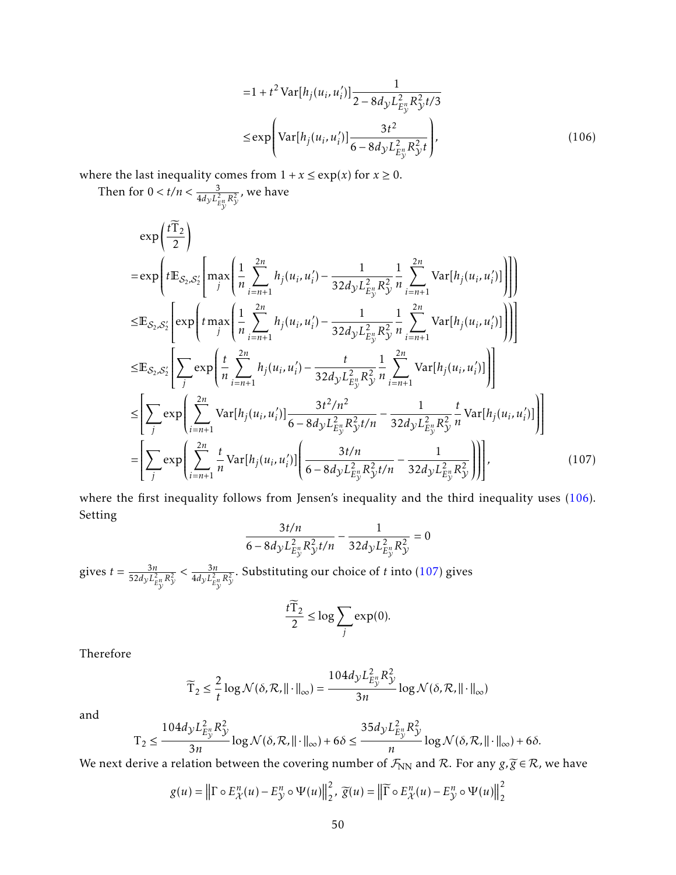<span id="page-49-0"></span>
$$
=1 + t2 Var[hj(ui, u'i)] \frac{1}{2 - 8dyL2Eyn} Ry2 t/3
$$
  
\n
$$
\le \exp \left( Var[hj(ui, u'i)] \frac{3t2}{6 - 8dyL2Eyn} Ry2 t} \right),
$$
 (106)

where the last inequality comes from  $1 + x \le \exp(x)$  for  $x \ge 0$ .

Then for 
$$
0 < t/n < \frac{3}{4d_y L_{E_y^n}^2 R_y^2}
$$
, we have  
\n
$$
\exp\left(t \frac{\tilde{T}_2}{2}\right)
$$
\n
$$
= \exp\left(t E_{S_2, S_2'} \left[\max\left(\frac{1}{n} \sum_{i=n+1}^{2n} h_j(u_i, u_i') - \frac{1}{32d_y L_{E_y^n}^2 R_y^2} \frac{1}{n} \sum_{i=n+1}^{2n} Var[h_j(u_i, u_i')] \right) \right]\right)
$$
\n
$$
\leq E_{S_2, S_2'} \left[\exp\left(t \max_j \left(\frac{1}{n} \sum_{i=n+1}^{2n} h_j(u_i, u_i') - \frac{1}{32d_y L_{E_y^n}^2 R_y^2} \frac{1}{n} \sum_{i=n+1}^{2n} Var[h_j(u_i, u_i')] \right) \right]\right]
$$
\n
$$
\leq E_{S_2, S_2'} \left[\sum_j \exp\left(\frac{t}{n} \sum_{i=n+1}^{2n} h_j(u_i, u_i') - \frac{t}{32d_y L_{E_y^n}^2 R_y^2} \frac{1}{n} \sum_{i=n+1}^{2n} Var[h_j(u_i, u_i')] \right)\right]
$$
\n
$$
\leq \left[\sum_j \exp\left(\sum_{i=n+1}^{2n} Var[h_j(u_i, u_i')] \frac{3t^2/n^2}{6 - 8d_y L_{E_y^n}^2 R_y^2 t/n} - \frac{1}{32d_y L_{E_y^n}^2 R_y^2} \frac{t}{n} Var[h_j(u_i, u_i')] \right)\right]
$$
\n
$$
= \left[\sum_j \exp\left(\sum_{i=n+1}^{2n} \frac{t}{n} Var[h_j(u_i, u_i')] \left(\frac{3t/n}{6 - 8d_y L_{E_y^n}^2 R_y^2 t/n} - \frac{1}{32d_y L_{E_y^n}^2 R_y^2} \right)\right)\right],
$$
\n(107)

where the first inequality follows from Jensen's inequality and the third inequality uses [\(106\)](#page-49-0). Setting

$$
\frac{3t/n}{6 - 8d_{\mathcal{Y}}L_{E_{\mathcal{Y}}^n}^2 R_{\mathcal{Y}}^2 t/n} - \frac{1}{32d_{\mathcal{Y}}L_{E_{\mathcal{Y}}^n}^2 R_{\mathcal{Y}}^2} = 0
$$

gives  $t = \frac{3n}{52d-1^2}$  $\frac{3n}{52d_y L_{E_y^n}^2 R_y^2} < \frac{3n}{4d_y L_{E_x^n}^2}$  $\frac{3n}{4d_{\mathcal{Y}}L_{E_{\mathcal{V}}^{n}}^{2}R_{\mathcal{Y}}^{2}}$ . Substituting our choice of *t* into [\(107\)](#page-49-1) gives

<span id="page-49-1"></span>
$$
\frac{t\widetilde{T}_2}{2} \le \log \sum_j \exp(0).
$$

Therefore

$$
\widetilde{T}_2 \leq \frac{2}{t} \log \mathcal{N}(\delta, \mathcal{R}, ||\cdot||_{\infty}) = \frac{104d_{\mathcal{Y}} L_{E_{\mathcal{Y}}^n}^2 R_{\mathcal{Y}}^2}{3n} \log \mathcal{N}(\delta, \mathcal{R}, ||\cdot||_{\infty})
$$

and

$$
\mathsf{T}_2 \leq \frac{104d_y L_{E_y^n}^2 R_y^2}{3n} \log \mathcal{N}(\delta, \mathcal{R}, \|\cdot\|_{\infty}) + 6\delta \leq \frac{35d_y L_{E_y^n}^2 R_y^2}{n} \log \mathcal{N}(\delta, \mathcal{R}, \|\cdot\|_{\infty}) + 6\delta.
$$

We next derive a relation between the covering number of  $\mathcal{F}_{NN}$  and  $\mathcal{R}$ . For any  $g, \widetilde{g} \in \mathcal{R}$ , we have

$$
g(u) = \left\| \Gamma \circ E_{\mathcal{X}}^n(u) - E_{\mathcal{Y}}^n \circ \Psi(u) \right\|_2^2, \ \widetilde{g}(u) = \left\| \widetilde{\Gamma} \circ E_{\mathcal{X}}^n(u) - E_{\mathcal{Y}}^n \circ \Psi(u) \right\|_2^2
$$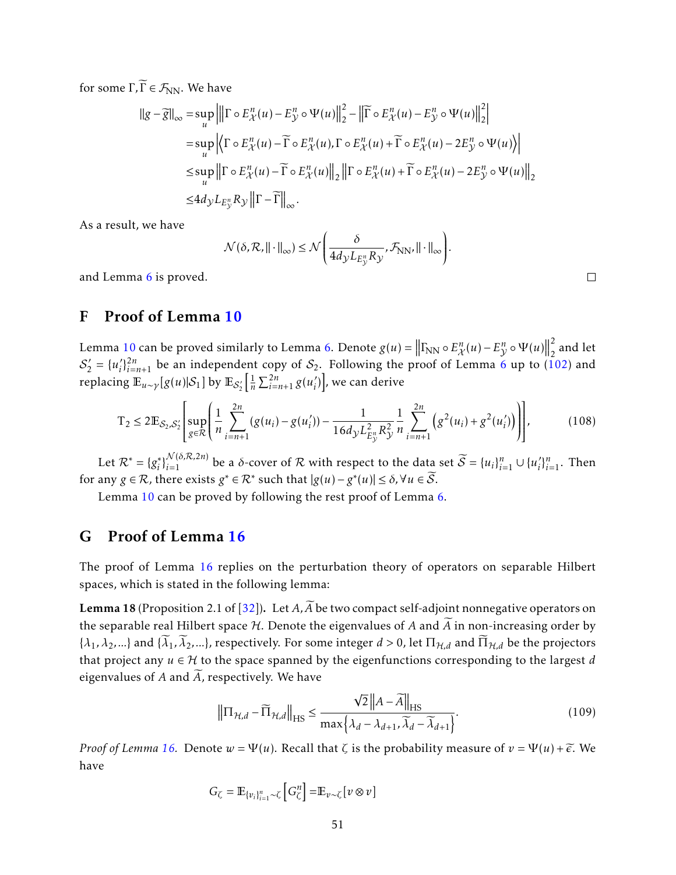for some  $\Gamma, \widetilde{\Gamma} \in \mathcal{F}_{NN}$ . We have

$$
\|g - \overline{g}\|_{\infty} = \sup_{u} \left| \left\| \Gamma \circ E_{\mathcal{X}}^{n}(u) - E_{\mathcal{Y}}^{n} \circ \Psi(u) \right\|_{2}^{2} - \left\| \overline{\Gamma} \circ E_{\mathcal{X}}^{n}(u) - E_{\mathcal{Y}}^{n} \circ \Psi(u) \right\|_{2}^{2} \right|
$$
  
\n
$$
= \sup_{u} \left| \left\langle \Gamma \circ E_{\mathcal{X}}^{n}(u) - \overline{\Gamma} \circ E_{\mathcal{X}}^{n}(u), \Gamma \circ E_{\mathcal{X}}^{n}(u) + \overline{\Gamma} \circ E_{\mathcal{X}}^{n}(u) - 2E_{\mathcal{Y}}^{n} \circ \Psi(u) \right\rangle \right|
$$
  
\n
$$
\leq \sup_{u} \left\| \Gamma \circ E_{\mathcal{X}}^{n}(u) - \overline{\Gamma} \circ E_{\mathcal{X}}^{n}(u) \right\|_{2} \left\| \Gamma \circ E_{\mathcal{X}}^{n}(u) + \overline{\Gamma} \circ E_{\mathcal{X}}^{n}(u) - 2E_{\mathcal{Y}}^{n} \circ \Psi(u) \right\|_{2}
$$
  
\n
$$
\leq 4d_{\mathcal{Y}} L_{E_{\mathcal{Y}}} R_{\mathcal{Y}} \left\| \Gamma - \overline{\Gamma} \right\|_{\infty}.
$$

As a result, we have

and Lemma [6](#page-27-3) is proved.

$$
\mathcal{N}(\delta, \mathcal{R}, ||\cdot||_{\infty}) \leq \mathcal{N}\left(\frac{\delta}{4d_{\mathcal{Y}}L_{E_{\mathcal{Y}}^n}R_{\mathcal{Y}}}, \mathcal{F}_{\text{NN}}, ||\cdot||_{\infty}\right).
$$

 $\Box$ 

### <span id="page-50-0"></span>F Proof of Lemma [10](#page-30-2)

Lemma [10](#page-30-2) can be proved similarly to Lemma [6.](#page-27-3) Denote  $g(u) = ||\Gamma_{NN} \circ E_{\mathcal{X}}^n(u) - E_{\mathcal{Y}}^n \circ \Psi(u)||$ 2  $\frac{2}{2}$  and let  $S'_{2} = \{u'_{i}\}$  $\zeta_i^{2n}$  be an independent copy of  $S_2$ . Following the proof of Lemma [6](#page-27-3) up to [\(102\)](#page-47-3) and replacing  $\mathbb{E}_{u \sim \gamma}[g(u)|\mathcal{S}_1]$  by  $\mathbb{E}_{\mathcal{S}'_2}\Big[\frac{1}{n}$  $\frac{1}{n} \sum_{i=n+1}^{2n} g(u_i)$  $'_{i})\bigr]$ , we can derive

$$
T_2 \le 2\mathbb{E}_{\mathcal{S}_2,\mathcal{S}_2'}\left[\sup_{g\in\mathcal{R}}\left(\frac{1}{n}\sum_{i=n+1}^{2n} (g(u_i) - g(u_i')) - \frac{1}{16d_2L_{E_y}^2R_{\mathcal{Y}}^2}\frac{1}{n}\sum_{i=n+1}^{2n} \left(g^2(u_i) + g^2(u_i')\right)\right)\right],\tag{108}
$$

Let  $\mathcal{R}^* = \{g_i^*\}$ *i*<sup> $i$ </sup><sub>*i*</sub><sup>*i*</sup><sub>*i*</sub> *i*<sub></sub> *i*<sup>*n*</sup><sub>*i*</sub> *i*<sub>*i*</sub> *i*<sub>*i*</sub> *i*<sub>*i*</sub> *i*<sub>*i*</sub> *i*<sub>*i*</sub> *i*<sub>*i*</sub> *i*<sub>*i*</sub> *i*<sub>*i*</sub> *i*<sub>*i i*<sub>*i*</sub> *i*<sub>*i i*<sub>*i*</sub> *i*<sub>*i i*<sub>*i*</sub> *i i*<sub>*i*</sub> *i*<sub>*i*</sub> *i*<sub>*i*</sub> *i*<sub>*i i*<sub>*i*</sub></sub></sub></sub></sub>  $'$ <sup>*n*</sup><sub>*i*</sub>=<sub>1</sub>. Then for any  $g \in \mathcal{R}$ , there exists  $g^* \in \mathcal{R}^*$  such that  $|g(u) - g^*(u)| \le \delta$ ,  $\forall u \in \widetilde{\mathcal{S}}$ .

Lemma [10](#page-30-2) can be proved by following the rest proof of Lemma [6.](#page-27-3)

### <span id="page-50-1"></span>G Proof of Lemma [16](#page-34-3)

The proof of Lemma [16](#page-34-3) replies on the perturbation theory of operators on separable Hilbert spaces, which is stated in the following lemma:

<span id="page-50-2"></span>**Lemma 18** (Proposition 2.1 of [\[32\]](#page-38-16)). Let  $A$ ,  $\widetilde{A}$  be two compact self-adjoint nonnegative operators on the separable real Hilbert space  $H$ . Denote the eigenvalues of  $A$  and  $\widetilde{A}$  in non-increasing order by  $\{\lambda_1, \lambda_2, ...\}$  and  $\{\tilde{\lambda}_1, \tilde{\lambda}_2, ...\}$ , respectively. For some integer  $d > 0$ , let  $\Pi_{\mathcal{H},d}$  and  $\tilde{\Pi}_{\mathcal{H},d}$  be the projectors that project any  $u \in H$  to the space spanned by the eigenfunctions corresponding to the largest *d* eigenvalues of  $A$  and  $\widetilde{A}$ , respectively. We have

$$
\left\|\Pi_{\mathcal{H},d} - \widetilde{\Pi}_{\mathcal{H},d}\right\|_{\text{HS}} \le \frac{\sqrt{2} \left\|A - \widetilde{A}\right\|_{\text{HS}}}{\max\left\{\lambda_d - \lambda_{d+1}, \widetilde{\lambda}_d - \widetilde{\lambda}_{d+1}\right\}}.
$$
\n(109)

*Proof of Lemma* [16.](#page-34-3) Denote  $w = \Psi(u)$ . Recall that  $\zeta$  is the probability measure of  $v = \Psi(u) + \widetilde{\epsilon}$ . We have

$$
G_{\zeta} = \mathbb{E}_{\{v_i\}_{i=1}^n \sim \zeta} \left[ G_{\zeta}^n \right] = \mathbb{E}_{v \sim \zeta} \left[ v \otimes v \right]
$$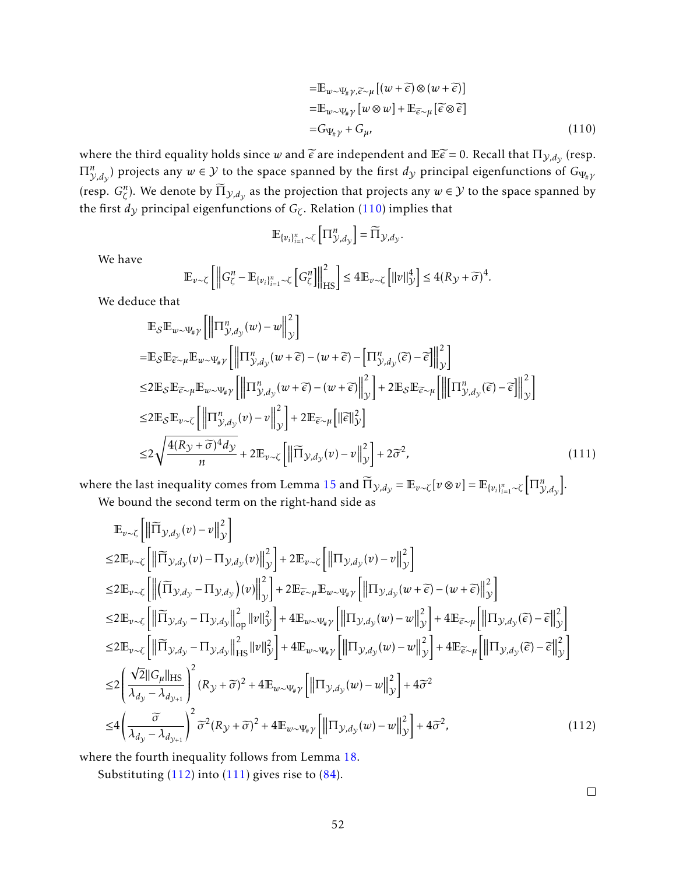<span id="page-51-0"></span>
$$
= \mathbb{E}_{w \sim \Psi_{\#} \gamma, \widetilde{\epsilon} \sim \mu} [(w + \widetilde{\epsilon}) \otimes (w + \widetilde{\epsilon})]
$$
  
\n
$$
= \mathbb{E}_{w \sim \Psi_{\#} \gamma} [w \otimes w] + \mathbb{E}_{\widetilde{\epsilon} \sim \mu} [\widetilde{\epsilon} \otimes \widetilde{\epsilon}]
$$
  
\n
$$
= G_{\Psi_{\#} \gamma} + G_{\mu}, \qquad (110)
$$

where the third equality holds since *w* and  $\tilde{\epsilon}$  are independent and  $E\tilde{\epsilon} = 0$ . Recall that  $\Pi_{y,d_y}$  (resp.  $\Pi_{\mathcal{Y},d_\mathcal{Y}}^n$ ) projects any  $w\in\mathcal{Y}$  to the space spanned by the first  $d_\mathcal{Y}$  principal eigenfunctions of  $G_{\Psi_\# \mathcal{Y}}$ (resp.  $G^n_\zeta$ ). We denote by  $\widetilde{\Pi}_{\mathcal{Y},d_\mathcal{Y}}$  as the projection that projects any  $w\in\mathcal{Y}$  to the space spanned by the first  $d_\mathcal{Y}$  principal eigenfunctions of  $G_\zeta.$  Relation [\(110\)](#page-51-0) implies that

$$
\mathbb{E}_{\{v_i\}_{i=1}^n\sim\zeta}\left[\Pi_{\mathcal{Y},d_{\mathcal{Y}}}^n\right]=\widetilde{\Pi}_{\mathcal{Y},d_{\mathcal{Y}}}.
$$

We have

$$
\mathbb{E}_{\nu \sim \zeta} \left[ \left\| G_{\zeta}^{n} - \mathbb{E}_{\{v_{i}\}_{i=1}^{n} \sim \zeta} \left[ G_{\zeta}^{n} \right] \right\|_{\text{HS}}^{2} \right] \leq 4 \mathbb{E}_{\nu \sim \zeta} \left[ \left\| \nu \right\|_{\mathcal{Y}}^{4} \right] \leq 4 (R_{\mathcal{Y}} + \widetilde{\sigma})^{4}.
$$

We deduce that

$$
\mathbb{E}_{\mathcal{S}} \mathbb{E}_{w \sim \Psi_{\#} \gamma} \left[ \left\| \Pi_{\mathcal{Y}, d_{\mathcal{Y}}}^{n}(w) - w \right\|_{\mathcal{Y}}^{2} \right]
$$
\n
$$
= \mathbb{E}_{\mathcal{S}} \mathbb{E}_{\widetilde{\epsilon} \sim \mu} \mathbb{E}_{w \sim \Psi_{\#} \gamma} \left[ \left\| \Pi_{\mathcal{Y}, d_{\mathcal{Y}}}^{n}(w + \widetilde{\epsilon}) - (w + \widetilde{\epsilon}) - \left[ \Pi_{\mathcal{Y}, d_{\mathcal{Y}}}^{n}(\widetilde{\epsilon}) - \widetilde{\epsilon} \right] \right\|_{\mathcal{Y}}^{2} \right]
$$
\n
$$
\leq 2 \mathbb{E}_{\mathcal{S}} \mathbb{E}_{\widetilde{\epsilon} \sim \mu} \mathbb{E}_{w \sim \Psi_{\#} \gamma} \left[ \left\| \Pi_{\mathcal{Y}, d_{\mathcal{Y}}}^{n}(w + \widetilde{\epsilon}) - (w + \widetilde{\epsilon}) \right\|_{\mathcal{Y}}^{2} \right] + 2 \mathbb{E}_{\mathcal{S}} \mathbb{E}_{\widetilde{\epsilon} \sim \mu} \left[ \left\| \left[ \Pi_{\mathcal{Y}, d_{\mathcal{Y}}}^{n}(\widetilde{\epsilon}) - \widetilde{\epsilon} \right] \right\|_{\mathcal{Y}}^{2} \right]
$$
\n
$$
\leq 2 \mathbb{E}_{\mathcal{S}} \mathbb{E}_{v \sim \zeta} \left[ \left\| \Pi_{\mathcal{Y}, d_{\mathcal{Y}}}^{n}(v) - v \right\|_{\mathcal{Y}}^{2} \right] + 2 \mathbb{E}_{\widetilde{\epsilon} \sim \mu} \left[ \left\| \widetilde{\epsilon} \right\|_{\mathcal{Y}}^{2} \right]
$$
\n
$$
\leq 2 \sqrt{\frac{4(R_{\mathcal{Y}} + \widetilde{\sigma})^{4} d_{\mathcal{Y}}}{n}} + 2 \mathbb{E}_{v \sim \zeta} \left[ \left\| \widetilde{\Pi}_{\mathcal{Y}, d_{\mathcal{Y}}}(v) - v \right\|_{\mathcal{Y}}^{2} \right] + 2 \widetilde{\sigma}^{2}, \tag{111}
$$

where the last inequality comes from Lemma [15](#page-34-2) and  $\widetilde{\Pi}_{\mathcal{Y},d_{\mathcal{Y}}} = \mathbb{E}_{v \sim \zeta}[v \otimes v] = \mathbb{E}_{\{v_i\}_{i=1}^n \sim \zeta}\Big[\Pi_{\mathcal{Y},d_{\mathcal{Y}}}^n\Big]$ .

We bound the second term on the right-hand side as

$$
\mathbb{E}_{v \sim \zeta} \Big[ \Big\| \widetilde{\Pi}_{y,d_y}(v) - v \Big\|_{y}^{2} \Big] \n\leq 2 \mathbb{E}_{v \sim \zeta} \Big[ \Big\| \widetilde{\Pi}_{y,d_y}(v) - \Pi_{y,d_y}(v) \Big\|_{y}^{2} \Big] + 2 \mathbb{E}_{v \sim \zeta} \Big[ \Big\| \Pi_{y,d_y}(v) - v \Big\|_{y}^{2} \Big] \n\leq 2 \mathbb{E}_{v \sim \zeta} \Big[ \Big\| \Big(\widetilde{\Pi}_{y,d_y} - \Pi_{y,d_y}(v) \Big\|_{y}^{2} \Big] + 2 \mathbb{E}_{\widetilde{\epsilon} \sim \mu} \mathbb{E}_{w \sim \Psi_{\#} \gamma} \Big[ \Big\| \Pi_{y,d_y}(w + \widetilde{\epsilon}) - (w + \widetilde{\epsilon}) \Big\|_{y}^{2} \Big] \n\leq 2 \mathbb{E}_{v \sim \zeta} \Big[ \Big\| \widetilde{\Pi}_{y,d_y} - \Pi_{y,d_y} \Big\|_{\text{op}}^{2} \Big\| v \Big\|_{y}^{2} \Big] + 4 \mathbb{E}_{w \sim \Psi_{\#} \gamma} \Big[ \Big\| \Pi_{y,d_y}(w) - w \Big\|_{y}^{2} \Big] + 4 \mathbb{E}_{\widetilde{\epsilon} \sim \mu} \Big[ \Big\| \Pi_{y,d_y}(\widetilde{\epsilon}) - \widetilde{\epsilon} \Big\|_{y}^{2} \Big] \n\leq 2 \mathbb{E}_{v \sim \zeta} \Big[ \Big\| \widetilde{\Pi}_{y,d_y} - \Pi_{y,d_y} \Big\|_{\text{HS}}^{2} \Big\| v \Big\|_{y}^{2} \Big] + 4 \mathbb{E}_{w \sim \Psi_{\#} \gamma} \Big[ \Big\| \Pi_{y,d_y}(w) - w \Big\|_{y}^{2} \Big] + 4 \mathbb{E}_{\widetilde{\epsilon} \sim \mu} \Big[ \Big\| \Pi_{y,d_y}(\widetilde{\epsilon}) - \widetilde{\epsilon} \Big\|_{y}^{2} \Big] \n\leq 2 \Big( \frac{\sqrt{2} ||G_{\mu}||_{\text{HS}}}{\lambda_{d_y} - \lambda_{d_{y+1}}} \Big)^{2} (R_{y} +
$$

where the fourth inequality follows from Lemma [18.](#page-50-2)

Substituting  $(112)$  into  $(111)$  gives rise to  $(84)$ .

<span id="page-51-2"></span><span id="page-51-1"></span> $\Box$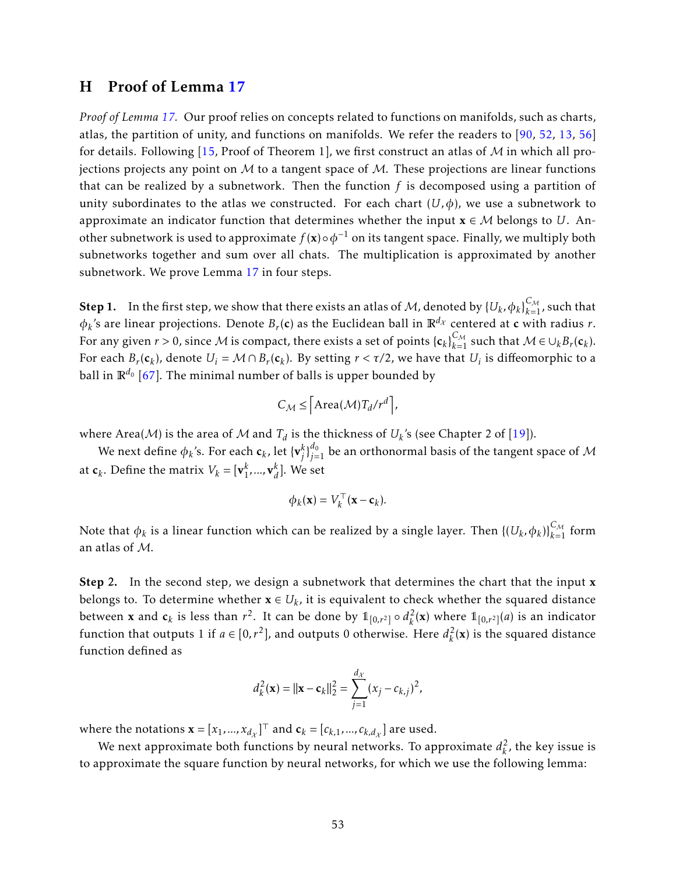### <span id="page-52-0"></span>H Proof of Lemma [17](#page-35-2)

*Proof of Lemma [17.](#page-35-2)* Our proof relies on concepts related to functions on manifolds, such as charts, atlas, the partition of unity, and functions on manifolds. We refer the readers to [\[90,](#page-42-14) [52,](#page-40-13) [13,](#page-37-3) [56\]](#page-40-5) for details. Following [\[15,](#page-37-0) Proof of Theorem 1], we first construct an atlas of  $M$  in which all projections projects any point on  $M$  to a tangent space of  $M$ . These projections are linear functions that can be realized by a subnetwork. Then the function *f* is decomposed using a partition of unity subordinates to the atlas we constructed. For each chart  $(U, \phi)$ , we use a subnetwork to approximate an indicator function that determines whether the input  $x \in M$  belongs to *U*. Another subnetwork is used to approximate  $f(\mathbf{x}) \circ \phi^{-1}$  on its tangent space. Finally, we multiply both subnetworks together and sum over all chats. The multiplication is approximated by another subnetwork. We prove Lemma [17](#page-35-2) in four steps.

**Step 1.** In the first step, we show that there exists an atlas of M, denoted by  $\{U_k, \phi_k\}_{k=1}^{C_M}$ , such that  $\phi_k$ 's are linear projections. Denote  $B_r(\mathbf{c})$  as the Euclidean ball in  $\mathbb{R}^{d_\chi}$  centered at **c** with radius *r*. For any given  $r > 0$ , since M is compact, there exists a set of points  $\{c_k\}_{k=1}^{C_M}$  such that  $\mathcal{M} \in \cup_k B_r(c_k)$ . For each  $B_r(c_k)$ , denote  $U_i = \mathcal{M} \cap B_r(c_k)$ . By setting  $r < \tau/2$ , we have that  $U_i$  is diffeomorphic to a ball in  $\mathbb{R}^{d_0}$  [\[67\]](#page-41-12). The minimal number of balls is upper bounded by

$$
C_{\mathcal{M}} \leq \left[ \text{Area}(\mathcal{M}) T_d / r^d \right],
$$

where Area(M) is the area of M and  $T_d$  is the thickness of  $U_k$ 's (see Chapter 2 of [\[19\]](#page-37-13)).

We next define  $\phi_k$ 's. For each  $\mathbf{c}_k$ , let  $\{\mathbf{v}_i^k\}$  $f_j^{d_0}_{j=1}$  be an orthonormal basis of the tangent space of  ${\cal M}$ at  $\mathbf{c}_k$ . Define the matrix  $V_k = [\mathbf{v}_1^k, ..., \mathbf{v}_d^k]$  $\binom{k}{d}$ . We set

$$
\phi_k(\mathbf{x}) = V_k^{\top}(\mathbf{x} - \mathbf{c}_k).
$$

Note that  $\phi_k$  is a linear function which can be realized by a single layer. Then  $\{(U_k,\phi_k)\}_{k=1}^{C_{\mathcal{M}}}$  form an atlas of M.

Step 2. In the second step, we design a subnetwork that determines the chart that the input x belongs to. To determine whether  $\mathbf{x} \in U_k$ , it is equivalent to check whether the squared distance between **x** and  $\mathbf{c}_k$  is less than  $r^2$ . It can be done by  $\mathbb{1}_{[0,r^2]} \circ d_k^2$  $\int_{k}^{2}$ (**x**) where  $\mathbb{1}_{[0,r^2]}(a)$  is an indicator function that outputs 1 if  $a \in [0, r^2]$ , and outputs 0 otherwise. Here  $d_k^2$  $\frac{2}{k}$ (**x**) is the squared distance function defined as

$$
d_k^2(\mathbf{x}) = ||\mathbf{x} - \mathbf{c}_k||_2^2 = \sum_{j=1}^{d_X} (x_j - c_{k,j})^2,
$$

where the notations  $\mathbf{x} = [x_1, ..., x_{d_X}]^\top$  and  $\mathbf{c}_k = [c_{k,1}, ..., c_{k,d_X}]$  are used.

We next approximate both functions by neural networks. To approximate  $d_k^2$  $\frac{2}{k}$ , the key issue is to approximate the square function by neural networks, for which we use the following lemma: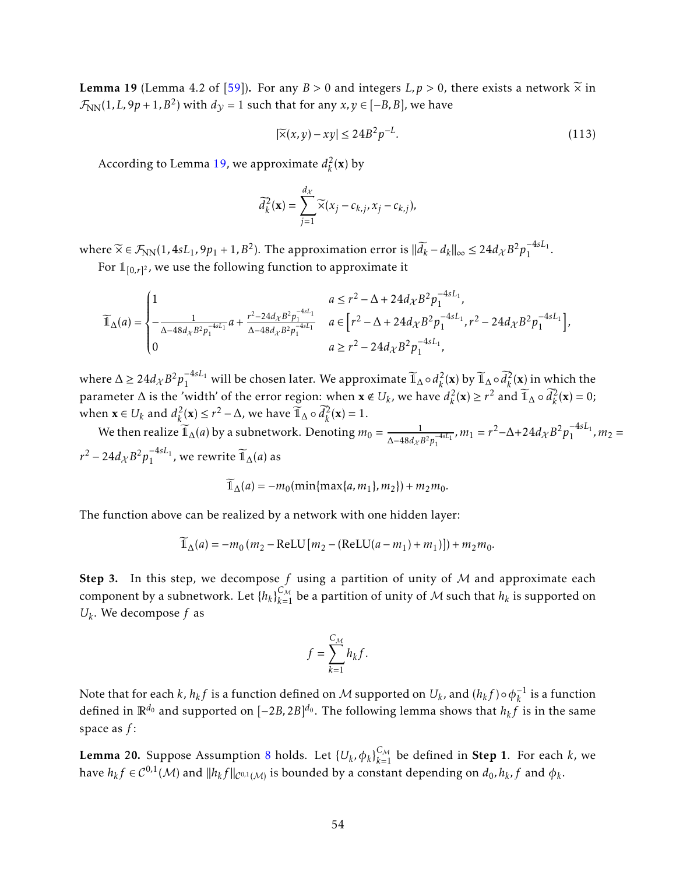<span id="page-53-0"></span>**Lemma 19** (Lemma 4.2 of [\[59\]](#page-40-4)). For any  $B > 0$  and integers  $L, p > 0$ , there exists a network  $\widetilde{\times}$  in  $\mathcal{F}_{NN}(1,L,9p+1,B^2)$  with  $d_{\mathcal{Y}} = 1$  such that for any  $x,y \in [-B,B]$ , we have

$$
|\tilde{\mathsf{x}}(x,y) - xy| \le 24B^2 p^{-L}.\tag{113}
$$

According to Lemma [19,](#page-53-0) we approximate  $d_k^2$  $\int_k^2$ (**x**) by

$$
\overline{d}_{k}^{2}(\mathbf{x}) = \sum_{j=1}^{d_{\mathcal{X}}} \widetilde{\times} (x_{j} - c_{k,j}, x_{j} - c_{k,j}),
$$

where  $\widetilde{\times} \in \mathcal{F}_{NN}(1, 4sL_1, 9p_1 + 1, B^2)$ . The approximation error is  $\|\widetilde{d}_k - d_k\|_{\infty} \leq 24d_{\mathcal{X}}B^2p_1^{-4sL_1}$  $\frac{-\pm sL_1}{1}$ .

For  $\mathbb{1}_{[0,r]^2}$ , we use the following function to approximate it

$$
\widetilde{\mathbb{1}}_{\Delta}(a) = \begin{cases} 1 & a \leq r^2 - \Delta + 24d_{\mathcal{X}}B^2p_1^{-4sL_1}, \\ -\frac{1}{\Delta - 48d_{\mathcal{X}}B^2p_1^{-4sL_1}}a + \frac{r^2 - 24d_{\mathcal{X}}B^2p_1^{-4sL_1}}{\Delta - 48d_{\mathcal{X}}B^2p_1^{-4sL_1}} & a \in \left[r^2 - \Delta + 24d_{\mathcal{X}}B^2p_1^{-4sL_1}, r^2 - 24d_{\mathcal{X}}B^2p_1^{-4sL_1}\right], \\ 0 & a \geq r^2 - 24d_{\mathcal{X}}B^2p_1^{-4sL_1}, \end{cases}
$$

where ∆ ≥ 24 $d_{\chi}B^2p_1^{-4sL_1}$  will be chosen later. We approximate  $\widetilde{\mathbb{1}}_{\Delta}\circ d_{k}^2$  $\hat{u}_k^2(\mathbf{x})$  by  $\widetilde{\mathbb{1}}_{\Delta} \circ \widetilde{d}_k^2(\mathbf{x})$  in which the parameter  $\Delta$  is the 'width' of the error region: when  $\mathbf{x} \notin U_k$ , we have  $d_k^2$  $k_k^2(\mathbf{x}) \ge r^2$  and  $\widetilde{\mathbb{1}}_{\Delta} \circ \widetilde{d}_k^2(\mathbf{x}) = 0;$ when  $\mathbf{x} \in U_k$  and  $d_k^2(\mathbf{x}) \le r^2 - \Delta$ , we have  $\widetilde{\mathbb{1}}_{\Delta} \circ \widetilde{d}_k^2(\mathbf{x}) = 1$ .

We then realize  $\widetilde{\mathbb{I}}_{\Delta}(a)$  by a subnetwork. Denoting  $m_0 = \frac{1}{\Delta - 48d_{\mathcal{V}}l}$  $\frac{1}{\Delta-48d_{\mathcal{X}}B^2p_1^{-4sL_1}}$ ,  $m_1 = r^2 - \Delta + 24d_{\mathcal{X}}B^2p_1^{-4sL_1}$  $\frac{1}{1}$ ,  $m_2 =$  $r^2 - 24d_{\mathcal{X}}B^2p_1^{-4sL_1}$  $\frac{-4sL_1}{1}$ , we rewrite  $\widetilde{\mathbb{1}}_{\Delta}(a)$  as

$$
\widetilde{\mathbb{1}}_{\Delta}(a) = -m_0(\min\{\max\{a,m_1\},m_2\}) + m_2m_0.
$$

The function above can be realized by a network with one hidden layer:

$$
\widetilde{\mathbb{1}}_{\Delta}(a) = -m_0(m_2 - \text{ReLU}[m_2 - (\text{ReLU}(a - m_1) + m_1)]) + m_2m_0.
$$

Step 3. In this step, we decompose *f* using a partition of unity of M and approximate each component by a subnetwork. Let  $\{h_k\}_{k=1}^{C_{\mathcal{M}}}$  be a partition of unity of  $\mathcal M$  such that  $h_k$  is supported on  $U_k$ . We decompose  $f$  as

$$
f = \sum_{k=1}^{C_{\mathcal{M}}} h_k f.
$$

Note that for each  $k$  ,  $h_kf$  is a function defined on  ${\cal M}$  supported on  $U_k$  , and  $(h_kf)\!\circ\!\phi_k^{-1}$  $\frac{1}{k}$  is a function defined in  $\mathbb{R}^{d_0}$  and supported on  $[-2B,2B]^{d_0}.$  The following lemma shows that  $h_kf$  is in the same space as *f* :

<span id="page-53-1"></span>Lemma 20. Suppose Assumption [8](#page-19-2) holds. Let  $\{U_k,\phi_k\}_{k=1}^{C_{\mathcal{M}}}$  be defined in Step 1. For each  $k$ , we have  $h_k f \in C^{0,1}(\mathcal{M})$  and  $\|h_k f\|_{C^{0,1}(\mathcal{M})}$  is bounded by a constant depending on  $d_0, h_k, f$  and  $\phi_k.$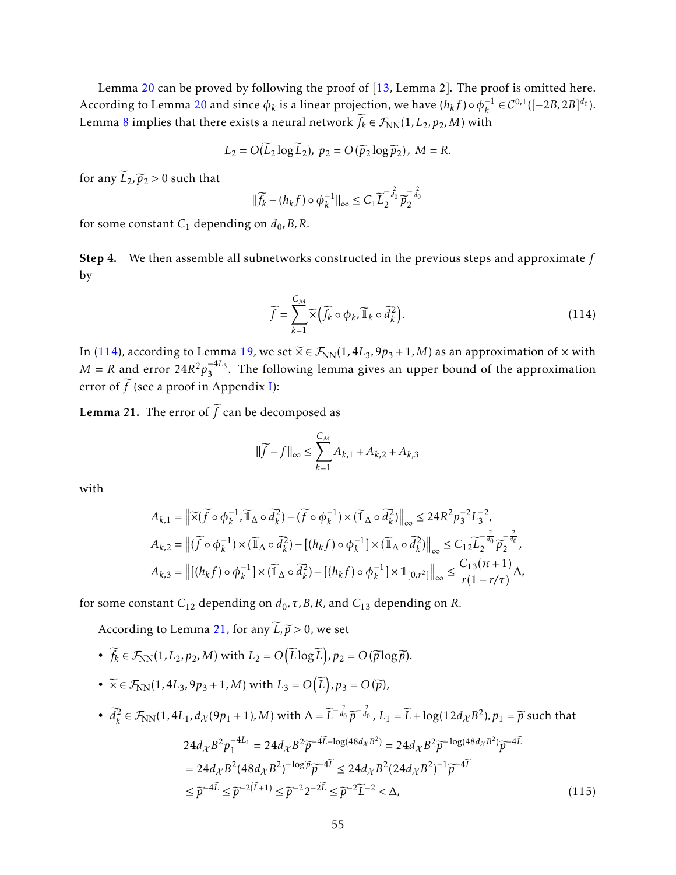Lemma [20](#page-53-1) can be proved by following the proof of [\[13,](#page-37-3) Lemma 2]. The proof is omitted here. According to Lemma [20](#page-53-1) and since  $\phi_k$  is a linear projection, we have  $(h_k f) \circ \phi_k^{-1}$  $\mathcal{L}_k^{-1} \in \mathcal{C}^{0,1}([-2B, 2B]^{d_0}).$ Lemma [8](#page-29-1) implies that there exists a neural network  $\widetilde{f}_k \in \mathcal{F}_{NN}(1,L_2,p_2,M)$  with

$$
L_2 = O(\overline{L}_2 \log \overline{L}_2), \ p_2 = O(\overline{p}_2 \log \overline{p}_2), \ M = R.
$$

for any  $\widetilde{L}_2, \widetilde{p}_2 > 0$  such that

$$
\|\widetilde{f_k} - (h_k f) \circ \phi_k^{-1}\|_{\infty} \le C_1 \widetilde{L}_2^{-\frac{2}{d_0}} \widetilde{p}_2^{-\frac{2}{d_0}}
$$

for some constant  $C_1$  depending on  $d_0$ , B, R.

Step 4. We then assemble all subnetworks constructed in the previous steps and approximate *f* by

<span id="page-54-0"></span>
$$
\widetilde{f} = \sum_{k=1}^{C_{\mathcal{M}}} \widetilde{\times} \left( \widetilde{f_k} \circ \phi_k, \widetilde{\mathbb{1}}_k \circ \widetilde{d}_k^2 \right).
$$
\n(114)

In [\(114\)](#page-54-0), according to Lemma [19,](#page-53-0) we set  $\widetilde{\times} \in \mathcal{F}_{NN}(1, 4L_3, 9p_3 + 1, M)$  as an approximation of  $\times$  with  $M = R$  and error  $24R^2p_3^{-4L_3}$  $3<sup>44.3</sup>$ . The following lemma gives an upper bound of the approximation error of  $\widetilde{f}$  (see a proof in Appendix [I\)](#page-55-0):

<span id="page-54-1"></span>**Lemma 21.** The error of  $\widetilde{f}$  can be decomposed as

$$
\|\widetilde{f} - f\|_{\infty} \le \sum_{k=1}^{C_M} A_{k,1} + A_{k,2} + A_{k,3}
$$

with

$$
A_{k,1} = \left\| \widetilde{\times}(\widetilde{f} \circ \phi_k^{-1}, \widetilde{\mathbb{1}}_{\Delta} \circ \widetilde{d}_k^2) - (\widetilde{f} \circ \phi_k^{-1}) \times (\widetilde{\mathbb{1}}_{\Delta} \circ \widetilde{d}_k^2) \right\|_{\infty} \le 24R^2 p_3^{-2} L_3^{-2},
$$
  
\n
$$
A_{k,2} = \left\| (\widetilde{f} \circ \phi_k^{-1}) \times (\widetilde{\mathbb{1}}_{\Delta} \circ \widetilde{d}_k^2) - [(h_k f) \circ \phi_k^{-1}] \times (\widetilde{\mathbb{1}}_{\Delta} \circ \widetilde{d}_k^2) \right\|_{\infty} \le C_{12} \widetilde{L}_2^{-\frac{2}{d_0}} \widetilde{p}_2^{-\frac{2}{d_0}},
$$
  
\n
$$
A_{k,3} = \left\| [(h_k f) \circ \phi_k^{-1}] \times (\widetilde{\mathbb{1}}_{\Delta} \circ \widetilde{d}_k^2) - [(h_k f) \circ \phi_k^{-1}] \times \mathbb{1}_{[0,r^2]} \right\|_{\infty} \le \frac{C_{13}(\pi + 1)}{r(1 - r/\tau)} \Delta,
$$

for some constant *C*<sup>12</sup> depending on *d*0*,τ,B,R*, and *C*<sup>13</sup> depending on *R*.

According to Lemma [21,](#page-54-1) for any  $\widetilde{L}, \widetilde{p} > 0$ , we set

- $\widetilde{f}_k \in \mathcal{F}_{NN}(1, L_2, p_2, M)$  with  $L_2 = O(\widetilde{L} \log \widetilde{L}), p_2 = O(\widetilde{p} \log \widetilde{p}).$
- $\widetilde{\times} \in \mathcal{F}_{NN}(1, 4L_3, 9p_3 + 1, M)$  with  $L_3 = O(\widetilde{L}), p_3 = O(\widetilde{p}),$

• 
$$
\begin{aligned}\n\overline{d}_k^2 \in \mathcal{F}_{\text{NN}}(1, 4L_1, d_{\mathcal{X}}(9p_1 + 1), M) \text{ with } \Delta &= \overline{L}^{-\frac{2}{d_0}} \overline{p}^{-\frac{2}{d_0}}, L_1 = \overline{L} + \log(12d_{\mathcal{X}}B^2), p_1 = \overline{p} \text{ such that} \\
& 24d_{\mathcal{X}} B^2 p_1^{-4L_1} = 24d_{\mathcal{X}} B^2 \overline{p}^{-4\overline{L} - \log(48d_{\mathcal{X}}B^2)} = 24d_{\mathcal{X}} B^2 \overline{p}^{-\log(48d_{\mathcal{X}}B^2)} \overline{p}^{-4\overline{L}} \\
&= 24d_{\mathcal{X}} B^2 (48d_{\mathcal{X}} B^2)^{-\log \overline{p}} \overline{p}^{-4\overline{L}} \leq 24d_{\mathcal{X}} B^2 (24d_{\mathcal{X}} B^2)^{-1} \overline{p}^{-4\overline{L}} \\
&\leq \overline{p}^{-4\overline{L}} \leq \overline{p}^{-2(\overline{L}+1)} \leq \overline{p}^{-2} 2^{-2\overline{L}} \leq \overline{p}^{-2} \overline{L}^{-2} < \Delta,\n\end{aligned} \tag{115}
$$